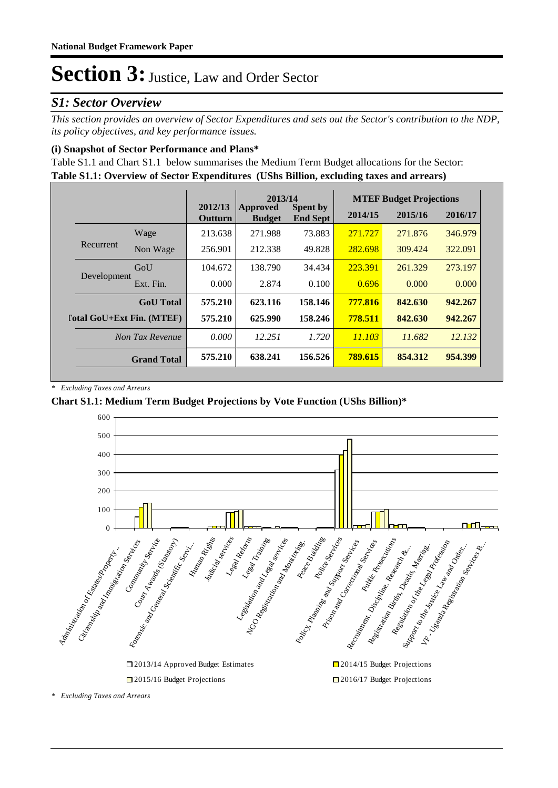### *S1: Sector Overview*

*This section provides an overview of Sector Expenditures and sets out the Sector's contribution to the NDP, its policy objectives, and key performance issues.* 

### **(i) Snapshot of Sector Performance and Plans\***

**Table S1.1: Overview of Sector Expenditures (UShs Billion, excluding taxes and arrears)** Table S1.1 and Chart S1.1 below summarises the Medium Term Budget allocations for the Sector:

|                           |                    |                    | 2013/14                   |                                    |         | <b>MTEF Budget Projections</b> |         |
|---------------------------|--------------------|--------------------|---------------------------|------------------------------------|---------|--------------------------------|---------|
|                           |                    | 2012/13<br>Outturn | Approved<br><b>Budget</b> | <b>Spent by</b><br><b>End Sept</b> | 2014/15 | 2015/16                        | 2016/17 |
|                           | Wage               | 213.638            | 271.988                   | 73.883                             | 271.727 | 271.876                        | 346.979 |
| Recurrent                 | Non Wage           | 256.901            | 212.338                   | 49.828                             | 282.698 | 309.424                        | 322.091 |
|                           | GoU                | 104.672            | 138.790                   | 34.434                             | 223.391 | 261.329                        | 273.197 |
| Development               | Ext. Fin.          | 0.000              | 2.874                     | 0.100                              | 0.696   | 0.000                          | 0.000   |
|                           | <b>GoU</b> Total   | 575.210            | 623.116                   | 158.146                            | 777.816 | 842.630                        | 942.267 |
| [otal GoU+Ext Fin. (MTEF) |                    | 575.210            | 625.990                   | 158.246                            | 778.511 | 842.630                        | 942.267 |
|                           | Non Tax Revenue    | 0.000              | 12.251                    | 1.720                              | 11.103  | 11.682                         | 12.132  |
|                           | <b>Grand Total</b> | 575.210            | 638.241                   | 156.526                            | 789.615 | 854.312                        | 954.399 |

*\* Excluding Taxes and Arrears*

### **Chart S1.1: Medium Term Budget Projections by Vote Function (UShs Billion)\***



*<sup>\*</sup> Excluding Taxes and Arrears*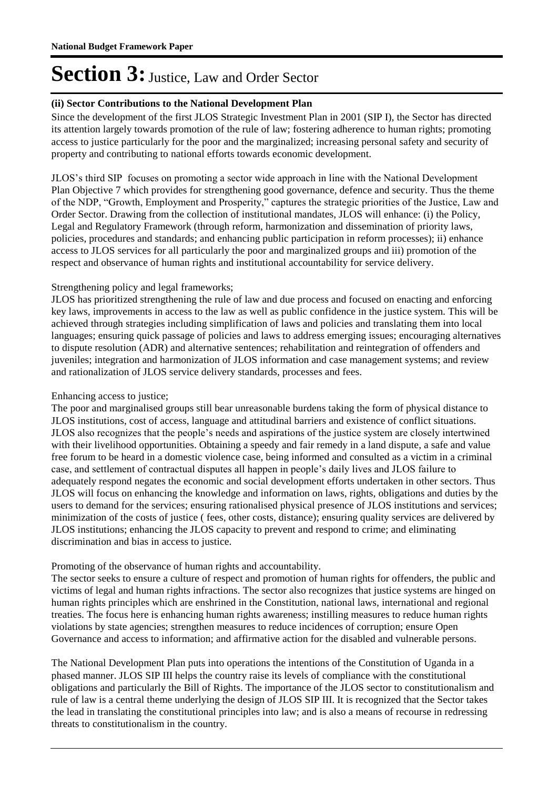### **(ii) Sector Contributions to the National Development Plan**

Since the development of the first JLOS Strategic Investment Plan in 2001 (SIP I), the Sector has directed its attention largely towards promotion of the rule of law; fostering adherence to human rights; promoting access to justice particularly for the poor and the marginalized; increasing personal safety and security of property and contributing to national efforts towards economic development.

JLOS's third SIP focuses on promoting a sector wide approach in line with the National Development Plan Objective 7 which provides for strengthening good governance, defence and security. Thus the theme of the NDP, "Growth, Employment and Prosperity," captures the strategic priorities of the Justice, Law and Order Sector. Drawing from the collection of institutional mandates, JLOS will enhance: (i) the Policy, Legal and Regulatory Framework (through reform, harmonization and dissemination of priority laws, policies, procedures and standards; and enhancing public participation in reform processes); ii) enhance access to JLOS services for all particularly the poor and marginalized groups and iii) promotion of the respect and observance of human rights and institutional accountability for service delivery.

### Strengthening policy and legal frameworks;

JLOS has prioritized strengthening the rule of law and due process and focused on enacting and enforcing key laws, improvements in access to the law as well as public confidence in the justice system. This will be achieved through strategies including simplification of laws and policies and translating them into local languages; ensuring quick passage of policies and laws to address emerging issues; encouraging alternatives to dispute resolution (ADR) and alternative sentences; rehabilitation and reintegration of offenders and juveniles; integration and harmonization of JLOS information and case management systems; and review and rationalization of JLOS service delivery standards, processes and fees.

### Enhancing access to justice;

The poor and marginalised groups still bear unreasonable burdens taking the form of physical distance to JLOS institutions, cost of access, language and attitudinal barriers and existence of conflict situations. JLOS also recognizes that the people's needs and aspirations of the justice system are closely intertwined with their livelihood opportunities. Obtaining a speedy and fair remedy in a land dispute, a safe and value free forum to be heard in a domestic violence case, being informed and consulted as a victim in a criminal case, and settlement of contractual disputes all happen in people's daily lives and JLOS failure to adequately respond negates the economic and social development efforts undertaken in other sectors. Thus JLOS will focus on enhancing the knowledge and information on laws, rights, obligations and duties by the users to demand for the services; ensuring rationalised physical presence of JLOS institutions and services; minimization of the costs of justice ( fees, other costs, distance); ensuring quality services are delivered by JLOS institutions; enhancing the JLOS capacity to prevent and respond to crime; and eliminating discrimination and bias in access to justice.

### Promoting of the observance of human rights and accountability.

The sector seeks to ensure a culture of respect and promotion of human rights for offenders, the public and victims of legal and human rights infractions. The sector also recognizes that justice systems are hinged on human rights principles which are enshrined in the Constitution, national laws, international and regional treaties. The focus here is enhancing human rights awareness; instilling measures to reduce human rights violations by state agencies; strengthen measures to reduce incidences of corruption; ensure Open Governance and access to information; and affirmative action for the disabled and vulnerable persons.

The National Development Plan puts into operations the intentions of the Constitution of Uganda in a phased manner. JLOS SIP III helps the country raise its levels of compliance with the constitutional obligations and particularly the Bill of Rights. The importance of the JLOS sector to constitutionalism and rule of law is a central theme underlying the design of JLOS SIP III. It is recognized that the Sector takes the lead in translating the constitutional principles into law; and is also a means of recourse in redressing threats to constitutionalism in the country.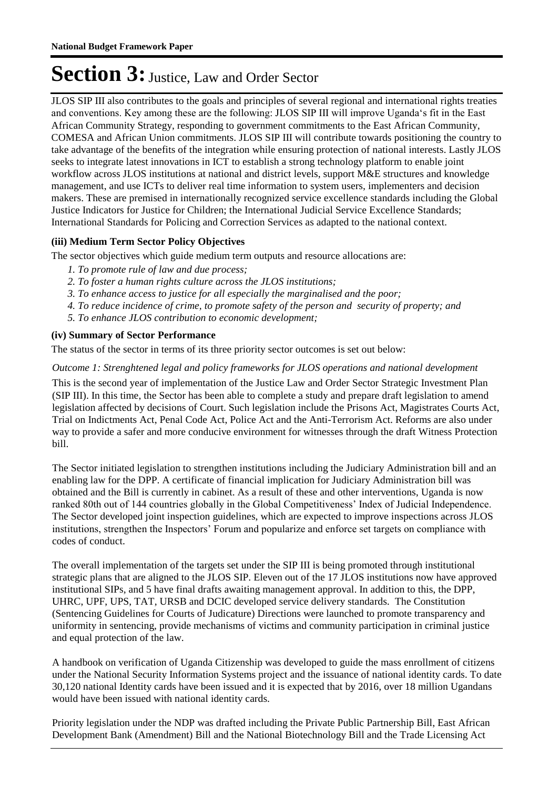JLOS SIP III also contributes to the goals and principles of several regional and international rights treaties and conventions. Key among these are the following: JLOS SIP III will improve Uganda's fit in the East African Community Strategy, responding to government commitments to the East African Community, COMESA and African Union commitments. JLOS SIP III will contribute towards positioning the country to take advantage of the benefits of the integration while ensuring protection of national interests. Lastly JLOS seeks to integrate latest innovations in ICT to establish a strong technology platform to enable joint workflow across JLOS institutions at national and district levels, support M&E structures and knowledge management, and use ICTs to deliver real time information to system users, implementers and decision makers. These are premised in internationally recognized service excellence standards including the Global Justice Indicators for Justice for Children; the International Judicial Service Excellence Standards; International Standards for Policing and Correction Services as adapted to the national context.

### **(iii) Medium Term Sector Policy Objectives**

The sector objectives which guide medium term outputs and resource allocations are:

- *1. To promote rule of law and due process;*
- *2. To foster a human rights culture across the JLOS institutions;*
- *3. To enhance access to justice for all especially the marginalised and the poor;*
- *4. To reduce incidence of crime, to promote safety of the person and security of property; and*
- *5. To enhance JLOS contribution to economic development;*

#### **(iv) Summary of Sector Performance**

The status of the sector in terms of its three priority sector outcomes is set out below:

#### Outcome 1: Strenghtened legal and policy frameworks for JLOS operations and national development

This is the second year of implementation of the Justice Law and Order Sector Strategic Investment Plan (SIP III). In this time, the Sector has been able to complete a study and prepare draft legislation to amend legislation affected by decisions of Court. Such legislation include the Prisons Act, Magistrates Courts Act, Trial on Indictments Act, Penal Code Act, Police Act and the Anti-Terrorism Act. Reforms are also under way to provide a safer and more conducive environment for witnesses through the draft Witness Protection bill.

The Sector initiated legislation to strengthen institutions including the Judiciary Administration bill and an enabling law for the DPP. A certificate of financial implication for Judiciary Administration bill was obtained and the Bill is currently in cabinet. As a result of these and other interventions, Uganda is now ranked 80th out of 144 countries globally in the Global Competitiveness' Index of Judicial Independence. The Sector developed joint inspection guidelines, which are expected to improve inspections across JLOS institutions, strengthen the Inspectors' Forum and popularize and enforce set targets on compliance with codes of conduct.

The overall implementation of the targets set under the SIP III is being promoted through institutional strategic plans that are aligned to the JLOS SIP. Eleven out of the 17 JLOS institutions now have approved institutional SIPs, and 5 have final drafts awaiting management approval. In addition to this, the DPP, UHRC, UPF, UPS, TAT, URSB and DCIC developed service delivery standards. The Constitution (Sentencing Guidelines for Courts of Judicature) Directions were launched to promote transparency and uniformity in sentencing, provide mechanisms of victims and community participation in criminal justice and equal protection of the law.

A handbook on verification of Uganda Citizenship was developed to guide the mass enrollment of citizens under the National Security Information Systems project and the issuance of national identity cards. To date 30,120 national Identity cards have been issued and it is expected that by 2016, over 18 million Ugandans would have been issued with national identity cards.

Priority legislation under the NDP was drafted including the Private Public Partnership Bill, East African Development Bank (Amendment) Bill and the National Biotechnology Bill and the Trade Licensing Act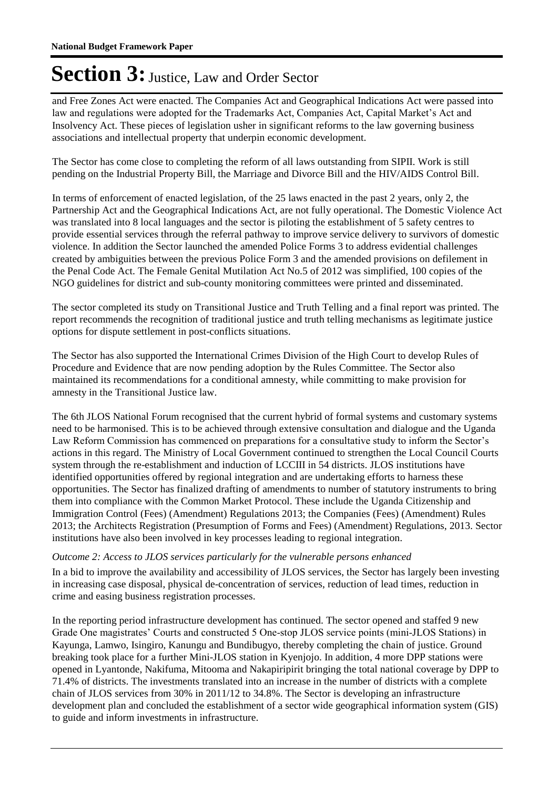and Free Zones Act were enacted. The Companies Act and Geographical Indications Act were passed into law and regulations were adopted for the Trademarks Act, Companies Act, Capital Market's Act and Insolvency Act. These pieces of legislation usher in significant reforms to the law governing business associations and intellectual property that underpin economic development.

The Sector has come close to completing the reform of all laws outstanding from SIPII. Work is still pending on the Industrial Property Bill, the Marriage and Divorce Bill and the HIV/AIDS Control Bill.

In terms of enforcement of enacted legislation, of the 25 laws enacted in the past 2 years, only 2, the Partnership Act and the Geographical Indications Act, are not fully operational. The Domestic Violence Act was translated into 8 local languages and the sector is piloting the establishment of 5 safety centres to provide essential services through the referral pathway to improve service delivery to survivors of domestic violence. In addition the Sector launched the amended Police Forms 3 to address evidential challenges created by ambiguities between the previous Police Form 3 and the amended provisions on defilement in the Penal Code Act. The Female Genital Mutilation Act No.5 of 2012 was simplified, 100 copies of the NGO guidelines for district and sub-county monitoring committees were printed and disseminated.

The sector completed its study on Transitional Justice and Truth Telling and a final report was printed. The report recommends the recognition of traditional justice and truth telling mechanisms as legitimate justice options for dispute settlement in post-conflicts situations.

The Sector has also supported the International Crimes Division of the High Court to develop Rules of Procedure and Evidence that are now pending adoption by the Rules Committee. The Sector also maintained its recommendations for a conditional amnesty, while committing to make provision for amnesty in the Transitional Justice law.

The 6th JLOS National Forum recognised that the current hybrid of formal systems and customary systems need to be harmonised. This is to be achieved through extensive consultation and dialogue and the Uganda Law Reform Commission has commenced on preparations for a consultative study to inform the Sector's actions in this regard. The Ministry of Local Government continued to strengthen the Local Council Courts system through the re-establishment and induction of LCCIII in 54 districts. JLOS institutions have identified opportunities offered by regional integration and are undertaking efforts to harness these opportunities. The Sector has finalized drafting of amendments to number of statutory instruments to bring them into compliance with the Common Market Protocol. These include the Uganda Citizenship and Immigration Control (Fees) (Amendment) Regulations 2013; the Companies (Fees) (Amendment) Rules 2013; the Architects Registration (Presumption of Forms and Fees) (Amendment) Regulations, 2013. Sector institutions have also been involved in key processes leading to regional integration.

### Outcome 2: Access to JLOS services particularly for the vulnerable persons enhanced

In a bid to improve the availability and accessibility of JLOS services, the Sector has largely been investing in increasing case disposal, physical de-concentration of services, reduction of lead times, reduction in crime and easing business registration processes.

In the reporting period infrastructure development has continued. The sector opened and staffed 9 new Grade One magistrates' Courts and constructed 5 One-stop JLOS service points (mini-JLOS Stations) in Kayunga, Lamwo, Isingiro, Kanungu and Bundibugyo, thereby completing the chain of justice. Ground breaking took place for a further Mini-JLOS station in Kyenjojo. In addition, 4 more DPP stations were opened in Lyantonde, Nakifuma, Mitooma and Nakapiripirit bringing the total national coverage by DPP to 71.4% of districts. The investments translated into an increase in the number of districts with a complete chain of JLOS services from 30% in 2011/12 to 34.8%. The Sector is developing an infrastructure development plan and concluded the establishment of a sector wide geographical information system (GIS) to guide and inform investments in infrastructure.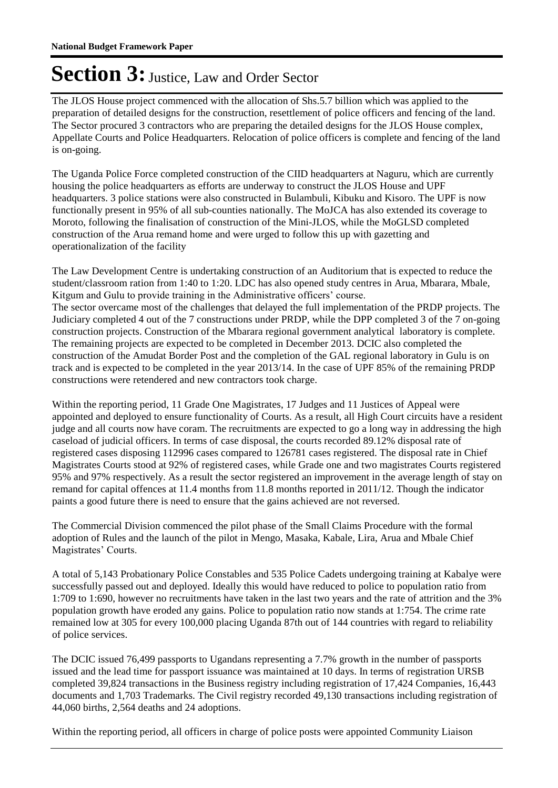The JLOS House project commenced with the allocation of Shs.5.7 billion which was applied to the preparation of detailed designs for the construction, resettlement of police officers and fencing of the land. The Sector procured 3 contractors who are preparing the detailed designs for the JLOS House complex, Appellate Courts and Police Headquarters. Relocation of police officers is complete and fencing of the land is on-going.

The Uganda Police Force completed construction of the CIID headquarters at Naguru, which are currently housing the police headquarters as efforts are underway to construct the JLOS House and UPF headquarters. 3 police stations were also constructed in Bulambuli, Kibuku and Kisoro. The UPF is now functionally present in 95% of all sub-counties nationally. The MoJCA has also extended its coverage to Moroto, following the finalisation of construction of the Mini-JLOS, while the MoGLSD completed construction of the Arua remand home and were urged to follow this up with gazetting and operationalization of the facility

The Law Development Centre is undertaking construction of an Auditorium that is expected to reduce the student/classroom ration from 1:40 to 1:20. LDC has also opened study centres in Arua, Mbarara, Mbale, Kitgum and Gulu to provide training in the Administrative officers' course. The sector overcame most of the challenges that delayed the full implementation of the PRDP projects. The Judiciary completed 4 out of the 7 constructions under PRDP, while the DPP completed 3 of the 7 on-going construction projects. Construction of the Mbarara regional government analytical laboratory is complete. The remaining projects are expected to be completed in December 2013. DCIC also completed the construction of the Amudat Border Post and the completion of the GAL regional laboratory in Gulu is on track and is expected to be completed in the year 2013/14. In the case of UPF 85% of the remaining PRDP constructions were retendered and new contractors took charge.

Within the reporting period, 11 Grade One Magistrates, 17 Judges and 11 Justices of Appeal were appointed and deployed to ensure functionality of Courts. As a result, all High Court circuits have a resident judge and all courts now have coram. The recruitments are expected to go a long way in addressing the high caseload of judicial officers. In terms of case disposal, the courts recorded 89.12% disposal rate of registered cases disposing 112996 cases compared to 126781 cases registered. The disposal rate in Chief Magistrates Courts stood at 92% of registered cases, while Grade one and two magistrates Courts registered 95% and 97% respectively. As a result the sector registered an improvement in the average length of stay on remand for capital offences at 11.4 months from 11.8 months reported in 2011/12. Though the indicator paints a good future there is need to ensure that the gains achieved are not reversed.

The Commercial Division commenced the pilot phase of the Small Claims Procedure with the formal adoption of Rules and the launch of the pilot in Mengo, Masaka, Kabale, Lira, Arua and Mbale Chief Magistrates' Courts.

A total of 5,143 Probationary Police Constables and 535 Police Cadets undergoing training at Kabalye were successfully passed out and deployed. Ideally this would have reduced to police to population ratio from 1:709 to 1:690, however no recruitments have taken in the last two years and the rate of attrition and the 3% population growth have eroded any gains. Police to population ratio now stands at 1:754. The crime rate remained low at 305 for every 100,000 placing Uganda 87th out of 144 countries with regard to reliability of police services.

The DCIC issued 76,499 passports to Ugandans representing a 7.7% growth in the number of passports issued and the lead time for passport issuance was maintained at 10 days. In terms of registration URSB completed 39,824 transactions in the Business registry including registration of 17,424 Companies, 16,443 documents and 1,703 Trademarks. The Civil registry recorded 49,130 transactions including registration of 44,060 births, 2,564 deaths and 24 adoptions.

Within the reporting period, all officers in charge of police posts were appointed Community Liaison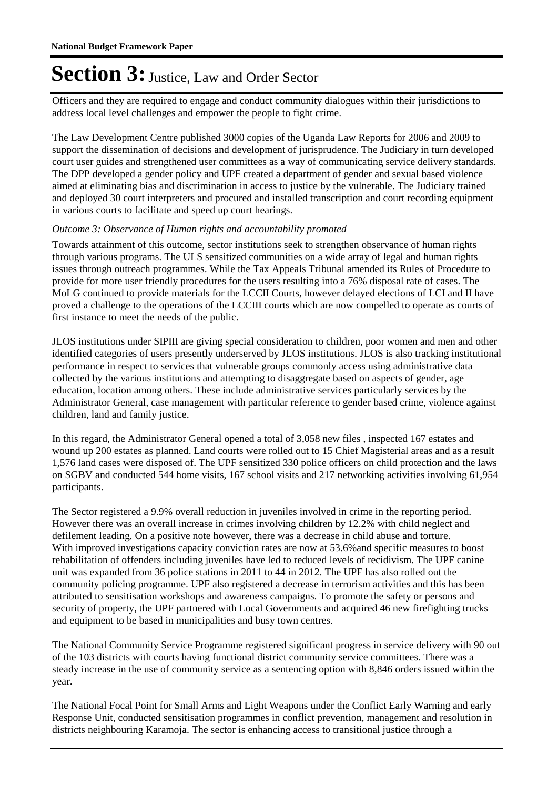Officers and they are required to engage and conduct community dialogues within their jurisdictions to address local level challenges and empower the people to fight crime.

The Law Development Centre published 3000 copies of the Uganda Law Reports for 2006 and 2009 to support the dissemination of decisions and development of jurisprudence. The Judiciary in turn developed court user guides and strengthened user committees as a way of communicating service delivery standards. The DPP developed a gender policy and UPF created a department of gender and sexual based violence aimed at eliminating bias and discrimination in access to justice by the vulnerable. The Judiciary trained and deployed 30 court interpreters and procured and installed transcription and court recording equipment in various courts to facilitate and speed up court hearings.

### Outcome 3: Observance of Human rights and accountability promoted

Towards attainment of this outcome, sector institutions seek to strengthen observance of human rights through various programs. The ULS sensitized communities on a wide array of legal and human rights issues through outreach programmes. While the Tax Appeals Tribunal amended its Rules of Procedure to provide for more user friendly procedures for the users resulting into a 76% disposal rate of cases. The MoLG continued to provide materials for the LCCII Courts, however delayed elections of LCI and II have proved a challenge to the operations of the LCCIII courts which are now compelled to operate as courts of first instance to meet the needs of the public.

JLOS institutions under SIPIII are giving special consideration to children, poor women and men and other identified categories of users presently underserved by JLOS institutions. JLOS is also tracking institutional performance in respect to services that vulnerable groups commonly access using administrative data collected by the various institutions and attempting to disaggregate based on aspects of gender, age education, location among others. These include administrative services particularly services by the Administrator General, case management with particular reference to gender based crime, violence against children, land and family justice.

In this regard, the Administrator General opened a total of 3,058 new files , inspected 167 estates and wound up 200 estates as planned. Land courts were rolled out to 15 Chief Magisterial areas and as a result 1,576 land cases were disposed of. The UPF sensitized 330 police officers on child protection and the laws on SGBV and conducted 544 home visits, 167 school visits and 217 networking activities involving 61,954 participants.

The Sector registered a 9.9% overall reduction in juveniles involved in crime in the reporting period. However there was an overall increase in crimes involving children by 12.2% with child neglect and defilement leading. On a positive note however, there was a decrease in child abuse and torture. With improved investigations capacity conviction rates are now at 53.6% and specific measures to boost rehabilitation of offenders including juveniles have led to reduced levels of recidivism. The UPF canine unit was expanded from 36 police stations in 2011 to 44 in 2012. The UPF has also rolled out the community policing programme. UPF also registered a decrease in terrorism activities and this has been attributed to sensitisation workshops and awareness campaigns. To promote the safety or persons and security of property, the UPF partnered with Local Governments and acquired 46 new firefighting trucks and equipment to be based in municipalities and busy town centres.

The National Community Service Programme registered significant progress in service delivery with 90 out of the 103 districts with courts having functional district community service committees. There was a steady increase in the use of community service as a sentencing option with 8,846 orders issued within the year.

The National Focal Point for Small Arms and Light Weapons under the Conflict Early Warning and early Response Unit, conducted sensitisation programmes in conflict prevention, management and resolution in districts neighbouring Karamoja. The sector is enhancing access to transitional justice through a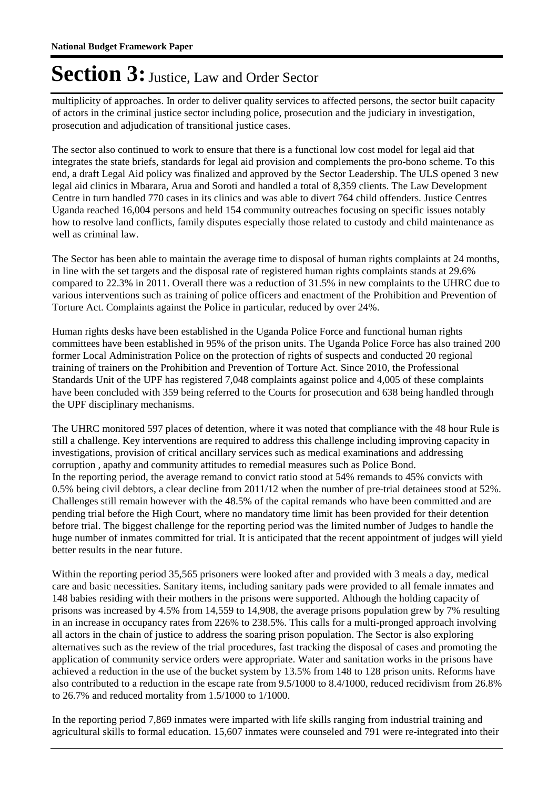multiplicity of approaches. In order to deliver quality services to affected persons, the sector built capacity of actors in the criminal justice sector including police, prosecution and the judiciary in investigation, prosecution and adjudication of transitional justice cases.

The sector also continued to work to ensure that there is a functional low cost model for legal aid that integrates the state briefs, standards for legal aid provision and complements the pro-bono scheme. To this end, a draft Legal Aid policy was finalized and approved by the Sector Leadership. The ULS opened 3 new legal aid clinics in Mbarara, Arua and Soroti and handled a total of 8,359 clients. The Law Development Centre in turn handled 770 cases in its clinics and was able to divert 764 child offenders. Justice Centres Uganda reached 16,004 persons and held 154 community outreaches focusing on specific issues notably how to resolve land conflicts, family disputes especially those related to custody and child maintenance as well as criminal law.

The Sector has been able to maintain the average time to disposal of human rights complaints at 24 months, in line with the set targets and the disposal rate of registered human rights complaints stands at 29.6% compared to 22.3% in 2011. Overall there was a reduction of 31.5% in new complaints to the UHRC due to various interventions such as training of police officers and enactment of the Prohibition and Prevention of Torture Act. Complaints against the Police in particular, reduced by over 24%.

Human rights desks have been established in the Uganda Police Force and functional human rights committees have been established in 95% of the prison units. The Uganda Police Force has also trained 200 former Local Administration Police on the protection of rights of suspects and conducted 20 regional training of trainers on the Prohibition and Prevention of Torture Act. Since 2010, the Professional Standards Unit of the UPF has registered 7,048 complaints against police and 4,005 of these complaints have been concluded with 359 being referred to the Courts for prosecution and 638 being handled through the UPF disciplinary mechanisms.

The UHRC monitored 597 places of detention, where it was noted that compliance with the 48 hour Rule is still a challenge. Key interventions are required to address this challenge including improving capacity in investigations, provision of critical ancillary services such as medical examinations and addressing corruption , apathy and community attitudes to remedial measures such as Police Bond. In the reporting period, the average remand to convict ratio stood at 54% remands to 45% convicts with 0.5% being civil debtors, a clear decline from 2011/12 when the number of pre-trial detainees stood at 52%. Challenges still remain however with the 48.5% of the capital remands who have been committed and are pending trial before the High Court, where no mandatory time limit has been provided for their detention before trial. The biggest challenge for the reporting period was the limited number of Judges to handle the huge number of inmates committed for trial. It is anticipated that the recent appointment of judges will yield better results in the near future.

Within the reporting period 35,565 prisoners were looked after and provided with 3 meals a day, medical care and basic necessities. Sanitary items, including sanitary pads were provided to all female inmates and 148 babies residing with their mothers in the prisons were supported. Although the holding capacity of prisons was increased by 4.5% from 14,559 to 14,908, the average prisons population grew by 7% resulting in an increase in occupancy rates from 226% to 238.5%. This calls for a multi-pronged approach involving all actors in the chain of justice to address the soaring prison population. The Sector is also exploring alternatives such as the review of the trial procedures, fast tracking the disposal of cases and promoting the application of community service orders were appropriate. Water and sanitation works in the prisons have achieved a reduction in the use of the bucket system by 13.5% from 148 to 128 prison units. Reforms have also contributed to a reduction in the escape rate from 9.5/1000 to 8.4/1000, reduced recidivism from 26.8% to 26.7% and reduced mortality from 1.5/1000 to 1/1000.

In the reporting period 7,869 inmates were imparted with life skills ranging from industrial training and agricultural skills to formal education. 15,607 inmates were counseled and 791 were re-integrated into their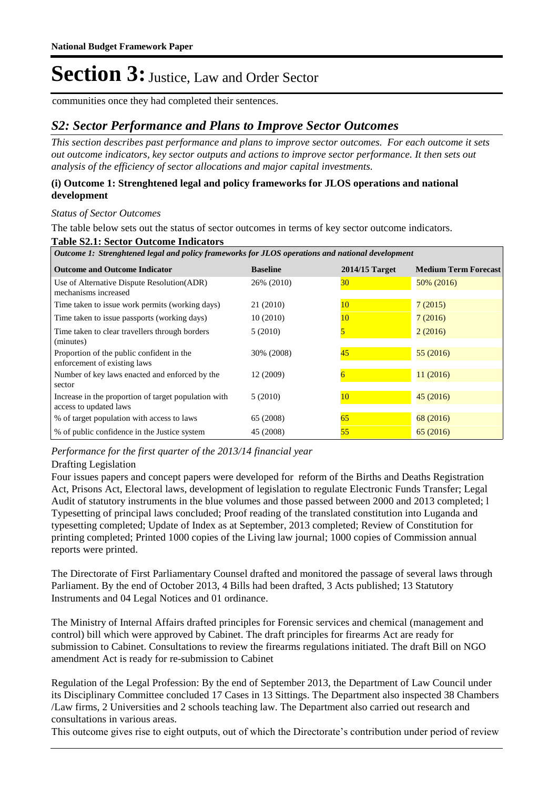communities once they had completed their sentences.

### *S2: Sector Performance and Plans to Improve Sector Outcomes*

*This section describes past performance and plans to improve sector outcomes. For each outcome it sets out outcome indicators, key sector outputs and actions to improve sector performance. It then sets out analysis of the efficiency of sector allocations and major capital investments.*

#### **(i) Outcome 1: Strenghtened legal and policy frameworks for JLOS operations and national development**

*Status of Sector Outcomes*

The table below sets out the status of sector outcomes in terms of key sector outcome indicators.

#### **Table S2.1: Sector Outcome Indicators**

| Outcome 1: Strenghtened legal and policy frameworks for JLOS operations and national development |                 |                  |                             |  |  |  |
|--------------------------------------------------------------------------------------------------|-----------------|------------------|-----------------------------|--|--|--|
| <b>Outcome and Outcome Indicator</b>                                                             | <b>Baseline</b> | $2014/15$ Target | <b>Medium Term Forecast</b> |  |  |  |
| Use of Alternative Dispute Resolution (ADR)<br>mechanisms increased                              | 26% (2010)      | 30               | 50% (2016)                  |  |  |  |
| Time taken to issue work permits (working days)                                                  | 21 (2010)       | 10               | 7(2015)                     |  |  |  |
| Time taken to issue passports (working days)                                                     | 10(2010)        | 10               | 7(2016)                     |  |  |  |
| Time taken to clear travellers through borders<br>(minutes)                                      | 5(2010)         |                  | 2(2016)                     |  |  |  |
| Proportion of the public confident in the<br>enforcement of existing laws                        | 30% (2008)      | 45               | 55(2016)                    |  |  |  |
| Number of key laws enacted and enforced by the<br>sector                                         | 12 (2009)       | 6                | 11(2016)                    |  |  |  |
| Increase in the proportion of target population with<br>access to updated laws                   | 5(2010)         | 10               | 45(2016)                    |  |  |  |
| % of target population with access to laws                                                       | 65 (2008)       | 65               | 68 (2016)                   |  |  |  |
| % of public confidence in the Justice system                                                     | 45 (2008)       | 55               | 65(2016)                    |  |  |  |

*Performance for the first quarter of the 2013/14 financial year*

### Drafting Legislation

Four issues papers and concept papers were developed for reform of the Births and Deaths Registration Act, Prisons Act, Electoral laws, development of legislation to regulate Electronic Funds Transfer; Legal Audit of statutory instruments in the blue volumes and those passed between 2000 and 2013 completed; l Typesetting of principal laws concluded; Proof reading of the translated constitution into Luganda and typesetting completed; Update of Index as at September, 2013 completed; Review of Constitution for printing completed; Printed 1000 copies of the Living law journal; 1000 copies of Commission annual reports were printed.

The Directorate of First Parliamentary Counsel drafted and monitored the passage of several laws through Parliament. By the end of October 2013, 4 Bills had been drafted, 3 Acts published; 13 Statutory Instruments and 04 Legal Notices and 01 ordinance.

The Ministry of Internal Affairs drafted principles for Forensic services and chemical (management and control) bill which were approved by Cabinet. The draft principles for firearms Act are ready for submission to Cabinet. Consultations to review the firearms regulations initiated. The draft Bill on NGO amendment Act is ready for re-submission to Cabinet

Regulation of the Legal Profession: By the end of September 2013, the Department of Law Council under its Disciplinary Committee concluded 17 Cases in 13 Sittings. The Department also inspected 38 Chambers /Law firms, 2 Universities and 2 schools teaching law. The Department also carried out research and consultations in various areas.

This outcome gives rise to eight outputs, out of which the Directorate's contribution under period of review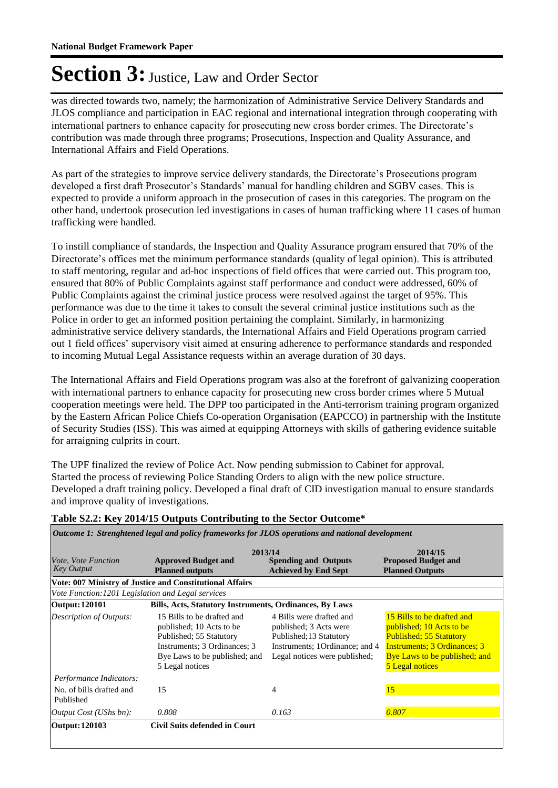was directed towards two, namely; the harmonization of Administrative Service Delivery Standards and JLOS compliance and participation in EAC regional and international integration through cooperating with international partners to enhance capacity for prosecuting new cross border crimes. The Directorate's contribution was made through three programs; Prosecutions, Inspection and Quality Assurance, and International Affairs and Field Operations.

As part of the strategies to improve service delivery standards, the Directorate's Prosecutions program developed a first draft Prosecutor's Standards' manual for handling children and SGBV cases. This is expected to provide a uniform approach in the prosecution of cases in this categories. The program on the other hand, undertook prosecution led investigations in cases of human trafficking where 11 cases of human trafficking were handled.

To instill compliance of standards, the Inspection and Quality Assurance program ensured that 70% of the Directorate's offices met the minimum performance standards (quality of legal opinion). This is attributed to staff mentoring, regular and ad-hoc inspections of field offices that were carried out. This program too, ensured that 80% of Public Complaints against staff performance and conduct were addressed, 60% of Public Complaints against the criminal justice process were resolved against the target of 95%. This performance was due to the time it takes to consult the several criminal justice institutions such as the Police in order to get an informed position pertaining the complaint. Similarly, in harmonizing administrative service delivery standards, the International Affairs and Field Operations program carried out 1 field offices' supervisory visit aimed at ensuring adherence to performance standards and responded to incoming Mutual Legal Assistance requests within an average duration of 30 days.

The International Affairs and Field Operations program was also at the forefront of galvanizing cooperation with international partners to enhance capacity for prosecuting new cross border crimes where 5 Mutual cooperation meetings were held. The DPP too participated in the Anti-terrorism training program organized by the Eastern African Police Chiefs Co-operation Organisation (EAPCCO) in partnership with the Institute of Security Studies (ISS). This was aimed at equipping Attorneys with skills of gathering evidence suitable for arraigning culprits in court.

The UPF finalized the review of Police Act. Now pending submission to Cabinet for approval. Started the process of reviewing Police Standing Orders to align with the new police structure. Developed a draft training policy. Developed a final draft of CID investigation manual to ensure standards and improve quality of investigations.

| <i>Vote. Vote Function</i>                         | <b>Approved Budget and</b>                                                                                                                                            | 2013/14<br><b>Spending and Outputs</b>                                                                                                          | 2014/15<br><b>Proposed Budget and</b>                                                                                                                                                        |
|----------------------------------------------------|-----------------------------------------------------------------------------------------------------------------------------------------------------------------------|-------------------------------------------------------------------------------------------------------------------------------------------------|----------------------------------------------------------------------------------------------------------------------------------------------------------------------------------------------|
| <b>Key Output</b>                                  | <b>Planned outputs</b>                                                                                                                                                | <b>Achieved by End Sept</b>                                                                                                                     | <b>Planned Outputs</b>                                                                                                                                                                       |
|                                                    | Vote: 007 Ministry of Justice and Constitutional Affairs                                                                                                              |                                                                                                                                                 |                                                                                                                                                                                              |
| Vote Function: 1201 Legislation and Legal services |                                                                                                                                                                       |                                                                                                                                                 |                                                                                                                                                                                              |
| Output: 120101                                     | Bills, Acts, Statutory Instruments, Ordinances, By Laws                                                                                                               |                                                                                                                                                 |                                                                                                                                                                                              |
| <b>Description of Outputs:</b>                     | 15 Bills to be drafted and<br>published; 10 Acts to be<br>Published; 55 Statutory<br>Instruments; 3 Ordinances; 3<br>Bye Laws to be published; and<br>5 Legal notices | 4 Bills were drafted and<br>published; 3 Acts were<br>Published;13 Statutory<br>Instruments; 1Ordinance; and 4<br>Legal notices were published; | 15 Bills to be drafted and<br>published; 10 Acts to be<br><b>Published</b> ; 55 Statutory<br><b>Instruments</b> ; 3 Ordinances; 3<br>Bye Laws to be published; and<br><b>5</b> Legal notices |
| Performance Indicators:                            |                                                                                                                                                                       |                                                                                                                                                 |                                                                                                                                                                                              |
| No. of bills drafted and<br>Published              | 15                                                                                                                                                                    | 4                                                                                                                                               | 15                                                                                                                                                                                           |
| <i>Output Cost (UShs bn):</i>                      | 0.808                                                                                                                                                                 | 0.163                                                                                                                                           | 0.807                                                                                                                                                                                        |
| Output: 120103                                     | <b>Civil Suits defended in Court</b>                                                                                                                                  |                                                                                                                                                 |                                                                                                                                                                                              |

#### **Table S2.2: Key 2014/15 Outputs Contributing to the Sector Outcome\***

*Outcome 1: Strenghtened legal and policy frameworks for JLOS operations and national development*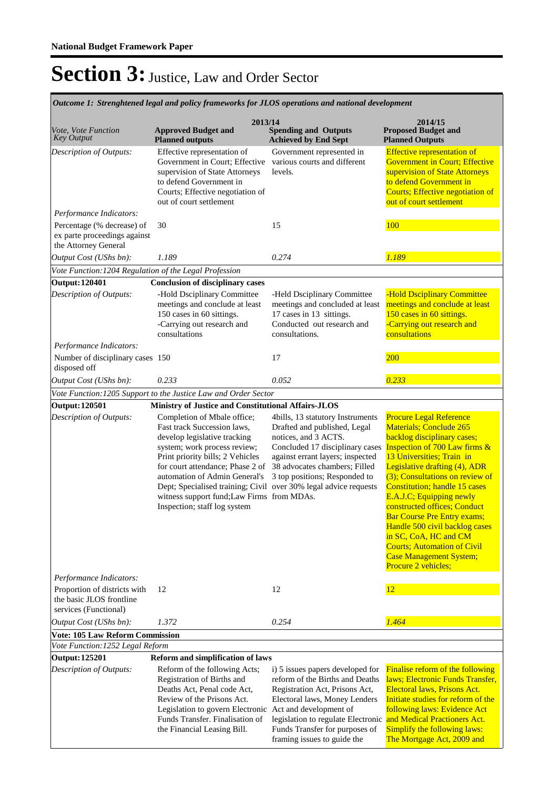**Spending and Outputs Achieved by End Sept Approved Budget and Planned outputs Proposed Budget and Planned Outputs 2013/14** *Vote, Vote Function Key Output* **2014/15** *Outcome 1: Strenghtened legal and policy frameworks for JLOS operations and national development* Effective representation of Government in Court; Effective supervision of State Attorneys to defend Government in Courts; Effective negotiation of out of court settlement Government represented in various courts and different levels. Effective representation of Government in Court; Effective supervision of State Attorneys to defend Government in Courts; Effective negotiation of out of court settlement *Output Cost (UShs bn): 1.189 0.274 1.189 Description of Outputs: Performance Indicators:* Percentage (% decrease) of ex parte proceedings against the Attorney General 30 15 100 *Vote Function:1204 Regulation of the Legal Profession* **Output: 120401 Conclusion of disciplinary cases** -Hold Dsciplinary Committee meetings and conclude at least 150 cases in 60 sittings. -Carrying out research and consultations -Held Dsciplinary Committee meetings and concluded at least 17 cases in 13 sittings. Conducted out research and consultations. -Hold Dsciplinary Committee meetings and conclude at least 150 cases in 60 sittings. -Carrying out research and consultations *Output Cost (UShs bn): 0.233 0.052 0.233 Description of Outputs: Performance Indicators:* Number of disciplinary cases 150 disposed off 150 17 200 *Vote Function:1205 Support to the Justice Law and Order Sector* **Output: 120501 Ministry of Justice and Constitutional Affairs-JLOS** Completion of Mbale office; Fast track Succession laws, develop legislative tracking system; work process review; Print priority bills; 2 Vehicles for court attendance; Phase 2 of automation of Admin General's Dept; Specialised training; Civil over 30% legal advice requests witness support fund;Law Firms from MDAs. Inspection; staff log system 4bills, 13 statutory Instruments Drafted and published, Legal notices, and 3 ACTS. Concluded 17 disciplinary cases against errant layers; inspected 38 advocates chambers; Filled 3 top positions; Responded to Procure Legal Reference Materials; Conclude 265 backlog disciplinary cases; Inspection of 700 Law firms & 13 Universities; Train in Legislative drafting (4), ADR (3); Consultations on review of Constitution; handle 15 cases E.A.J.C; Equipping newly constructed offices; Conduct Bar Course Pre Entry exams; Handle 500 civil backlog cases in SC, CoA, HC and CM Courts; Automation of Civil Case Management System; Procure 2 vehicles; *Output Cost (UShs bn): 1.372 0.254 1.464 Description of Outputs: Performance Indicators:* Proportion of districts with the basic JLOS frontline services (Functional) 12 12 12 **Vote: 105 Law Reform Commission** *Vote Function:1252 Legal Reform* **Output: 125201 Reform and simplification of laws** Reform of the following Acts; Registration of Births and Deaths Act, Penal code Act, Review of the Prisons Act. Legislation to govern Electronic Funds Transfer. Finalisation of the Financial Leasing Bill. i) 5 issues papers developed for reform of the Births and Deaths Registration Act, Prisons Act, Electoral laws, Money Lenders Act and development of legislation to regulate Electronic Funds Transfer for purposes of framing issues to guide the Finalise reform of the following laws; Electronic Funds Transfer, Electoral laws, Prisons Act. Initiate studies for reform of the following laws: Evidence Act and Medical Practioners Act. Simplify the following laws: The Mortgage Act, 2009 and *Description of Outputs:*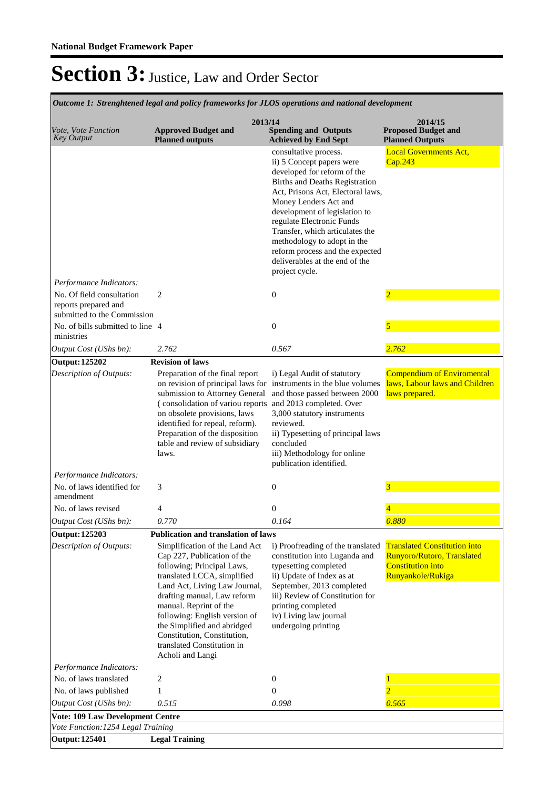*Outcome 1: Strenghtened legal and policy frameworks for JLOS operations and national development*

| Vote, Vote Function<br><b>Key Output</b>                                         | 2013/14<br><b>Approved Budget and</b><br><b>Planned outputs</b>                                                                                                                                                                                                                                                                                                       | <b>Spending and Outputs</b><br><b>Achieved by End Sept</b>                                                                                                                                                                                                                                                                                                                                                      | 2014/15<br><b>Proposed Budget and</b><br><b>Planned Outputs</b>                                                    |
|----------------------------------------------------------------------------------|-----------------------------------------------------------------------------------------------------------------------------------------------------------------------------------------------------------------------------------------------------------------------------------------------------------------------------------------------------------------------|-----------------------------------------------------------------------------------------------------------------------------------------------------------------------------------------------------------------------------------------------------------------------------------------------------------------------------------------------------------------------------------------------------------------|--------------------------------------------------------------------------------------------------------------------|
| Performance Indicators:                                                          |                                                                                                                                                                                                                                                                                                                                                                       | consultative process.<br>ii) 5 Concept papers were<br>developed for reform of the<br><b>Births and Deaths Registration</b><br>Act, Prisons Act, Electoral laws,<br>Money Lenders Act and<br>development of legislation to<br>regulate Electronic Funds<br>Transfer, which articulates the<br>methodology to adopt in the<br>reform process and the expected<br>deliverables at the end of the<br>project cycle. | <b>Local Governments Act,</b><br>Cap.243                                                                           |
|                                                                                  |                                                                                                                                                                                                                                                                                                                                                                       |                                                                                                                                                                                                                                                                                                                                                                                                                 |                                                                                                                    |
| No. Of field consultation<br>reports prepared and<br>submitted to the Commission | $\overline{2}$                                                                                                                                                                                                                                                                                                                                                        | $\mathbf{0}$                                                                                                                                                                                                                                                                                                                                                                                                    |                                                                                                                    |
| No. of bills submitted to line 4<br>ministries                                   |                                                                                                                                                                                                                                                                                                                                                                       | $\boldsymbol{0}$                                                                                                                                                                                                                                                                                                                                                                                                | 5                                                                                                                  |
| Output Cost (UShs bn):                                                           | 2.762                                                                                                                                                                                                                                                                                                                                                                 | 0.567                                                                                                                                                                                                                                                                                                                                                                                                           | 2.762                                                                                                              |
| <b>Output: 125202</b>                                                            | <b>Revision of laws</b>                                                                                                                                                                                                                                                                                                                                               |                                                                                                                                                                                                                                                                                                                                                                                                                 |                                                                                                                    |
| Description of Outputs:                                                          | Preparation of the final report<br>on revision of principal laws for<br>submission to Attorney General<br>(consolidation of variou reports<br>on obsolete provisions, laws<br>identified for repeal, reform).<br>Preparation of the disposition<br>table and review of subsidiary<br>laws.                                                                            | i) Legal Audit of statutory<br>instruments in the blue volumes<br>and those passed between 2000<br>and 2013 completed. Over<br>3,000 statutory instruments<br>reviewed.<br>ii) Typesetting of principal laws<br>concluded<br>iii) Methodology for online<br>publication identified.                                                                                                                             | <b>Compendium of Enviromental</b><br>laws, Labour laws and Children<br>laws prepared.                              |
| Performance Indicators:                                                          |                                                                                                                                                                                                                                                                                                                                                                       |                                                                                                                                                                                                                                                                                                                                                                                                                 |                                                                                                                    |
| No. of laws identified for<br>amendment                                          | 3                                                                                                                                                                                                                                                                                                                                                                     | $\mathbf{0}$                                                                                                                                                                                                                                                                                                                                                                                                    | 3                                                                                                                  |
| No. of laws revised                                                              | 4                                                                                                                                                                                                                                                                                                                                                                     | $\boldsymbol{0}$                                                                                                                                                                                                                                                                                                                                                                                                |                                                                                                                    |
| Output Cost (UShs bn):                                                           | 0.770                                                                                                                                                                                                                                                                                                                                                                 | 0.164                                                                                                                                                                                                                                                                                                                                                                                                           | 0.880                                                                                                              |
| <b>Output: 125203</b>                                                            | <b>Publication and translation of laws</b>                                                                                                                                                                                                                                                                                                                            |                                                                                                                                                                                                                                                                                                                                                                                                                 |                                                                                                                    |
| Description of Outputs:                                                          | Simplification of the Land Act<br>Cap 227, Publication of the<br>following; Principal Laws,<br>translated LCCA, simplified<br>Land Act, Living Law Journal,<br>drafting manual, Law reform<br>manual. Reprint of the<br>following: English version of<br>the Simplified and abridged<br>Constitution, Constitution,<br>translated Constitution in<br>Acholi and Langi | i) Proofreading of the translated<br>constitution into Luganda and<br>typesetting completed<br>ii) Update of Index as at<br>September, 2013 completed<br>iii) Review of Constitution for<br>printing completed<br>iv) Living law journal<br>undergoing printing                                                                                                                                                 | <b>Translated Constitution into</b><br>Runyoro/Rutoro, Translated<br><b>Constitution into</b><br>Runyankole/Rukiga |
| Performance Indicators:                                                          |                                                                                                                                                                                                                                                                                                                                                                       |                                                                                                                                                                                                                                                                                                                                                                                                                 |                                                                                                                    |
| No. of laws translated                                                           | 2                                                                                                                                                                                                                                                                                                                                                                     | $\boldsymbol{0}$                                                                                                                                                                                                                                                                                                                                                                                                |                                                                                                                    |
| No. of laws published                                                            | 1                                                                                                                                                                                                                                                                                                                                                                     | $\mathbf{0}$                                                                                                                                                                                                                                                                                                                                                                                                    |                                                                                                                    |
| Output Cost (UShs bn):                                                           | 0.515                                                                                                                                                                                                                                                                                                                                                                 | 0.098                                                                                                                                                                                                                                                                                                                                                                                                           | 0.565                                                                                                              |
| <b>Vote: 109 Law Development Centre</b>                                          |                                                                                                                                                                                                                                                                                                                                                                       |                                                                                                                                                                                                                                                                                                                                                                                                                 |                                                                                                                    |
| Vote Function: 1254 Legal Training<br><b>Output: 125401</b>                      | <b>Legal Training</b>                                                                                                                                                                                                                                                                                                                                                 |                                                                                                                                                                                                                                                                                                                                                                                                                 |                                                                                                                    |
|                                                                                  |                                                                                                                                                                                                                                                                                                                                                                       |                                                                                                                                                                                                                                                                                                                                                                                                                 |                                                                                                                    |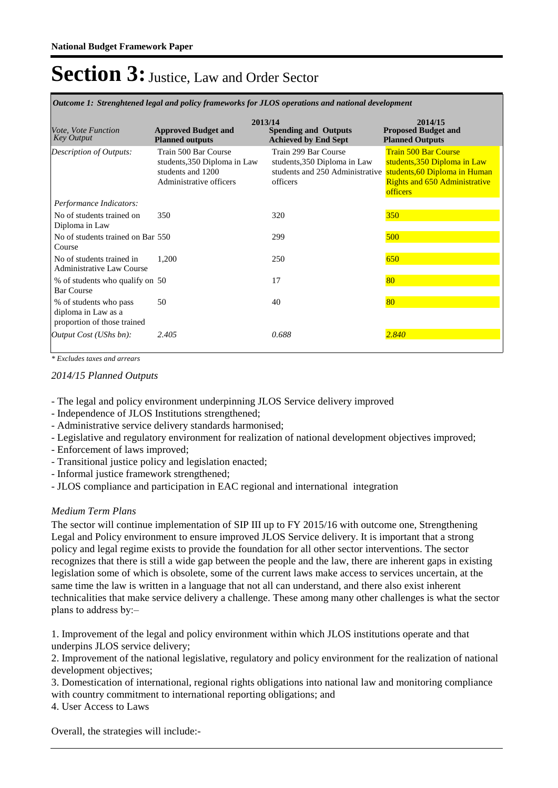*Outcome 1: Strenghtened legal and policy frameworks for JLOS operations and national development*

| Vote, Vote Function<br><b>Key Output</b>                                     | 2013/14<br><b>Approved Budget and</b>                                                                                          | <b>Spending and Outputs</b>                                                                                                        | 2014/15<br><b>Proposed Budget and</b>                                                                                                                                      |
|------------------------------------------------------------------------------|--------------------------------------------------------------------------------------------------------------------------------|------------------------------------------------------------------------------------------------------------------------------------|----------------------------------------------------------------------------------------------------------------------------------------------------------------------------|
| Description of Outputs:                                                      | <b>Planned outputs</b><br>Train 500 Bar Course<br>students, 350 Diploma in Law<br>students and 1200<br>Administrative officers | <b>Achieved by End Sept</b><br>Train 299 Bar Course<br>students, 350 Diploma in Law<br>students and 250 Administrative<br>officers | <b>Planned Outputs</b><br><b>Train 500 Bar Course</b><br>students, 350 Diploma in Law<br>students, 60 Diploma in Human<br><b>Rights and 650 Administrative</b><br>officers |
| Performance Indicators:                                                      |                                                                                                                                |                                                                                                                                    |                                                                                                                                                                            |
| No of students trained on<br>Diploma in Law                                  | 350                                                                                                                            | 320                                                                                                                                | 350                                                                                                                                                                        |
| No of students trained on Bar 550<br>Course                                  |                                                                                                                                | 299                                                                                                                                | 500                                                                                                                                                                        |
| No of students trained in<br><b>Administrative Law Course</b>                | 1.200                                                                                                                          | 250                                                                                                                                | 650                                                                                                                                                                        |
| % of students who qualify on 50<br><b>Bar Course</b>                         |                                                                                                                                | 17                                                                                                                                 | 80                                                                                                                                                                         |
| % of students who pass<br>diploma in Law as a<br>proportion of those trained | 50                                                                                                                             | 40                                                                                                                                 | 80                                                                                                                                                                         |
| Output Cost (UShs bn):                                                       | 2.405                                                                                                                          | 0.688                                                                                                                              | 2.840                                                                                                                                                                      |

*\* Excludes taxes and arrears*

*2014/15 Planned Outputs*

- The legal and policy environment underpinning JLOS Service delivery improved
- Independence of JLOS Institutions strengthened;
- Administrative service delivery standards harmonised;
- Legislative and regulatory environment for realization of national development objectives improved;
- Enforcement of laws improved;
- Transitional justice policy and legislation enacted;
- Informal justice framework strengthened;
- JLOS compliance and participation in EAC regional and international integration

### *Medium Term Plans*

The sector will continue implementation of SIP III up to FY 2015/16 with outcome one, Strengthening Legal and Policy environment to ensure improved JLOS Service delivery. It is important that a strong policy and legal regime exists to provide the foundation for all other sector interventions. The sector recognizes that there is still a wide gap between the people and the law, there are inherent gaps in existing legislation some of which is obsolete, some of the current laws make access to services uncertain, at the same time the law is written in a language that not all can understand, and there also exist inherent technicalities that make service delivery a challenge. These among many other challenges is what the sector plans to address by:–

1. Improvement of the legal and policy environment within which JLOS institutions operate and that underpins JLOS service delivery;

2. Improvement of the national legislative, regulatory and policy environment for the realization of national development objectives;

3. Domestication of international, regional rights obligations into national law and monitoring compliance with country commitment to international reporting obligations; and

4. User Access to Laws

Overall, the strategies will include:-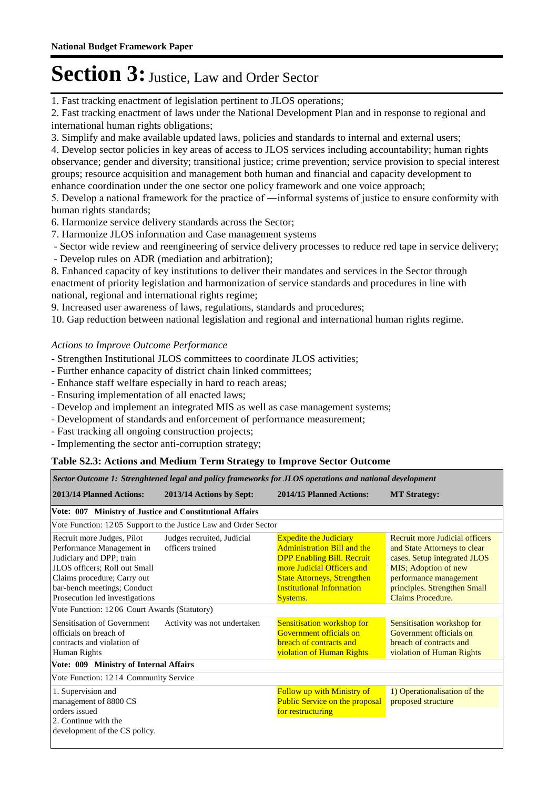1. Fast tracking enactment of legislation pertinent to JLOS operations;

2. Fast tracking enactment of laws under the National Development Plan and in response to regional and international human rights obligations;

3. Simplify and make available updated laws, policies and standards to internal and external users;

4. Develop sector policies in key areas of access to JLOS services including accountability; human rights observance; gender and diversity; transitional justice; crime prevention; service provision to special interest groups; resource acquisition and management both human and financial and capacity development to enhance coordination under the one sector one policy framework and one voice approach;

5. Develop a national framework for the practice of ―informal systems of justice to ensure conformity with human rights standards;

- 6. Harmonize service delivery standards across the Sector;
- 7. Harmonize JLOS information and Case management systems
- Sector wide review and reengineering of service delivery processes to reduce red tape in service delivery;
- Develop rules on ADR (mediation and arbitration);

8. Enhanced capacity of key institutions to deliver their mandates and services in the Sector through enactment of priority legislation and harmonization of service standards and procedures in line with national, regional and international rights regime;

9. Increased user awareness of laws, regulations, standards and procedures;

10. Gap reduction between national legislation and regional and international human rights regime.

#### *Actions to Improve Outcome Performance*

- Strengthen Institutional JLOS committees to coordinate JLOS activities;
- Further enhance capacity of district chain linked committees;
- Enhance staff welfare especially in hard to reach areas;
- Ensuring implementation of all enacted laws;
- Develop and implement an integrated MIS as well as case management systems;
- Development of standards and enforcement of performance measurement;
- Fast tracking all ongoing construction projects;
- Implementing the sector anti-corruption strategy;

### **Table S2.3: Actions and Medium Term Strategy to Improve Sector Outcome**

| Sector Outcome 1: Strenghtened legal and policy frameworks for JLOS operations and national development                                                                                                              |                                                                 |                                                                                                                                                                                                                              |                                                                                                                                                                                                       |  |  |
|----------------------------------------------------------------------------------------------------------------------------------------------------------------------------------------------------------------------|-----------------------------------------------------------------|------------------------------------------------------------------------------------------------------------------------------------------------------------------------------------------------------------------------------|-------------------------------------------------------------------------------------------------------------------------------------------------------------------------------------------------------|--|--|
| 2013/14 Planned Actions:                                                                                                                                                                                             | 2013/14 Actions by Sept:                                        | 2014/15 Planned Actions:                                                                                                                                                                                                     | <b>MT Strategy:</b>                                                                                                                                                                                   |  |  |
| Vote: 007 Ministry of Justice and Constitutional Affairs                                                                                                                                                             |                                                                 |                                                                                                                                                                                                                              |                                                                                                                                                                                                       |  |  |
|                                                                                                                                                                                                                      | Vote Function: 1205 Support to the Justice Law and Order Sector |                                                                                                                                                                                                                              |                                                                                                                                                                                                       |  |  |
| Recruit more Judges, Pilot<br>Performance Management in<br>Judiciary and DPP; train<br>JLOS officers; Roll out Small<br>Claims procedure; Carry out<br>bar-bench meetings; Conduct<br>Prosecution led investigations | Judges recruited, Judicial<br>officers trained                  | <b>Expedite the Judiciary</b><br><b>Administration Bill and the</b><br><b>DPP Enabling Bill. Recruit</b><br>more Judicial Officers and<br><b>State Attorneys, Strengthen</b><br><b>Institutional Information</b><br>Systems. | Recruit more Judicial officers<br>and State Attorneys to clear<br>cases. Setup integrated JLOS<br>MIS; Adoption of new<br>performance management<br>principles. Strengthen Small<br>Claims Procedure. |  |  |
| Vote Function: 1206 Court Awards (Statutory)                                                                                                                                                                         |                                                                 |                                                                                                                                                                                                                              |                                                                                                                                                                                                       |  |  |
| Sensitisation of Government<br>officials on breach of<br>contracts and violation of<br>Human Rights                                                                                                                  | Activity was not undertaken                                     | Sensitisation workshop for<br>Government officials on<br>breach of contracts and<br>violation of Human Rights                                                                                                                | Sensitisation workshop for<br>Government officials on<br>breach of contracts and<br>violation of Human Rights                                                                                         |  |  |
| Vote: 009 Ministry of Internal Affairs                                                                                                                                                                               |                                                                 |                                                                                                                                                                                                                              |                                                                                                                                                                                                       |  |  |
| Vote Function: 1214 Community Service                                                                                                                                                                                |                                                                 |                                                                                                                                                                                                                              |                                                                                                                                                                                                       |  |  |
| 1. Supervision and<br>management of 8800 CS<br>orders issued<br>2. Continue with the<br>development of the CS policy.                                                                                                |                                                                 | <b>Follow up with Ministry of</b><br><b>Public Service on the proposal</b><br>for restructuring                                                                                                                              | 1) Operationalisation of the<br>proposed structure                                                                                                                                                    |  |  |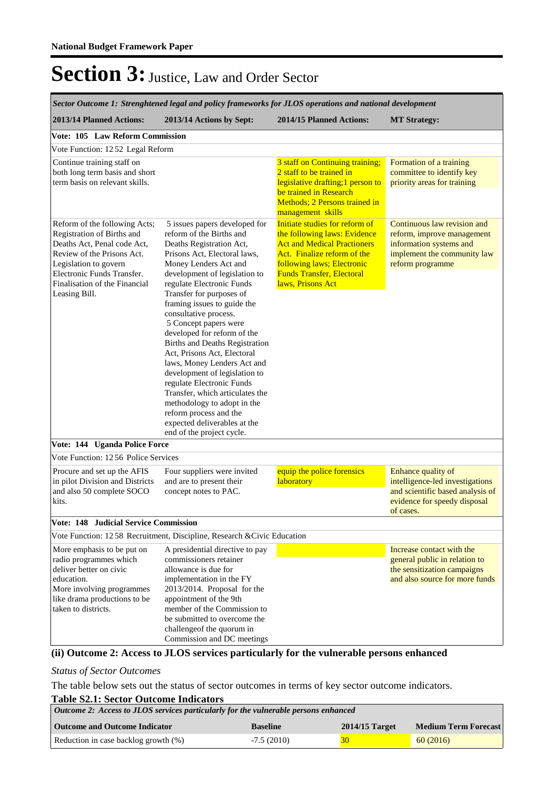| Sector Outcome 1: Strenghtened legal and policy frameworks for JLOS operations and national development                                                                                                                           |                                                                                                                                                                                                                                                                                                                                                                                                                                                                                                                                                                                                                                                                                        |                                                                                                                                                                                                                            |                                                                                                                                         |  |  |
|-----------------------------------------------------------------------------------------------------------------------------------------------------------------------------------------------------------------------------------|----------------------------------------------------------------------------------------------------------------------------------------------------------------------------------------------------------------------------------------------------------------------------------------------------------------------------------------------------------------------------------------------------------------------------------------------------------------------------------------------------------------------------------------------------------------------------------------------------------------------------------------------------------------------------------------|----------------------------------------------------------------------------------------------------------------------------------------------------------------------------------------------------------------------------|-----------------------------------------------------------------------------------------------------------------------------------------|--|--|
| 2013/14 Planned Actions:                                                                                                                                                                                                          | 2013/14 Actions by Sept:                                                                                                                                                                                                                                                                                                                                                                                                                                                                                                                                                                                                                                                               | 2014/15 Planned Actions:                                                                                                                                                                                                   | <b>MT Strategy:</b>                                                                                                                     |  |  |
| Vote: 105 Law Reform Commission                                                                                                                                                                                                   |                                                                                                                                                                                                                                                                                                                                                                                                                                                                                                                                                                                                                                                                                        |                                                                                                                                                                                                                            |                                                                                                                                         |  |  |
| Vote Function: 1252 Legal Reform                                                                                                                                                                                                  |                                                                                                                                                                                                                                                                                                                                                                                                                                                                                                                                                                                                                                                                                        |                                                                                                                                                                                                                            |                                                                                                                                         |  |  |
| Continue training staff on<br>both long term basis and short<br>term basis on relevant skills.                                                                                                                                    |                                                                                                                                                                                                                                                                                                                                                                                                                                                                                                                                                                                                                                                                                        | 3 staff on Continuing training;<br>2 staff to be trained in<br>legislative drafting; 1 person to<br>be trained in Research<br>Methods; 2 Persons trained in<br>management skills                                           | Formation of a training<br>committee to identify key<br>priority areas for training                                                     |  |  |
| Reform of the following Acts;<br>Registration of Births and<br>Deaths Act, Penal code Act,<br>Review of the Prisons Act.<br>Legislation to govern<br>Electronic Funds Transfer.<br>Finalisation of the Financial<br>Leasing Bill. | 5 issues papers developed for<br>reform of the Births and<br>Deaths Registration Act,<br>Prisons Act, Electoral laws,<br>Money Lenders Act and<br>development of legislation to<br>regulate Electronic Funds<br>Transfer for purposes of<br>framing issues to guide the<br>consultative process.<br>5 Concept papers were<br>developed for reform of the<br><b>Births and Deaths Registration</b><br>Act, Prisons Act, Electoral<br>laws, Money Lenders Act and<br>development of legislation to<br>regulate Electronic Funds<br>Transfer, which articulates the<br>methodology to adopt in the<br>reform process and the<br>expected deliverables at the<br>end of the project cycle. | Initiate studies for reform of<br>the following laws: Evidence<br><b>Act and Medical Practioners</b><br>Act. Finalize reform of the<br>following laws; Electronic<br><b>Funds Transfer, Electoral</b><br>laws, Prisons Act | Continuous law revision and<br>reform, improve management<br>information systems and<br>implement the community law<br>reform programme |  |  |
| Vote: 144 Uganda Police Force                                                                                                                                                                                                     |                                                                                                                                                                                                                                                                                                                                                                                                                                                                                                                                                                                                                                                                                        |                                                                                                                                                                                                                            |                                                                                                                                         |  |  |
| Vote Function: 1256 Police Services                                                                                                                                                                                               |                                                                                                                                                                                                                                                                                                                                                                                                                                                                                                                                                                                                                                                                                        |                                                                                                                                                                                                                            |                                                                                                                                         |  |  |
| Procure and set up the AFIS<br>in pilot Division and Districts<br>and also 50 complete SOCO<br>kits.                                                                                                                              | Four suppliers were invited<br>and are to present their<br>concept notes to PAC.                                                                                                                                                                                                                                                                                                                                                                                                                                                                                                                                                                                                       | equip the police forensics<br>laboratory                                                                                                                                                                                   | Enhance quality of<br>intelligence-led investigations<br>and scientific based analysis of<br>evidence for speedy disposal<br>of cases.  |  |  |
| Vote: 148 Judicial Service Commission                                                                                                                                                                                             |                                                                                                                                                                                                                                                                                                                                                                                                                                                                                                                                                                                                                                                                                        |                                                                                                                                                                                                                            |                                                                                                                                         |  |  |
|                                                                                                                                                                                                                                   | Vote Function: 1258 Recruitment, Discipline, Research & Civic Education                                                                                                                                                                                                                                                                                                                                                                                                                                                                                                                                                                                                                |                                                                                                                                                                                                                            |                                                                                                                                         |  |  |
| More emphasis to be put on<br>radio programmes which<br>deliver better on civic<br>education.<br>More involving programmes<br>like drama productions to be<br>taken to districts.                                                 | A presidential directive to pay<br>commissioners retainer<br>allowance is due for<br>implementation in the FY<br>2013/2014. Proposal for the<br>appointment of the 9th<br>member of the Commission to<br>be submitted to overcome the<br>challengeof the quorum in<br>Commission and DC meetings                                                                                                                                                                                                                                                                                                                                                                                       |                                                                                                                                                                                                                            | Increase contact with the<br>general public in relation to<br>the sensitization campaigns<br>and also source for more funds             |  |  |
|                                                                                                                                                                                                                                   |                                                                                                                                                                                                                                                                                                                                                                                                                                                                                                                                                                                                                                                                                        |                                                                                                                                                                                                                            |                                                                                                                                         |  |  |

#### **(ii) Outcome 2: Access to JLOS services particularly for the vulnerable persons enhanced**

#### *Status of Sector Outcomes*

The table below sets out the status of sector outcomes in terms of key sector outcome indicators.

#### **Table S2.1: Sector Outcome Indicators**

| Outcome 2: Access to JLOS services particularly for the vulnerable persons enhanced                 |              |    |          |  |  |
|-----------------------------------------------------------------------------------------------------|--------------|----|----------|--|--|
| Medium Term Forecast<br><b>Outcome and Outcome Indicator</b><br>$2014/15$ Target<br><b>Baseline</b> |              |    |          |  |  |
| Reduction in case backlog growth (%)                                                                | $-7.5(2010)$ | 30 | 60(2016) |  |  |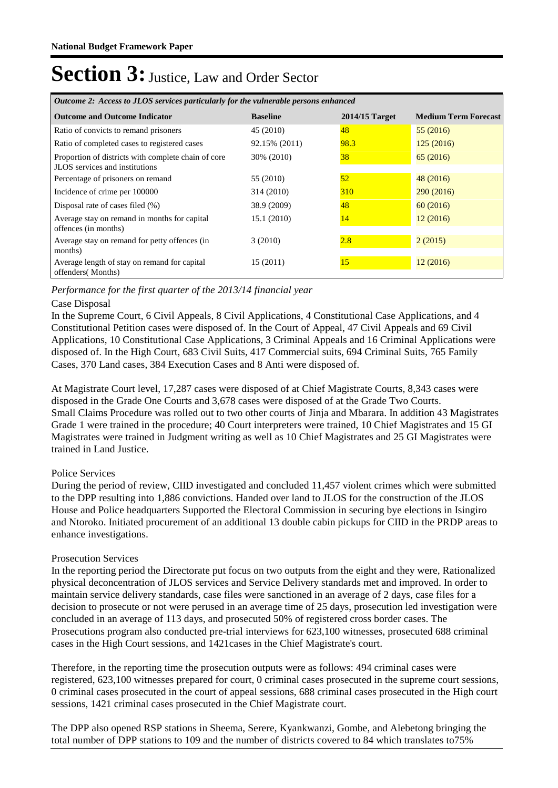| Outcome 2: Access to JLOS services particularly for the vulnerable persons enhanced   |                 |                  |                             |  |  |  |
|---------------------------------------------------------------------------------------|-----------------|------------------|-----------------------------|--|--|--|
| <b>Outcome and Outcome Indicator</b>                                                  | <b>Baseline</b> | $2014/15$ Target | <b>Medium Term Forecast</b> |  |  |  |
| Ratio of convicts to remand prisoners                                                 | 45 (2010)       | 48               | 55(2016)                    |  |  |  |
| Ratio of completed cases to registered cases                                          | 92.15% (2011)   | 98.3             | 125(2016)                   |  |  |  |
| Proportion of districts with complete chain of core<br>JLOS services and institutions | 30% (2010)      | 38               | 65(2016)                    |  |  |  |
| Percentage of prisoners on remand                                                     | 55 (2010)       | 52               | 48(2016)                    |  |  |  |
| Incidence of crime per 100000                                                         | 314 (2010)      | 310              | 290 (2016)                  |  |  |  |
| Disposal rate of cases filed (%)                                                      | 38.9 (2009)     | 48               | 60(2016)                    |  |  |  |
| Average stay on remand in months for capital<br>offences (in months)                  | 15.1(2010)      | 14               | 12(2016)                    |  |  |  |
| Average stay on remand for petty offences (in<br>months)                              | 3(2010)         | 2.8              | 2(2015)                     |  |  |  |
| Average length of stay on remand for capital<br>offenders(Months)                     | 15(2011)        | 15               | 12(2016)                    |  |  |  |

### *Performance for the first quarter of the 2013/14 financial year*

#### Case Disposal

In the Supreme Court, 6 Civil Appeals, 8 Civil Applications, 4 Constitutional Case Applications, and 4 Constitutional Petition cases were disposed of. In the Court of Appeal, 47 Civil Appeals and 69 Civil Applications, 10 Constitutional Case Applications, 3 Criminal Appeals and 16 Criminal Applications were disposed of. In the High Court, 683 Civil Suits, 417 Commercial suits, 694 Criminal Suits, 765 Family Cases, 370 Land cases, 384 Execution Cases and 8 Anti were disposed of.

At Magistrate Court level, 17,287 cases were disposed of at Chief Magistrate Courts, 8,343 cases were disposed in the Grade One Courts and 3,678 cases were disposed of at the Grade Two Courts. Small Claims Procedure was rolled out to two other courts of Jinja and Mbarara. In addition 43 Magistrates Grade 1 were trained in the procedure; 40 Court interpreters were trained, 10 Chief Magistrates and 15 GI Magistrates were trained in Judgment writing as well as 10 Chief Magistrates and 25 GI Magistrates were trained in Land Justice.

### Police Services

During the period of review, CIID investigated and concluded 11,457 violent crimes which were submitted to the DPP resulting into 1,886 convictions. Handed over land to JLOS for the construction of the JLOS House and Police headquarters Supported the Electoral Commission in securing bye elections in Isingiro and Ntoroko. Initiated procurement of an additional 13 double cabin pickups for CIID in the PRDP areas to enhance investigations.

#### Prosecution Services

In the reporting period the Directorate put focus on two outputs from the eight and they were, Rationalized physical deconcentration of JLOS services and Service Delivery standards met and improved. In order to maintain service delivery standards, case files were sanctioned in an average of 2 days, case files for a decision to prosecute or not were perused in an average time of 25 days, prosecution led investigation were concluded in an average of 113 days, and prosecuted 50% of registered cross border cases. The Prosecutions program also conducted pre-trial interviews for 623,100 witnesses, prosecuted 688 criminal cases in the High Court sessions, and 1421cases in the Chief Magistrate's court.

Therefore, in the reporting time the prosecution outputs were as follows: 494 criminal cases were registered, 623,100 witnesses prepared for court, 0 criminal cases prosecuted in the supreme court sessions, 0 criminal cases prosecuted in the court of appeal sessions, 688 criminal cases prosecuted in the High court sessions, 1421 criminal cases prosecuted in the Chief Magistrate court.

The DPP also opened RSP stations in Sheema, Serere, Kyankwanzi, Gombe, and Alebetong bringing the total number of DPP stations to 109 and the number of districts covered to 84 which translates to75%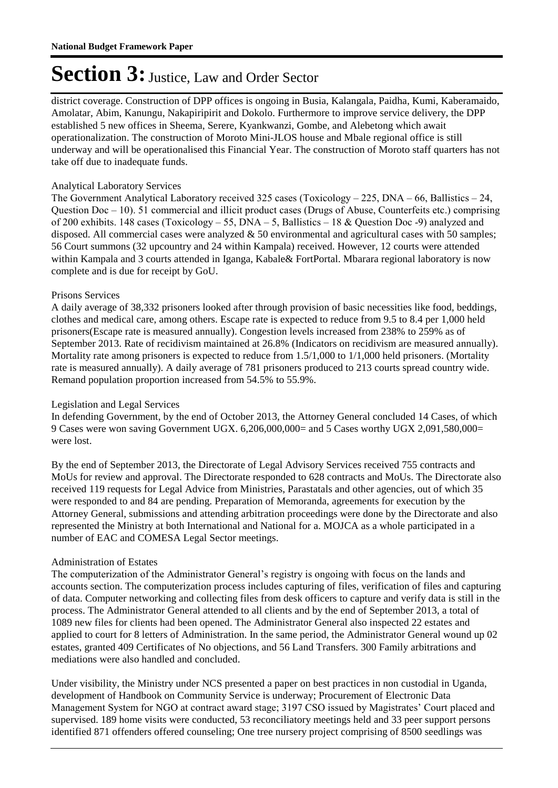district coverage. Construction of DPP offices is ongoing in Busia, Kalangala, Paidha, Kumi, Kaberamaido, Amolatar, Abim, Kanungu, Nakapiripirit and Dokolo. Furthermore to improve service delivery, the DPP established 5 new offices in Sheema, Serere, Kyankwanzi, Gombe, and Alebetong which await operationalization. The construction of Moroto Mini-JLOS house and Mbale regional office is still underway and will be operationalised this Financial Year. The construction of Moroto staff quarters has not take off due to inadequate funds.

### Analytical Laboratory Services

The Government Analytical Laboratory received 325 cases (Toxicology – 225, DNA – 66, Ballistics – 24, Question Doc – 10). 51 commercial and illicit product cases (Drugs of Abuse, Counterfeits etc.) comprising of 200 exhibits. 148 cases (Toxicology – 55, DNA – 5, Ballistics – 18 & Question Doc -9) analyzed and disposed. All commercial cases were analyzed & 50 environmental and agricultural cases with 50 samples; 56 Court summons (32 upcountry and 24 within Kampala) received. However, 12 courts were attended within Kampala and 3 courts attended in Iganga, Kabale& FortPortal. Mbarara regional laboratory is now complete and is due for receipt by GoU.

#### Prisons Services

A daily average of 38,332 prisoners looked after through provision of basic necessities like food, beddings, clothes and medical care, among others. Escape rate is expected to reduce from 9.5 to 8.4 per 1,000 held prisoners(Escape rate is measured annually). Congestion levels increased from 238% to 259% as of September 2013. Rate of recidivism maintained at 26.8% (Indicators on recidivism are measured annually). Mortality rate among prisoners is expected to reduce from 1.5/1,000 to 1/1,000 held prisoners. (Mortality rate is measured annually). A daily average of 781 prisoners produced to 213 courts spread country wide. Remand population proportion increased from 54.5% to 55.9%.

### Legislation and Legal Services

In defending Government, by the end of October 2013, the Attorney General concluded 14 Cases, of which 9 Cases were won saving Government UGX. 6,206,000,000= and 5 Cases worthy UGX 2,091,580,000= were lost.

By the end of September 2013, the Directorate of Legal Advisory Services received 755 contracts and MoUs for review and approval. The Directorate responded to 628 contracts and MoUs. The Directorate also received 119 requests for Legal Advice from Ministries, Parastatals and other agencies, out of which 35 were responded to and 84 are pending. Preparation of Memoranda, agreements for execution by the Attorney General, submissions and attending arbitration proceedings were done by the Directorate and also represented the Ministry at both International and National for a. MOJCA as a whole participated in a number of EAC and COMESA Legal Sector meetings.

#### Administration of Estates

The computerization of the Administrator General's registry is ongoing with focus on the lands and accounts section. The computerization process includes capturing of files, verification of files and capturing of data. Computer networking and collecting files from desk officers to capture and verify data is still in the process. The Administrator General attended to all clients and by the end of September 2013, a total of 1089 new files for clients had been opened. The Administrator General also inspected 22 estates and applied to court for 8 letters of Administration. In the same period, the Administrator General wound up 02 estates, granted 409 Certificates of No objections, and 56 Land Transfers. 300 Family arbitrations and mediations were also handled and concluded.

Under visibility, the Ministry under NCS presented a paper on best practices in non custodial in Uganda, development of Handbook on Community Service is underway; Procurement of Electronic Data Management System for NGO at contract award stage; 3197 CSO issued by Magistrates' Court placed and supervised. 189 home visits were conducted, 53 reconciliatory meetings held and 33 peer support persons identified 871 offenders offered counseling; One tree nursery project comprising of 8500 seedlings was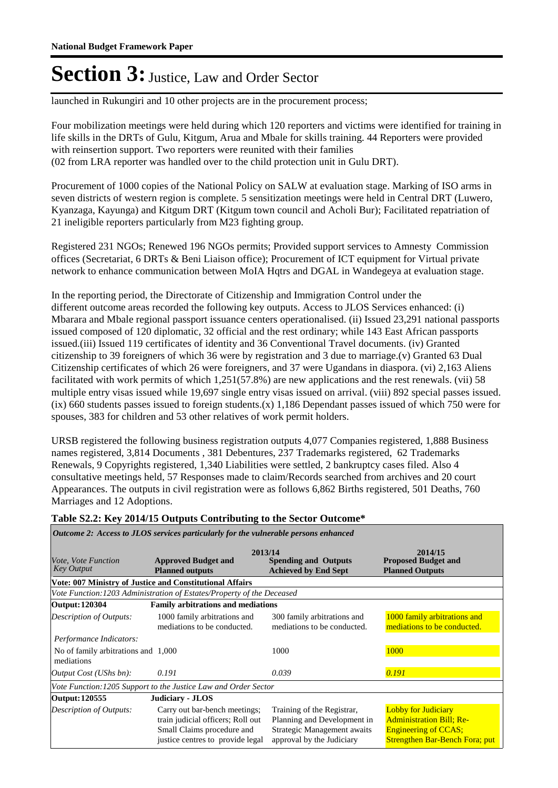launched in Rukungiri and 10 other projects are in the procurement process;

Four mobilization meetings were held during which 120 reporters and victims were identified for training in life skills in the DRTs of Gulu, Kitgum, Arua and Mbale for skills training. 44 Reporters were provided with reinsertion support. Two reporters were reunited with their families (02 from LRA reporter was handled over to the child protection unit in Gulu DRT).

Procurement of 1000 copies of the National Policy on SALW at evaluation stage. Marking of ISO arms in seven districts of western region is complete. 5 sensitization meetings were held in Central DRT (Luwero, Kyanzaga, Kayunga) and Kitgum DRT (Kitgum town council and Acholi Bur); Facilitated repatriation of 21 ineligible reporters particularly from M23 fighting group.

Registered 231 NGOs; Renewed 196 NGOs permits; Provided support services to Amnesty Commission offices (Secretariat, 6 DRTs & Beni Liaison office); Procurement of ICT equipment for Virtual private network to enhance communication between MoIA Hqtrs and DGAL in Wandegeya at evaluation stage.

In the reporting period, the Directorate of Citizenship and Immigration Control under the different outcome areas recorded the following key outputs. Access to JLOS Services enhanced: (i) Mbarara and Mbale regional passport issuance centers operationalised. (ii) Issued 23,291 national passports issued composed of 120 diplomatic, 32 official and the rest ordinary; while 143 East African passports issued.(iii) Issued 119 certificates of identity and 36 Conventional Travel documents. (iv) Granted citizenship to 39 foreigners of which 36 were by registration and 3 due to marriage.(v) Granted 63 Dual Citizenship certificates of which 26 were foreigners, and 37 were Ugandans in diaspora. (vi) 2,163 Aliens facilitated with work permits of which 1,251(57.8%) are new applications and the rest renewals. (vii) 58 multiple entry visas issued while 19,697 single entry visas issued on arrival. (viii) 892 special passes issued. (ix) 660 students passes issued to foreign students.(x) 1,186 Dependant passes issued of which 750 were for spouses, 383 for children and 53 other relatives of work permit holders.

URSB registered the following business registration outputs 4,077 Companies registered, 1,888 Business names registered, 3,814 Documents , 381 Debentures, 237 Trademarks registered, 62 Trademarks Renewals, 9 Copyrights registered, 1,340 Liabilities were settled, 2 bankruptcy cases filed. Also 4 consultative meetings held, 57 Responses made to claim/Records searched from archives and 20 court Appearances. The outputs in civil registration were as follows 6,862 Births registered, 501 Deaths, 760 Marriages and 12 Adoptions.

| Outcome 2: Access to JLOS services particularly for the vulnerable persons enhanced |                                                                                                                                      |                                                                                                                       |                                                                                                                                       |  |  |
|-------------------------------------------------------------------------------------|--------------------------------------------------------------------------------------------------------------------------------------|-----------------------------------------------------------------------------------------------------------------------|---------------------------------------------------------------------------------------------------------------------------------------|--|--|
| <i>Vote, Vote Function</i><br><b>Key Output</b>                                     | 2013/14<br><b>Approved Budget and</b><br><b>Planned outputs</b>                                                                      | <b>Spending and Outputs</b><br><b>Achieved by End Sept</b>                                                            | 2014/15<br><b>Proposed Budget and</b><br><b>Planned Outputs</b>                                                                       |  |  |
|                                                                                     | Vote: 007 Ministry of Justice and Constitutional Affairs                                                                             |                                                                                                                       |                                                                                                                                       |  |  |
|                                                                                     | Vote Function: 1203 Administration of Estates/Property of the Deceased                                                               |                                                                                                                       |                                                                                                                                       |  |  |
| Output: 120304                                                                      | <b>Family arbitrations and mediations</b>                                                                                            |                                                                                                                       |                                                                                                                                       |  |  |
| <b>Description of Outputs:</b>                                                      | 1000 family arbitrations and<br>mediations to be conducted.                                                                          | 300 family arbitrations and<br>mediations to be conducted.                                                            | 1000 family arbitrations and<br>mediations to be conducted.                                                                           |  |  |
| Performance Indicators:                                                             |                                                                                                                                      |                                                                                                                       |                                                                                                                                       |  |  |
| No of family arbitrations and 1,000<br>mediations                                   |                                                                                                                                      | 1000                                                                                                                  | 1000                                                                                                                                  |  |  |
| Output Cost (UShs bn):                                                              | 0.191                                                                                                                                | 0.039                                                                                                                 | 0.191                                                                                                                                 |  |  |
|                                                                                     | Vote Function: 1205 Support to the Justice Law and Order Sector                                                                      |                                                                                                                       |                                                                                                                                       |  |  |
| Output: 120555                                                                      | Judiciary - JLOS                                                                                                                     |                                                                                                                       |                                                                                                                                       |  |  |
| <b>Description of Outputs:</b>                                                      | Carry out bar-bench meetings;<br>train judicial officers; Roll out<br>Small Claims procedure and<br>justice centres to provide legal | Training of the Registrar,<br>Planning and Development in<br>Strategic Management awaits<br>approval by the Judiciary | <b>Lobby for Judiciary</b><br><b>Administration Bill; Re-</b><br><b>Engineering of CCAS;</b><br><b>Strengthen Bar-Bench Fora; put</b> |  |  |

**Table S2.2: Key 2014/15 Outputs Contributing to the Sector Outcome\***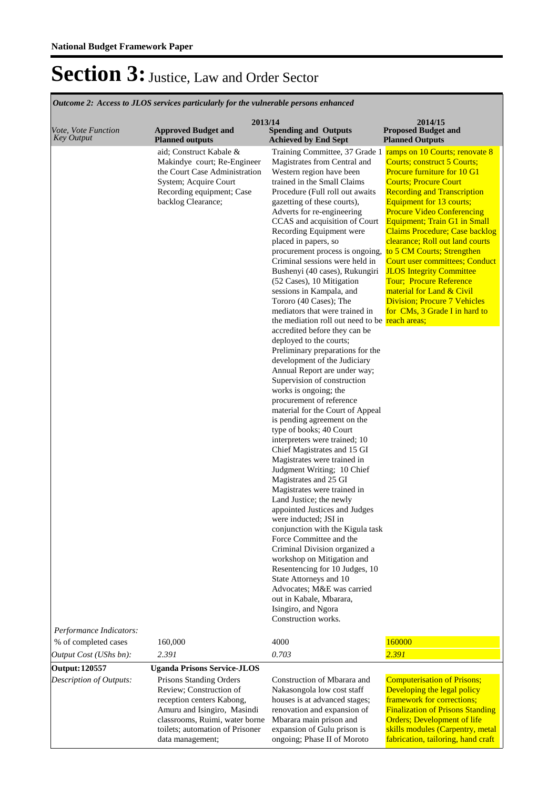*Outcome 2: Access to JLOS services particularly for the vulnerable persons enhanced*

| Vote, Vote Function<br>Key Output | 2013/14<br><b>Approved Budget and</b><br><b>Planned outputs</b>                                                                                                                                         | <b>Spending and Outputs</b><br><b>Achieved by End Sept</b>                                                                                                                                                                                                                                                                                                                                                                                                                                                                                                                                                                                                                                                                                                                                                                                                                                                                                                                                                                                                                                                                                                                                                                                                                                                                                                                                                                                                                                         | 2014/15<br><b>Proposed Budget and</b><br><b>Planned Outputs</b>                                                                                                                                                                                                                                                                                                                                                                                                                                                                                                                                                        |
|-----------------------------------|---------------------------------------------------------------------------------------------------------------------------------------------------------------------------------------------------------|----------------------------------------------------------------------------------------------------------------------------------------------------------------------------------------------------------------------------------------------------------------------------------------------------------------------------------------------------------------------------------------------------------------------------------------------------------------------------------------------------------------------------------------------------------------------------------------------------------------------------------------------------------------------------------------------------------------------------------------------------------------------------------------------------------------------------------------------------------------------------------------------------------------------------------------------------------------------------------------------------------------------------------------------------------------------------------------------------------------------------------------------------------------------------------------------------------------------------------------------------------------------------------------------------------------------------------------------------------------------------------------------------------------------------------------------------------------------------------------------------|------------------------------------------------------------------------------------------------------------------------------------------------------------------------------------------------------------------------------------------------------------------------------------------------------------------------------------------------------------------------------------------------------------------------------------------------------------------------------------------------------------------------------------------------------------------------------------------------------------------------|
|                                   | aid; Construct Kabale &<br>Makindye court; Re-Engineer<br>the Court Case Administration<br>System; Acquire Court<br>Recording equipment; Case<br>backlog Clearance;                                     | Training Committee, 37 Grade 1<br>Magistrates from Central and<br>Western region have been<br>trained in the Small Claims<br>Procedure (Full roll out awaits<br>gazetting of these courts),<br>Adverts for re-engineering<br>CCAS and acquisition of Court<br>Recording Equipment were<br>placed in papers, so<br>procurement process is ongoing,<br>Criminal sessions were held in<br>Bushenyi (40 cases), Rukungiri<br>(52 Cases), 10 Mitigation<br>sessions in Kampala, and<br>Tororo (40 Cases); The<br>mediators that were trained in<br>the mediation roll out need to be reach areas;<br>accredited before they can be<br>deployed to the courts;<br>Preliminary preparations for the<br>development of the Judiciary<br>Annual Report are under way;<br>Supervision of construction<br>works is ongoing; the<br>procurement of reference<br>material for the Court of Appeal<br>is pending agreement on the<br>type of books; 40 Court<br>interpreters were trained; 10<br>Chief Magistrates and 15 GI<br>Magistrates were trained in<br>Judgment Writing; 10 Chief<br>Magistrates and 25 GI<br>Magistrates were trained in<br>Land Justice; the newly<br>appointed Justices and Judges<br>were inducted; JSI in<br>conjunction with the Kigula task<br>Force Committee and the<br>Criminal Division organized a<br>workshop on Mitigation and<br>Resentencing for 10 Judges, 10<br>State Attorneys and 10<br>Advocates; M&E was carried<br>out in Kabale, Mbarara,<br>Isingiro, and Ngora | ramps on 10 Courts; renovate 8<br><b>Courts</b> ; construct 5 Courts;<br><b>Procure furniture for 10 G1</b><br><b>Courts; Procure Court</b><br><b>Recording and Transcription</b><br><b>Equipment for 13 courts;</b><br><b>Procure Video Conferencing</b><br>Equipment; Train G1 in Small<br><b>Claims Procedure; Case backlog</b><br>clearance; Roll out land courts<br>to 5 CM Courts; Strengthen<br><b>Court user committees; Conduct</b><br><b>JLOS Integrity Committee</b><br><b>Tour; Procure Reference</b><br>material for Land & Civil<br><b>Division; Procure 7 Vehicles</b><br>for CMs, 3 Grade I in hard to |
| Performance Indicators:           |                                                                                                                                                                                                         | Construction works.                                                                                                                                                                                                                                                                                                                                                                                                                                                                                                                                                                                                                                                                                                                                                                                                                                                                                                                                                                                                                                                                                                                                                                                                                                                                                                                                                                                                                                                                                |                                                                                                                                                                                                                                                                                                                                                                                                                                                                                                                                                                                                                        |
| % of completed cases              | 160,000                                                                                                                                                                                                 | 4000                                                                                                                                                                                                                                                                                                                                                                                                                                                                                                                                                                                                                                                                                                                                                                                                                                                                                                                                                                                                                                                                                                                                                                                                                                                                                                                                                                                                                                                                                               | 160000                                                                                                                                                                                                                                                                                                                                                                                                                                                                                                                                                                                                                 |
| Output Cost (UShs bn):            | 2.391                                                                                                                                                                                                   | 0.703                                                                                                                                                                                                                                                                                                                                                                                                                                                                                                                                                                                                                                                                                                                                                                                                                                                                                                                                                                                                                                                                                                                                                                                                                                                                                                                                                                                                                                                                                              | 2.391                                                                                                                                                                                                                                                                                                                                                                                                                                                                                                                                                                                                                  |
| <b>Output: 120557</b>             | <b>Uganda Prisons Service-JLOS</b>                                                                                                                                                                      |                                                                                                                                                                                                                                                                                                                                                                                                                                                                                                                                                                                                                                                                                                                                                                                                                                                                                                                                                                                                                                                                                                                                                                                                                                                                                                                                                                                                                                                                                                    |                                                                                                                                                                                                                                                                                                                                                                                                                                                                                                                                                                                                                        |
| Description of Outputs:           | Prisons Standing Orders<br>Review; Construction of<br>reception centers Kabong,<br>Amuru and Isingiro, Masindi<br>classrooms, Ruimi, water borne<br>toilets; automation of Prisoner<br>data management; | Construction of Mbarara and<br>Nakasongola low cost staff<br>houses is at advanced stages;<br>renovation and expansion of<br>Mbarara main prison and<br>expansion of Gulu prison is<br>ongoing; Phase II of Moroto                                                                                                                                                                                                                                                                                                                                                                                                                                                                                                                                                                                                                                                                                                                                                                                                                                                                                                                                                                                                                                                                                                                                                                                                                                                                                 | <b>Computerisation of Prisons;</b><br>Developing the legal policy<br>framework for corrections;<br><b>Finalization of Prisons Standing</b><br><b>Orders</b> ; Development of life<br>skills modules (Carpentry, metal<br>fabrication, tailoring, hand craft                                                                                                                                                                                                                                                                                                                                                            |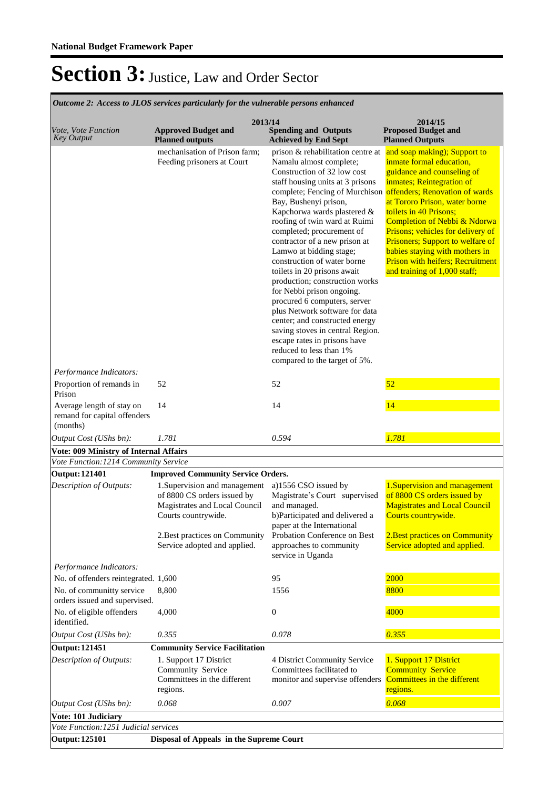*Outcome 2: Access to JLOS services particularly for the vulnerable persons enhanced*

|                                                                       | 2013/14                                                                                                                                                                                                                             |                                                                                                                                                                                                                                                                                                                                                                                                                                                                                                                                                                                                                                                                                                                                                     | 2014/15                                                                                                                                                                                                                                                                                                                                                                                       |
|-----------------------------------------------------------------------|-------------------------------------------------------------------------------------------------------------------------------------------------------------------------------------------------------------------------------------|-----------------------------------------------------------------------------------------------------------------------------------------------------------------------------------------------------------------------------------------------------------------------------------------------------------------------------------------------------------------------------------------------------------------------------------------------------------------------------------------------------------------------------------------------------------------------------------------------------------------------------------------------------------------------------------------------------------------------------------------------------|-----------------------------------------------------------------------------------------------------------------------------------------------------------------------------------------------------------------------------------------------------------------------------------------------------------------------------------------------------------------------------------------------|
| <i>Vote, Vote Function</i><br><b>Key Output</b>                       | <b>Approved Budget and</b><br><b>Planned outputs</b>                                                                                                                                                                                | <b>Spending and Outputs</b><br><b>Achieved by End Sept</b>                                                                                                                                                                                                                                                                                                                                                                                                                                                                                                                                                                                                                                                                                          | <b>Proposed Budget and</b><br><b>Planned Outputs</b>                                                                                                                                                                                                                                                                                                                                          |
|                                                                       | mechanisation of Prison farm;<br>Feeding prisoners at Court                                                                                                                                                                         | prison & rehabilitation centre at<br>Namalu almost complete;<br>Construction of 32 low cost<br>staff housing units at 3 prisons<br>complete; Fencing of Murchison offenders; Renovation of wards<br>Bay, Bushenyi prison,<br>Kapchorwa wards plastered &<br>roofing of twin ward at Ruimi<br>completed; procurement of<br>contractor of a new prison at<br>Lamwo at bidding stage;<br>construction of water borne<br>toilets in 20 prisons await<br>production; construction works<br>for Nebbi prison ongoing.<br>procured 6 computers, server<br>plus Network software for data<br>center; and constructed energy<br>saving stoves in central Region.<br>escape rates in prisons have<br>reduced to less than 1%<br>compared to the target of 5%. | and soap making); Support to<br>inmate formal education,<br>guidance and counseling of<br>inmates; Reintegration of<br>at Tororo Prison, water borne<br>toilets in 40 Prisons:<br>Completion of Nebbi & Ndorwa<br>Prisons; vehicles for delivery of<br>Prisoners; Support to welfare of<br>babies staying with mothers in<br>Prison with heifers; Recruitment<br>and training of 1,000 staff; |
| Performance Indicators:<br>Proportion of remands in                   | 52                                                                                                                                                                                                                                  | 52                                                                                                                                                                                                                                                                                                                                                                                                                                                                                                                                                                                                                                                                                                                                                  | 52                                                                                                                                                                                                                                                                                                                                                                                            |
| Prison                                                                |                                                                                                                                                                                                                                     |                                                                                                                                                                                                                                                                                                                                                                                                                                                                                                                                                                                                                                                                                                                                                     |                                                                                                                                                                                                                                                                                                                                                                                               |
| Average length of stay on<br>remand for capital offenders<br>(months) | 14                                                                                                                                                                                                                                  | 14                                                                                                                                                                                                                                                                                                                                                                                                                                                                                                                                                                                                                                                                                                                                                  | 14                                                                                                                                                                                                                                                                                                                                                                                            |
| Output Cost (UShs bn):                                                | 1.781                                                                                                                                                                                                                               | 0.594                                                                                                                                                                                                                                                                                                                                                                                                                                                                                                                                                                                                                                                                                                                                               | 1.781                                                                                                                                                                                                                                                                                                                                                                                         |
| <b>Vote: 009 Ministry of Internal Affairs</b>                         |                                                                                                                                                                                                                                     |                                                                                                                                                                                                                                                                                                                                                                                                                                                                                                                                                                                                                                                                                                                                                     |                                                                                                                                                                                                                                                                                                                                                                                               |
| Vote Function: 1214 Community Service                                 |                                                                                                                                                                                                                                     |                                                                                                                                                                                                                                                                                                                                                                                                                                                                                                                                                                                                                                                                                                                                                     |                                                                                                                                                                                                                                                                                                                                                                                               |
| <b>Output: 121401</b><br>Description of Outputs:                      | <b>Improved Community Service Orders.</b><br>1. Supervision and management<br>of 8800 CS orders issued by<br>Magistrates and Local Council<br>Courts countrywide.<br>2. Best practices on Community<br>Service adopted and applied. | a)1556 CSO issued by<br>Magistrate's Court supervised<br>and managed.<br>b)Participated and delivered a<br>paper at the International<br>Probation Conference on Best<br>approaches to community<br>service in Uganda                                                                                                                                                                                                                                                                                                                                                                                                                                                                                                                               | 1. Supervision and management<br>of 8800 CS orders issued by<br><b>Magistrates and Local Council</b><br>Courts countrywide.<br>2. Best practices on Community<br>Service adopted and applied.                                                                                                                                                                                                 |
| Performance Indicators:                                               |                                                                                                                                                                                                                                     |                                                                                                                                                                                                                                                                                                                                                                                                                                                                                                                                                                                                                                                                                                                                                     |                                                                                                                                                                                                                                                                                                                                                                                               |
| No. of offenders reintegrated. 1,600                                  |                                                                                                                                                                                                                                     | 95                                                                                                                                                                                                                                                                                                                                                                                                                                                                                                                                                                                                                                                                                                                                                  | 2000                                                                                                                                                                                                                                                                                                                                                                                          |
| No. of communitty service<br>orders issued and supervised.            | 8,800                                                                                                                                                                                                                               | 1556                                                                                                                                                                                                                                                                                                                                                                                                                                                                                                                                                                                                                                                                                                                                                | 8800                                                                                                                                                                                                                                                                                                                                                                                          |
| No. of eligible offenders<br>identified.                              | 4,000                                                                                                                                                                                                                               | $\boldsymbol{0}$                                                                                                                                                                                                                                                                                                                                                                                                                                                                                                                                                                                                                                                                                                                                    | 4000                                                                                                                                                                                                                                                                                                                                                                                          |
| Output Cost (UShs bn):                                                | 0.355                                                                                                                                                                                                                               | 0.078                                                                                                                                                                                                                                                                                                                                                                                                                                                                                                                                                                                                                                                                                                                                               | 0.355                                                                                                                                                                                                                                                                                                                                                                                         |
| <b>Output: 121451</b>                                                 | <b>Community Service Facilitation</b>                                                                                                                                                                                               |                                                                                                                                                                                                                                                                                                                                                                                                                                                                                                                                                                                                                                                                                                                                                     |                                                                                                                                                                                                                                                                                                                                                                                               |
| Description of Outputs:                                               | 1. Support 17 District<br>Community Service<br>Committees in the different<br>regions.                                                                                                                                              | 4 District Community Service<br>Committees facilitated to<br>monitor and supervise offenders                                                                                                                                                                                                                                                                                                                                                                                                                                                                                                                                                                                                                                                        | 1. Support 17 District<br><b>Community Service</b><br>Committees in the different<br>regions.                                                                                                                                                                                                                                                                                                 |
| Output Cost (UShs bn):                                                | 0.068                                                                                                                                                                                                                               | 0.007                                                                                                                                                                                                                                                                                                                                                                                                                                                                                                                                                                                                                                                                                                                                               | 0.068                                                                                                                                                                                                                                                                                                                                                                                         |
| <b>Vote: 101 Judiciary</b>                                            |                                                                                                                                                                                                                                     |                                                                                                                                                                                                                                                                                                                                                                                                                                                                                                                                                                                                                                                                                                                                                     |                                                                                                                                                                                                                                                                                                                                                                                               |
| Vote Function: 1251 Judicial services                                 |                                                                                                                                                                                                                                     |                                                                                                                                                                                                                                                                                                                                                                                                                                                                                                                                                                                                                                                                                                                                                     |                                                                                                                                                                                                                                                                                                                                                                                               |
| <b>Output: 125101</b>                                                 | Disposal of Appeals in the Supreme Court                                                                                                                                                                                            |                                                                                                                                                                                                                                                                                                                                                                                                                                                                                                                                                                                                                                                                                                                                                     |                                                                                                                                                                                                                                                                                                                                                                                               |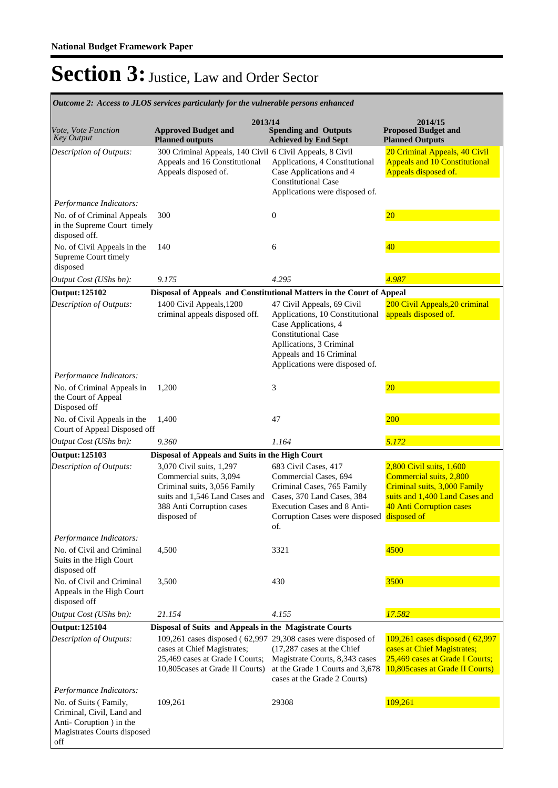**Spending and Outputs Achieved by End Sept Approved Budget and Planned outputs Proposed Budget and Planned Outputs 2013/14** *Vote, Vote Function Key Output* **2014/15** *Outcome 2: Access to JLOS services particularly for the vulnerable persons enhanced* 300 Criminal Appeals, 140 Civil 6 Civil Appeals, 8 Civil Appeals and 16 Constitutional Appeals disposed of. Applications, 4 Constitutional Case Applications and 4 Constitutional Case Applications were disposed of. 20 Criminal Appeals, 40 Civil Appeals and 10 Constitutional Appeals disposed of. *Output Cost (UShs bn): 9.175 4.295 4.987 Description of Outputs: Performance Indicators:* No. of of Criminal Appeals in the Supreme Court timely disposed off. 300 0 0 20 No. of Civil Appeals in the Supreme Court timely disposed  $140$  6  $\frac{40}{2}$ **Output: 125102 Disposal of Appeals and Constitutional Matters in the Court of Appeal** 1400 Civil Appeals,1200 criminal appeals disposed off. 47 Civil Appeals, 69 Civil Applications, 10 Constitutional Case Applications, 4 Constitutional Case Apllications, 3 Criminal Appeals and 16 Criminal Applications were disposed of. 200 Civil Appeals,20 criminal appeals disposed of. *Output Cost (UShs bn): 9.360 1.164 5.172 Description of Outputs: Performance Indicators:* No. of Criminal Appeals in the Court of Appeal Disposed off 1,200 3 20 No. of Civil Appeals in the Court of Appeal Disposed off 1,400 47 200 **Output: 125103 Disposal of Appeals and Suits in the High Court** 3,070 Civil suits, 1,297 Commercial suits, 3,094 Criminal suits, 3,056 Family suits and 1,546 Land Cases and 388 Anti Corruption cases disposed of 683 Civil Cases, 417 Commercial Cases, 694 Criminal Cases, 765 Family Cases, 370 Land Cases, 384 Execution Cases and 8 Anti-Corruption Cases were disposed disposed of of. 2,800 Civil suits, 1,600 Commercial suits, 2,800 Criminal suits, 3,000 Family suits and 1,400 Land Cases and 40 Anti Corruption cases *Output Cost (UShs bn): 21.154 4.155 17.582 Description of Outputs: Performance Indicators:* No. of Civil and Criminal Suits in the High Court disposed off 4,500 3321 4500 No. of Civil and Criminal Appeals in the High Court disposed off 3,500 430 430 3500 **Output: 125104 Disposal of Suits and Appeals in the Magistrate Courts** 109,261 cases disposed ( 62,997 29,308 cases were disposed of cases at Chief Magistrates; 25,469 cases at Grade I Courts; 10,805cases at Grade II Courts) (17,287 cases at the Chief Magistrate Courts, 8,343 cases at the Grade 1 Courts and 3,678 cases at the Grade 2 Courts) 109,261 cases disposed ( 62,997 cases at Chief Magistrates; 25,469 cases at Grade I Courts; 10,805cases at Grade II Courts) *Description of Outputs: Performance Indicators:* No. of Suits ( Family, Criminal, Civil, Land and Anti- Coruption ) in the Magistrates Courts disposed off 109,261 29308 29308 109,261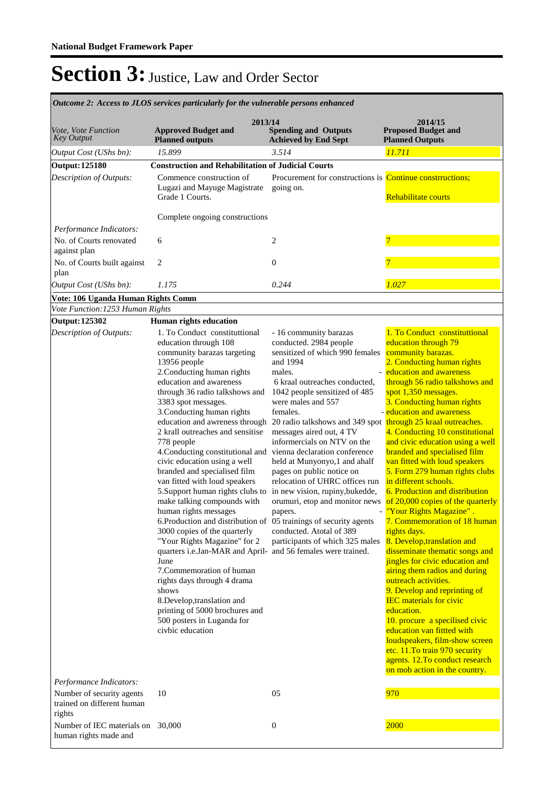| Outcome 2: Access to JLOS services particularly for the vulnerable persons enhanced |                                                                                                                                                                                                                                                                                                                                                                                                                                                                                                                                                                                                                                                                                                                                                                                                                                                                                                                                                   |                                                                                                                                                                                                                                                                                                                                                                                                                                                                                                                                                                                                                        |                                                                                                                                                                                                                                                                                                                                                                                                                                                                                                                                                                                                                                                                                                                                                                                                                                                                                                                                                                                                                                                                                                          |  |
|-------------------------------------------------------------------------------------|---------------------------------------------------------------------------------------------------------------------------------------------------------------------------------------------------------------------------------------------------------------------------------------------------------------------------------------------------------------------------------------------------------------------------------------------------------------------------------------------------------------------------------------------------------------------------------------------------------------------------------------------------------------------------------------------------------------------------------------------------------------------------------------------------------------------------------------------------------------------------------------------------------------------------------------------------|------------------------------------------------------------------------------------------------------------------------------------------------------------------------------------------------------------------------------------------------------------------------------------------------------------------------------------------------------------------------------------------------------------------------------------------------------------------------------------------------------------------------------------------------------------------------------------------------------------------------|----------------------------------------------------------------------------------------------------------------------------------------------------------------------------------------------------------------------------------------------------------------------------------------------------------------------------------------------------------------------------------------------------------------------------------------------------------------------------------------------------------------------------------------------------------------------------------------------------------------------------------------------------------------------------------------------------------------------------------------------------------------------------------------------------------------------------------------------------------------------------------------------------------------------------------------------------------------------------------------------------------------------------------------------------------------------------------------------------------|--|
| Vote, Vote Function<br><b>Key Output</b>                                            | 2013/14<br><b>Approved Budget and</b><br><b>Planned outputs</b>                                                                                                                                                                                                                                                                                                                                                                                                                                                                                                                                                                                                                                                                                                                                                                                                                                                                                   | <b>Spending and Outputs</b><br><b>Achieved by End Sept</b>                                                                                                                                                                                                                                                                                                                                                                                                                                                                                                                                                             | 2014/15<br><b>Proposed Budget and</b><br><b>Planned Outputs</b>                                                                                                                                                                                                                                                                                                                                                                                                                                                                                                                                                                                                                                                                                                                                                                                                                                                                                                                                                                                                                                          |  |
| Output Cost (UShs bn):                                                              | 15.899                                                                                                                                                                                                                                                                                                                                                                                                                                                                                                                                                                                                                                                                                                                                                                                                                                                                                                                                            | 3.514                                                                                                                                                                                                                                                                                                                                                                                                                                                                                                                                                                                                                  | 11.711                                                                                                                                                                                                                                                                                                                                                                                                                                                                                                                                                                                                                                                                                                                                                                                                                                                                                                                                                                                                                                                                                                   |  |
| <b>Output: 125180</b>                                                               | <b>Construction and Rehabilitation of Judicial Courts</b>                                                                                                                                                                                                                                                                                                                                                                                                                                                                                                                                                                                                                                                                                                                                                                                                                                                                                         |                                                                                                                                                                                                                                                                                                                                                                                                                                                                                                                                                                                                                        |                                                                                                                                                                                                                                                                                                                                                                                                                                                                                                                                                                                                                                                                                                                                                                                                                                                                                                                                                                                                                                                                                                          |  |
| Description of Outputs:                                                             | Commence construction of<br>Lugazi and Mayuge Magistrate<br>Grade 1 Courts.                                                                                                                                                                                                                                                                                                                                                                                                                                                                                                                                                                                                                                                                                                                                                                                                                                                                       | Procurement for constructions is <b>Continue constructions</b> ;<br>going on.                                                                                                                                                                                                                                                                                                                                                                                                                                                                                                                                          | Rehabilitate courts                                                                                                                                                                                                                                                                                                                                                                                                                                                                                                                                                                                                                                                                                                                                                                                                                                                                                                                                                                                                                                                                                      |  |
|                                                                                     | Complete ongoing constructions                                                                                                                                                                                                                                                                                                                                                                                                                                                                                                                                                                                                                                                                                                                                                                                                                                                                                                                    |                                                                                                                                                                                                                                                                                                                                                                                                                                                                                                                                                                                                                        |                                                                                                                                                                                                                                                                                                                                                                                                                                                                                                                                                                                                                                                                                                                                                                                                                                                                                                                                                                                                                                                                                                          |  |
| Performance Indicators:<br>No. of Courts renovated                                  | 6                                                                                                                                                                                                                                                                                                                                                                                                                                                                                                                                                                                                                                                                                                                                                                                                                                                                                                                                                 | 2                                                                                                                                                                                                                                                                                                                                                                                                                                                                                                                                                                                                                      |                                                                                                                                                                                                                                                                                                                                                                                                                                                                                                                                                                                                                                                                                                                                                                                                                                                                                                                                                                                                                                                                                                          |  |
| against plan                                                                        |                                                                                                                                                                                                                                                                                                                                                                                                                                                                                                                                                                                                                                                                                                                                                                                                                                                                                                                                                   |                                                                                                                                                                                                                                                                                                                                                                                                                                                                                                                                                                                                                        |                                                                                                                                                                                                                                                                                                                                                                                                                                                                                                                                                                                                                                                                                                                                                                                                                                                                                                                                                                                                                                                                                                          |  |
| No. of Courts built against<br>plan                                                 | 2                                                                                                                                                                                                                                                                                                                                                                                                                                                                                                                                                                                                                                                                                                                                                                                                                                                                                                                                                 | $\boldsymbol{0}$                                                                                                                                                                                                                                                                                                                                                                                                                                                                                                                                                                                                       |                                                                                                                                                                                                                                                                                                                                                                                                                                                                                                                                                                                                                                                                                                                                                                                                                                                                                                                                                                                                                                                                                                          |  |
| Output Cost (UShs bn):                                                              | 1.175                                                                                                                                                                                                                                                                                                                                                                                                                                                                                                                                                                                                                                                                                                                                                                                                                                                                                                                                             | 0.244                                                                                                                                                                                                                                                                                                                                                                                                                                                                                                                                                                                                                  | 1.027                                                                                                                                                                                                                                                                                                                                                                                                                                                                                                                                                                                                                                                                                                                                                                                                                                                                                                                                                                                                                                                                                                    |  |
| Vote: 106 Uganda Human Rights Comm                                                  |                                                                                                                                                                                                                                                                                                                                                                                                                                                                                                                                                                                                                                                                                                                                                                                                                                                                                                                                                   |                                                                                                                                                                                                                                                                                                                                                                                                                                                                                                                                                                                                                        |                                                                                                                                                                                                                                                                                                                                                                                                                                                                                                                                                                                                                                                                                                                                                                                                                                                                                                                                                                                                                                                                                                          |  |
| Vote Function: 1253 Human Rights                                                    |                                                                                                                                                                                                                                                                                                                                                                                                                                                                                                                                                                                                                                                                                                                                                                                                                                                                                                                                                   |                                                                                                                                                                                                                                                                                                                                                                                                                                                                                                                                                                                                                        |                                                                                                                                                                                                                                                                                                                                                                                                                                                                                                                                                                                                                                                                                                                                                                                                                                                                                                                                                                                                                                                                                                          |  |
| <b>Output: 125302</b>                                                               | Human rights education                                                                                                                                                                                                                                                                                                                                                                                                                                                                                                                                                                                                                                                                                                                                                                                                                                                                                                                            |                                                                                                                                                                                                                                                                                                                                                                                                                                                                                                                                                                                                                        |                                                                                                                                                                                                                                                                                                                                                                                                                                                                                                                                                                                                                                                                                                                                                                                                                                                                                                                                                                                                                                                                                                          |  |
| Description of Outputs:<br>Performance Indicators:                                  | 1. To Conduct constituttional<br>education through 108<br>community barazas targeting<br>13956 people<br>2. Conducting human rights<br>education and awareness<br>through 36 radio talkshows and<br>3383 spot messages.<br>3. Conducting human rights<br>education and awreness through<br>2 krall outreaches and sensitise<br>778 people<br>4. Conducting constitutional and<br>civic education using a well<br>branded and specialised film<br>van fitted with loud speakers<br>5. Support human rights clubs to<br>make talking compounds with<br>human rights messages<br>6. Production and distribution of 05 trainings of security agents<br>3000 copies of the quarterly<br>"Your Rights Magazine" for 2<br>quarters i.e.Jan-MAR and April-<br>June<br>7. Commemoration of human<br>rights days through 4 drama<br>shows<br>8.Develop, translation and<br>printing of 5000 brochures and<br>500 posters in Luganda for<br>civbic education | - 16 community barazas<br>conducted. 2984 people<br>sensitized of which 990 females<br>and 1994<br>males.<br>6 kraal outreaches conducted,<br>1042 people sensitized of 485<br>were males and 557<br>females.<br>20 radio talkshows and 349 spot through 25 kraal outreaches.<br>messages aired out, 4 TV<br>informercials on NTV on the<br>vienna declaration conference<br>held at Munyonyo, 1 and ahalf<br>pages on public notice on<br>relocation of UHRC offices run<br>in new vision, rupiny, bukedde,<br>papers.<br>conducted. Atotal of 389<br>participants of which 325 males<br>and 56 females were trained. | 1. To Conduct constituttional<br>education through 79<br>community barazas.<br>2. Conducting human rights<br>- education and awareness<br>through 56 radio talkshows and<br>spot 1,350 messages.<br>3. Conducting human rights<br>- education and awareness<br>4. Conducting 10 constitutional<br>and civic education using a well<br>branded and specialised film<br>van fitted with loud speakers<br>5. Form 279 human rights clubs<br>in different schools.<br>6. Production and distribution<br>orumuri, etop and monitor news $of 20,000$ copies of the quarterly<br>- "Your Rights Magazine".<br>7. Commemoration of 18 human<br>rights days.<br>8. Develop, translation and<br>disseminate thematic songs and<br>jingles for civic education and<br>airing them radios and during<br>outreach activities.<br>9. Develop and reprinting of<br><b>IEC</b> materials for civic<br>education.<br>10. procure a specilised civic<br>education van fittted with<br>loudspeakers, film-show screen<br>etc. 11. To train 970 security<br>agents. 12. To conduct research<br>on mob action in the country. |  |
| Number of security agents<br>trained on different human                             | 10                                                                                                                                                                                                                                                                                                                                                                                                                                                                                                                                                                                                                                                                                                                                                                                                                                                                                                                                                | 05                                                                                                                                                                                                                                                                                                                                                                                                                                                                                                                                                                                                                     | 970                                                                                                                                                                                                                                                                                                                                                                                                                                                                                                                                                                                                                                                                                                                                                                                                                                                                                                                                                                                                                                                                                                      |  |
| rights<br>Number of IEC materials on 30,000<br>human rights made and                |                                                                                                                                                                                                                                                                                                                                                                                                                                                                                                                                                                                                                                                                                                                                                                                                                                                                                                                                                   | $\boldsymbol{0}$                                                                                                                                                                                                                                                                                                                                                                                                                                                                                                                                                                                                       | 2000                                                                                                                                                                                                                                                                                                                                                                                                                                                                                                                                                                                                                                                                                                                                                                                                                                                                                                                                                                                                                                                                                                     |  |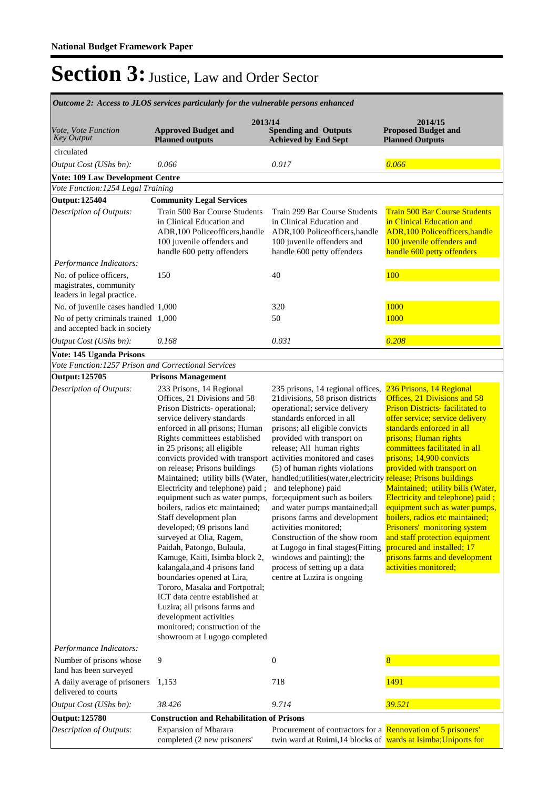| Outcome 2: Access to JLOS services particularly for the vulnerable persons enhanced |                                                                                                                                                                                                                                                                                                                                                                                                                                                                                                                                                                                                                                                                                                                                                                                                                                                            |                                                                                                                                                                                                                                                                                                                                                                                                                                                                                                                                                                                                                                                                                                  |                                                                                                                                                                                                                                                                                                                                                                                                                                                                                                                                                                                                |  |
|-------------------------------------------------------------------------------------|------------------------------------------------------------------------------------------------------------------------------------------------------------------------------------------------------------------------------------------------------------------------------------------------------------------------------------------------------------------------------------------------------------------------------------------------------------------------------------------------------------------------------------------------------------------------------------------------------------------------------------------------------------------------------------------------------------------------------------------------------------------------------------------------------------------------------------------------------------|--------------------------------------------------------------------------------------------------------------------------------------------------------------------------------------------------------------------------------------------------------------------------------------------------------------------------------------------------------------------------------------------------------------------------------------------------------------------------------------------------------------------------------------------------------------------------------------------------------------------------------------------------------------------------------------------------|------------------------------------------------------------------------------------------------------------------------------------------------------------------------------------------------------------------------------------------------------------------------------------------------------------------------------------------------------------------------------------------------------------------------------------------------------------------------------------------------------------------------------------------------------------------------------------------------|--|
| Vote, Vote Function<br><b>Key Output</b>                                            | 2013/14<br><b>Approved Budget and</b><br><b>Planned outputs</b>                                                                                                                                                                                                                                                                                                                                                                                                                                                                                                                                                                                                                                                                                                                                                                                            | <b>Spending and Outputs</b><br><b>Achieved by End Sept</b>                                                                                                                                                                                                                                                                                                                                                                                                                                                                                                                                                                                                                                       | 2014/15<br><b>Proposed Budget and</b><br><b>Planned Outputs</b>                                                                                                                                                                                                                                                                                                                                                                                                                                                                                                                                |  |
| circulated                                                                          |                                                                                                                                                                                                                                                                                                                                                                                                                                                                                                                                                                                                                                                                                                                                                                                                                                                            |                                                                                                                                                                                                                                                                                                                                                                                                                                                                                                                                                                                                                                                                                                  |                                                                                                                                                                                                                                                                                                                                                                                                                                                                                                                                                                                                |  |
| Output Cost (UShs bn):                                                              | 0.066                                                                                                                                                                                                                                                                                                                                                                                                                                                                                                                                                                                                                                                                                                                                                                                                                                                      | 0.017                                                                                                                                                                                                                                                                                                                                                                                                                                                                                                                                                                                                                                                                                            | 0.066                                                                                                                                                                                                                                                                                                                                                                                                                                                                                                                                                                                          |  |
| <b>Vote: 109 Law Development Centre</b>                                             |                                                                                                                                                                                                                                                                                                                                                                                                                                                                                                                                                                                                                                                                                                                                                                                                                                                            |                                                                                                                                                                                                                                                                                                                                                                                                                                                                                                                                                                                                                                                                                                  |                                                                                                                                                                                                                                                                                                                                                                                                                                                                                                                                                                                                |  |
| Vote Function: 1254 Legal Training                                                  |                                                                                                                                                                                                                                                                                                                                                                                                                                                                                                                                                                                                                                                                                                                                                                                                                                                            |                                                                                                                                                                                                                                                                                                                                                                                                                                                                                                                                                                                                                                                                                                  |                                                                                                                                                                                                                                                                                                                                                                                                                                                                                                                                                                                                |  |
| <b>Output: 125404</b>                                                               | <b>Community Legal Services</b>                                                                                                                                                                                                                                                                                                                                                                                                                                                                                                                                                                                                                                                                                                                                                                                                                            |                                                                                                                                                                                                                                                                                                                                                                                                                                                                                                                                                                                                                                                                                                  |                                                                                                                                                                                                                                                                                                                                                                                                                                                                                                                                                                                                |  |
| Description of Outputs:                                                             | Train 500 Bar Course Students<br>in Clinical Education and<br>ADR, 100 Policeofficers, handle<br>100 juvenile offenders and<br>handle 600 petty offenders                                                                                                                                                                                                                                                                                                                                                                                                                                                                                                                                                                                                                                                                                                  | Train 299 Bar Course Students<br>in Clinical Education and<br>ADR, 100 Policeofficers, handle<br>100 juvenile offenders and<br>handle 600 petty offenders                                                                                                                                                                                                                                                                                                                                                                                                                                                                                                                                        | <b>Train 500 Bar Course Students</b><br>in Clinical Education and<br><b>ADR, 100 Policeofficers, handle</b><br>100 juvenile offenders and<br>handle 600 petty offenders                                                                                                                                                                                                                                                                                                                                                                                                                        |  |
| Performance Indicators:                                                             |                                                                                                                                                                                                                                                                                                                                                                                                                                                                                                                                                                                                                                                                                                                                                                                                                                                            |                                                                                                                                                                                                                                                                                                                                                                                                                                                                                                                                                                                                                                                                                                  |                                                                                                                                                                                                                                                                                                                                                                                                                                                                                                                                                                                                |  |
| No. of police officers,<br>magistrates, community<br>leaders in legal practice.     | 150                                                                                                                                                                                                                                                                                                                                                                                                                                                                                                                                                                                                                                                                                                                                                                                                                                                        | 40                                                                                                                                                                                                                                                                                                                                                                                                                                                                                                                                                                                                                                                                                               | <b>100</b>                                                                                                                                                                                                                                                                                                                                                                                                                                                                                                                                                                                     |  |
| No. of juvenile cases handled 1,000                                                 |                                                                                                                                                                                                                                                                                                                                                                                                                                                                                                                                                                                                                                                                                                                                                                                                                                                            | 320                                                                                                                                                                                                                                                                                                                                                                                                                                                                                                                                                                                                                                                                                              | 1000                                                                                                                                                                                                                                                                                                                                                                                                                                                                                                                                                                                           |  |
| No of petty criminals trained 1,000<br>and accepted back in society                 |                                                                                                                                                                                                                                                                                                                                                                                                                                                                                                                                                                                                                                                                                                                                                                                                                                                            | 50                                                                                                                                                                                                                                                                                                                                                                                                                                                                                                                                                                                                                                                                                               | 1000                                                                                                                                                                                                                                                                                                                                                                                                                                                                                                                                                                                           |  |
| Output Cost (UShs bn):                                                              | 0.168                                                                                                                                                                                                                                                                                                                                                                                                                                                                                                                                                                                                                                                                                                                                                                                                                                                      | 0.031                                                                                                                                                                                                                                                                                                                                                                                                                                                                                                                                                                                                                                                                                            | 0.208                                                                                                                                                                                                                                                                                                                                                                                                                                                                                                                                                                                          |  |
| Vote: 145 Uganda Prisons                                                            |                                                                                                                                                                                                                                                                                                                                                                                                                                                                                                                                                                                                                                                                                                                                                                                                                                                            |                                                                                                                                                                                                                                                                                                                                                                                                                                                                                                                                                                                                                                                                                                  |                                                                                                                                                                                                                                                                                                                                                                                                                                                                                                                                                                                                |  |
| Vote Function: 1257 Prison and Correctional Services                                |                                                                                                                                                                                                                                                                                                                                                                                                                                                                                                                                                                                                                                                                                                                                                                                                                                                            |                                                                                                                                                                                                                                                                                                                                                                                                                                                                                                                                                                                                                                                                                                  |                                                                                                                                                                                                                                                                                                                                                                                                                                                                                                                                                                                                |  |
| Output: 125705                                                                      | <b>Prisons Management</b>                                                                                                                                                                                                                                                                                                                                                                                                                                                                                                                                                                                                                                                                                                                                                                                                                                  |                                                                                                                                                                                                                                                                                                                                                                                                                                                                                                                                                                                                                                                                                                  |                                                                                                                                                                                                                                                                                                                                                                                                                                                                                                                                                                                                |  |
| Description of Outputs:<br>Performance Indicators:                                  | 233 Prisons, 14 Regional<br>Offices, 21 Divisions and 58<br>Prison Districts- operational;<br>service delivery standards<br>enforced in all prisons; Human<br>Rights committees established<br>in 25 prisons; all eligible<br>convicts provided with transport activities monitored and cases<br>on release; Prisons buildings<br>Electricity and telephone) paid;<br>equipment such as water pumps,<br>boilers, radios etc maintained;<br>Staff development plan<br>developed; 09 prisons land<br>surveyed at Olia, Ragem,<br>Paidah, Patongo, Bulaula,<br>Kamuge, Kaiti, Isimba block 2,<br>kalangala, and 4 prisons land<br>boundaries opened at Lira,<br>Tororo, Masaka and Fortpotral;<br>ICT data centre established at<br>Luzira; all prisons farms and<br>development activities<br>monitored; construction of the<br>showroom at Lugogo completed | 235 prisons, 14 regional offices,<br>21divisions, 58 prison districts<br>operational; service delivery<br>standards enforced in all<br>prisons; all eligible convicts<br>provided with transport on<br>release; All human rights<br>(5) of human rights violations<br>Maintained; utility bills (Water, handled; utilities (water, electricity release; Prisons buildings<br>and telephone) paid<br>for; equipment such as boilers<br>and water pumps mantained;all<br>prisons farms and development<br>activities monitored;<br>Construction of the show room<br>at Lugogo in final stages(Fitting<br>windows and painting); the<br>process of setting up a data<br>centre at Luzira is ongoing | 236 Prisons, 14 Regional<br>Offices, 21 Divisions and 58<br><b>Prison Districts-facilitated to</b><br>offer service; service delivery<br>standards enforced in all<br>prisons; Human rights<br>committees facilitated in all<br>prisons; 14,900 convicts<br>provided with transport on<br>Maintained; utility bills (Water,<br>Electricity and telephone) paid;<br>equipment such as water pumps,<br>boilers, radios etc maintained;<br>Prisoners' monitoring system<br>and staff protection equipment<br>procured and installed; 17<br>prisons farms and development<br>activities monitored; |  |
| Number of prisons whose<br>land has been surveyed                                   | $\overline{9}$                                                                                                                                                                                                                                                                                                                                                                                                                                                                                                                                                                                                                                                                                                                                                                                                                                             | $\boldsymbol{0}$                                                                                                                                                                                                                                                                                                                                                                                                                                                                                                                                                                                                                                                                                 | $\bf{8}$                                                                                                                                                                                                                                                                                                                                                                                                                                                                                                                                                                                       |  |
| A daily average of prisoners<br>delivered to courts                                 | 1,153                                                                                                                                                                                                                                                                                                                                                                                                                                                                                                                                                                                                                                                                                                                                                                                                                                                      | 718                                                                                                                                                                                                                                                                                                                                                                                                                                                                                                                                                                                                                                                                                              | 1491                                                                                                                                                                                                                                                                                                                                                                                                                                                                                                                                                                                           |  |
| Output Cost (UShs bn):                                                              | 38.426                                                                                                                                                                                                                                                                                                                                                                                                                                                                                                                                                                                                                                                                                                                                                                                                                                                     | 9.714                                                                                                                                                                                                                                                                                                                                                                                                                                                                                                                                                                                                                                                                                            | 39.521                                                                                                                                                                                                                                                                                                                                                                                                                                                                                                                                                                                         |  |
| <b>Output: 125780</b>                                                               | <b>Construction and Rehabilitation of Prisons</b>                                                                                                                                                                                                                                                                                                                                                                                                                                                                                                                                                                                                                                                                                                                                                                                                          |                                                                                                                                                                                                                                                                                                                                                                                                                                                                                                                                                                                                                                                                                                  |                                                                                                                                                                                                                                                                                                                                                                                                                                                                                                                                                                                                |  |
| Description of Outputs:                                                             | <b>Expansion of Mbarara</b><br>completed (2 new prisoners'                                                                                                                                                                                                                                                                                                                                                                                                                                                                                                                                                                                                                                                                                                                                                                                                 | Procurement of contractors for a Rennovation of 5 prisoners'<br>twin ward at Ruimi, 14 blocks of wards at Isimba; Uniports for                                                                                                                                                                                                                                                                                                                                                                                                                                                                                                                                                                   |                                                                                                                                                                                                                                                                                                                                                                                                                                                                                                                                                                                                |  |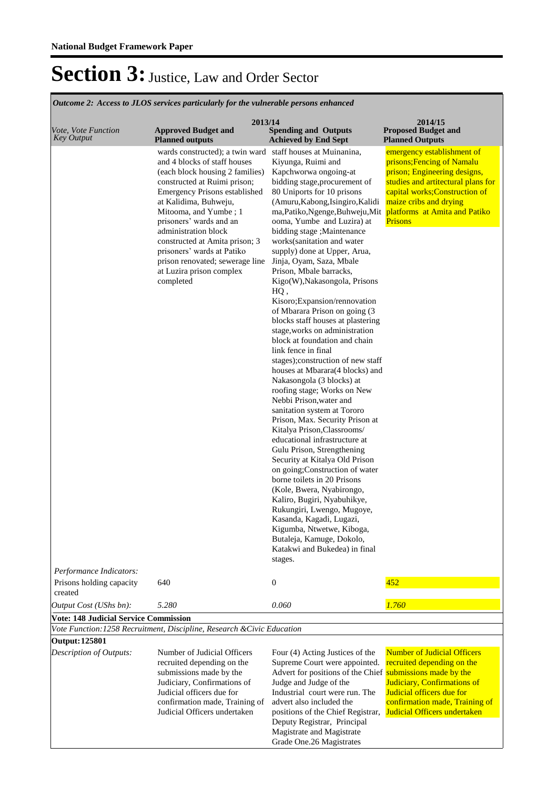*Outcome 2: Access to JLOS services particularly for the vulnerable persons enhanced*

| <i>Vote, Vote Function</i><br><b>Key Output</b> | 2013/14<br><b>Approved Budget and</b><br><b>Planned outputs</b>                                                                                                                                                                                                                                                                                                                                                                                 | <b>Spending and Outputs</b><br><b>Achieved by End Sept</b>                                                                                                                                                                                                                                                                                                                                                                                                                                                                                                                                                                                                                                                                                                                                                                                                                                                                                                                                                                                                                                                                                                                                                                                                                                                 | 2014/15<br><b>Proposed Budget and</b><br><b>Planned Outputs</b>                                                                                                                                              |  |
|-------------------------------------------------|-------------------------------------------------------------------------------------------------------------------------------------------------------------------------------------------------------------------------------------------------------------------------------------------------------------------------------------------------------------------------------------------------------------------------------------------------|------------------------------------------------------------------------------------------------------------------------------------------------------------------------------------------------------------------------------------------------------------------------------------------------------------------------------------------------------------------------------------------------------------------------------------------------------------------------------------------------------------------------------------------------------------------------------------------------------------------------------------------------------------------------------------------------------------------------------------------------------------------------------------------------------------------------------------------------------------------------------------------------------------------------------------------------------------------------------------------------------------------------------------------------------------------------------------------------------------------------------------------------------------------------------------------------------------------------------------------------------------------------------------------------------------|--------------------------------------------------------------------------------------------------------------------------------------------------------------------------------------------------------------|--|
|                                                 | wards constructed); a twin ward staff houses at Muinanina,<br>and 4 blocks of staff houses<br>(each block housing 2 families)<br>constructed at Ruimi prison;<br>Emergency Prisons established<br>at Kalidima, Buhweju,<br>Mitooma, and Yumbe; 1<br>prisoners' wards and an<br>administration block<br>constructed at Amita prison; 3<br>prisoners' wards at Patiko<br>prison renovated; sewerage line<br>at Luzira prison complex<br>completed | Kiyunga, Ruimi and<br>Kapchworwa ongoing-at<br>bidding stage, procurement of<br>80 Uniports for 10 prisons<br>(Amuru, Kabong, Isingiro, Kalidi<br>ma, Patiko, Ngenge, Buhweju, Mit platforms at Amita and Patiko<br>ooma, Yumbe and Luzira) at<br>bidding stage; Maintenance<br>works(sanitation and water<br>supply) done at Upper, Arua,<br>Jinja, Oyam, Saza, Mbale<br>Prison, Mbale barracks,<br>Kigo(W), Nakasongola, Prisons<br>HQ,<br>Kisoro; Expansion/rennovation<br>of Mbarara Prison on going (3<br>blocks staff houses at plastering<br>stage, works on administration<br>block at foundation and chain<br>link fence in final<br>stages); construction of new staff<br>houses at Mbarara(4 blocks) and<br>Nakasongola (3 blocks) at<br>roofing stage; Works on New<br>Nebbi Prison, water and<br>sanitation system at Tororo<br>Prison, Max. Security Prison at<br>Kitalya Prison, Classrooms/<br>educational infrastructure at<br>Gulu Prison, Strengthening<br>Security at Kitalya Old Prison<br>on going; Construction of water<br>borne toilets in 20 Prisons<br>(Kole, Bwera, Nyabirongo,<br>Kaliro, Bugiri, Nyabuhikye,<br>Rukungiri, Lwengo, Mugoye,<br>Kasanda, Kagadi, Lugazi,<br>Kigumba, Ntwetwe, Kiboga,<br>Butaleja, Kamuge, Dokolo,<br>Katakwi and Bukedea) in final<br>stages. | emergency establishment of<br>prisons; Fencing of Namalu<br>prison; Engineering designs,<br>studies and artitectural plans for<br>capital works; Construction of<br>maize cribs and drying<br><b>Prisons</b> |  |
| Performance Indicators:                         |                                                                                                                                                                                                                                                                                                                                                                                                                                                 |                                                                                                                                                                                                                                                                                                                                                                                                                                                                                                                                                                                                                                                                                                                                                                                                                                                                                                                                                                                                                                                                                                                                                                                                                                                                                                            |                                                                                                                                                                                                              |  |
| Prisons holding capacity<br>created             | 640                                                                                                                                                                                                                                                                                                                                                                                                                                             | $\boldsymbol{0}$                                                                                                                                                                                                                                                                                                                                                                                                                                                                                                                                                                                                                                                                                                                                                                                                                                                                                                                                                                                                                                                                                                                                                                                                                                                                                           | 452                                                                                                                                                                                                          |  |
| Output Cost (UShs bn):                          | 5.280                                                                                                                                                                                                                                                                                                                                                                                                                                           | 0.060                                                                                                                                                                                                                                                                                                                                                                                                                                                                                                                                                                                                                                                                                                                                                                                                                                                                                                                                                                                                                                                                                                                                                                                                                                                                                                      | 1.760                                                                                                                                                                                                        |  |
| <b>Vote: 148 Judicial Service Commission</b>    | Vote Function: 1258 Recruitment, Discipline, Research &Civic Education                                                                                                                                                                                                                                                                                                                                                                          |                                                                                                                                                                                                                                                                                                                                                                                                                                                                                                                                                                                                                                                                                                                                                                                                                                                                                                                                                                                                                                                                                                                                                                                                                                                                                                            |                                                                                                                                                                                                              |  |
| <b>Output: 125801</b>                           |                                                                                                                                                                                                                                                                                                                                                                                                                                                 |                                                                                                                                                                                                                                                                                                                                                                                                                                                                                                                                                                                                                                                                                                                                                                                                                                                                                                                                                                                                                                                                                                                                                                                                                                                                                                            |                                                                                                                                                                                                              |  |
| Description of Outputs:                         | Number of Judicial Officers<br>recruited depending on the<br>submissions made by the<br>Judiciary, Confirmations of<br>Judicial officers due for<br>confirmation made, Training of<br>Judicial Officers undertaken                                                                                                                                                                                                                              | Four (4) Acting Justices of the<br>Supreme Court were appointed.<br>Advert for positions of the Chief submissions made by the<br>Judge and Judge of the<br>Industrial court were run. The<br>advert also included the<br>positions of the Chief Registrar,<br>Deputy Registrar, Principal<br>Magistrate and Magistrate<br>Grade One.26 Magistrates                                                                                                                                                                                                                                                                                                                                                                                                                                                                                                                                                                                                                                                                                                                                                                                                                                                                                                                                                         | <b>Number of Judicial Officers</b><br>recruited depending on the<br>Judiciary, Confirmations of<br>Judicial officers due for<br>confirmation made, Training of<br>Judicial Officers undertaken               |  |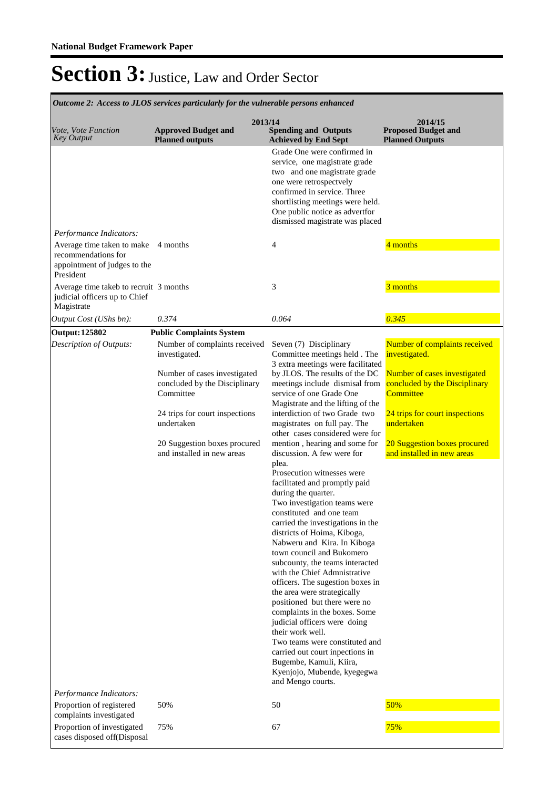*Outcome 2: Access to JLOS services particularly for the vulnerable persons enhanced*

| <i>Vote, Vote Function</i><br><b>Key Output</b>                                                         | 2013/14<br><b>Approved Budget and</b><br><b>Planned outputs</b>                | <b>Spending and Outputs</b><br><b>Achieved by End Sept</b>                                                                                                                                                                                                                                                                                                                                                                                                                                                                                                                                                                                                                                                                                                            | 2014/15<br><b>Proposed Budget and</b><br><b>Planned Outputs</b>                |
|---------------------------------------------------------------------------------------------------------|--------------------------------------------------------------------------------|-----------------------------------------------------------------------------------------------------------------------------------------------------------------------------------------------------------------------------------------------------------------------------------------------------------------------------------------------------------------------------------------------------------------------------------------------------------------------------------------------------------------------------------------------------------------------------------------------------------------------------------------------------------------------------------------------------------------------------------------------------------------------|--------------------------------------------------------------------------------|
|                                                                                                         |                                                                                | Grade One were confirmed in<br>service, one magistrate grade<br>two and one magistrate grade<br>one were retrospectvely<br>confirmed in service. Three<br>shortlisting meetings were held.<br>One public notice as advertfor<br>dismissed magistrate was placed                                                                                                                                                                                                                                                                                                                                                                                                                                                                                                       |                                                                                |
| Performance Indicators:                                                                                 |                                                                                |                                                                                                                                                                                                                                                                                                                                                                                                                                                                                                                                                                                                                                                                                                                                                                       |                                                                                |
| Average time taken to make 4 months<br>recommendations for<br>appointment of judges to the<br>President |                                                                                | 4                                                                                                                                                                                                                                                                                                                                                                                                                                                                                                                                                                                                                                                                                                                                                                     | 4 months                                                                       |
| Average time takeb to recruit 3 months<br>judicial officers up to Chief<br>Magistrate                   |                                                                                | 3                                                                                                                                                                                                                                                                                                                                                                                                                                                                                                                                                                                                                                                                                                                                                                     | 3 months                                                                       |
| Output Cost (UShs bn):                                                                                  | 0.374                                                                          | 0.064                                                                                                                                                                                                                                                                                                                                                                                                                                                                                                                                                                                                                                                                                                                                                                 | 0.345                                                                          |
| <b>Output: 125802</b>                                                                                   | <b>Public Complaints System</b>                                                |                                                                                                                                                                                                                                                                                                                                                                                                                                                                                                                                                                                                                                                                                                                                                                       |                                                                                |
| Description of Outputs:                                                                                 | Number of complaints received<br>investigated.<br>Number of cases investigated | Seven (7) Disciplinary<br>Committee meetings held. The<br>3 extra meetings were facilitated<br>by JLOS. The results of the DC                                                                                                                                                                                                                                                                                                                                                                                                                                                                                                                                                                                                                                         | Number of complaints received<br>investigated.<br>Number of cases investigated |
|                                                                                                         | concluded by the Disciplinary<br>Committee                                     | meetings include dismisal from<br>service of one Grade One<br>Magistrate and the lifting of the                                                                                                                                                                                                                                                                                                                                                                                                                                                                                                                                                                                                                                                                       | concluded by the Disciplinary<br>Committee                                     |
|                                                                                                         | 24 trips for court inspections<br>undertaken                                   | interdiction of two Grade two<br>magistrates on full pay. The<br>other cases considered were for                                                                                                                                                                                                                                                                                                                                                                                                                                                                                                                                                                                                                                                                      | 24 trips for court inspections<br>undertaken                                   |
| Performance Indicators:                                                                                 | 20 Suggestion boxes procured<br>and installed in new areas                     | mention, hearing and some for<br>discussion. A few were for<br>plea.<br>Prosecution witnesses were<br>facilitated and promptly paid<br>during the quarter.<br>Two investigation teams were<br>constituted and one team<br>carried the investigations in the<br>districts of Hoima, Kiboga,<br>Nabweru and Kira. In Kiboga<br>town council and Bukomero<br>subcounty, the teams interacted<br>with the Chief Admnistrative<br>officers. The sugestion boxes in<br>the area were strategically<br>positioned but there were no<br>complaints in the boxes. Some<br>judicial officers were doing<br>their work well.<br>Two teams were constituted and<br>carried out court inpections in<br>Bugembe, Kamuli, Kiira,<br>Kyenjojo, Mubende, kyegegwa<br>and Mengo courts. | 20 Suggestion boxes procured<br>and installed in new areas                     |
| Proportion of registered                                                                                | 50%                                                                            | 50                                                                                                                                                                                                                                                                                                                                                                                                                                                                                                                                                                                                                                                                                                                                                                    | 50%                                                                            |
| complaints investigated<br>Proportion of investigated<br>cases disposed off(Disposal                    | 75%                                                                            | 67                                                                                                                                                                                                                                                                                                                                                                                                                                                                                                                                                                                                                                                                                                                                                                    | 75%                                                                            |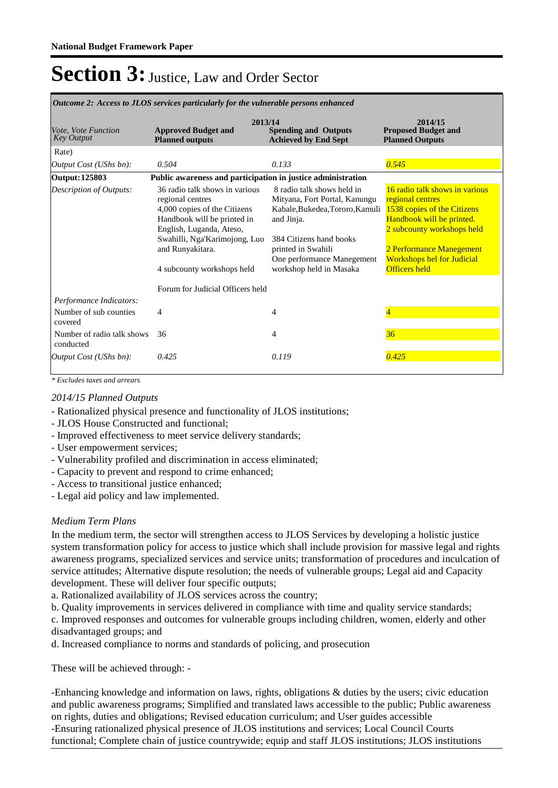| 2013/14<br>2014/15                              |                                                                                                                                                                                                                                                                      |                                                                                                                                                                                                                        |                                                                                                                                                                                                                                       |  |
|-------------------------------------------------|----------------------------------------------------------------------------------------------------------------------------------------------------------------------------------------------------------------------------------------------------------------------|------------------------------------------------------------------------------------------------------------------------------------------------------------------------------------------------------------------------|---------------------------------------------------------------------------------------------------------------------------------------------------------------------------------------------------------------------------------------|--|
| <i>Vote, Vote Function</i><br><b>Key Output</b> | <b>Approved Budget and</b><br><b>Planned outputs</b>                                                                                                                                                                                                                 | <b>Spending and Outputs</b><br><b>Achieved by End Sept</b>                                                                                                                                                             | <b>Proposed Budget and</b><br><b>Planned Outputs</b>                                                                                                                                                                                  |  |
| Rate)                                           |                                                                                                                                                                                                                                                                      |                                                                                                                                                                                                                        |                                                                                                                                                                                                                                       |  |
| Output Cost (UShs bn):                          | 0.504                                                                                                                                                                                                                                                                | 0.133                                                                                                                                                                                                                  | 0.545                                                                                                                                                                                                                                 |  |
| Output: 125803                                  | Public awareness and participation in justice administration                                                                                                                                                                                                         |                                                                                                                                                                                                                        |                                                                                                                                                                                                                                       |  |
| Description of Outputs:                         | 36 radio talk shows in various<br>regional centres<br>4,000 copies of the Citizens<br>Handbook will be printed in<br>English, Luganda, Ateso,<br>Swahilli, Nga'Karimojong, Luo<br>and Runyakitara.<br>4 subcounty workshops held<br>Forum for Judicial Officers held | 8 radio talk shows held in<br>Mityana, Fort Portal, Kanungu<br>Kabale, Bukedea, Tororo, Kamuli<br>and Jinja.<br>384 Citizens hand books<br>printed in Swahili<br>One performance Manegement<br>workshop held in Masaka | 16 radio talk shows in various<br>regional centres<br>1538 copies of the Citizens<br>Handbook will be printed.<br>2 subcounty workshops held<br>2 Performance Manegement<br><b>Workshops hel for Judicial</b><br><b>Officers</b> held |  |
| Performance Indicators:                         |                                                                                                                                                                                                                                                                      |                                                                                                                                                                                                                        |                                                                                                                                                                                                                                       |  |
| Number of sub counties<br>covered               | 4                                                                                                                                                                                                                                                                    | 4                                                                                                                                                                                                                      |                                                                                                                                                                                                                                       |  |
| Number of radio talk shows<br>conducted         | 36                                                                                                                                                                                                                                                                   | 4                                                                                                                                                                                                                      | 36                                                                                                                                                                                                                                    |  |
| Output Cost (UShs bn):                          | 0.425                                                                                                                                                                                                                                                                | 0.119                                                                                                                                                                                                                  | 0.425                                                                                                                                                                                                                                 |  |

*Outcome 2: Access to JLOS services particularly for the vulnerable persons enhanced*

*\* Excludes taxes and arrears*

#### *2014/15 Planned Outputs*

- Rationalized physical presence and functionality of JLOS institutions;
- JLOS House Constructed and functional;
- Improved effectiveness to meet service delivery standards;
- User empowerment services;
- Vulnerability profiled and discrimination in access eliminated;
- Capacity to prevent and respond to crime enhanced;
- Access to transitional justice enhanced;
- Legal aid policy and law implemented.

#### *Medium Term Plans*

In the medium term, the sector will strengthen access to JLOS Services by developing a holistic justice system transformation policy for access to justice which shall include provision for massive legal and rights awareness programs, specialized services and service units; transformation of procedures and inculcation of service attitudes; Alternative dispute resolution; the needs of vulnerable groups; Legal aid and Capacity development. These will deliver four specific outputs;

a. Rationalized availability of JLOS services across the country;

b. Quality improvements in services delivered in compliance with time and quality service standards;

c. Improved responses and outcomes for vulnerable groups including children, women, elderly and other disadvantaged groups; and

d. Increased compliance to norms and standards of policing, and prosecution

These will be achieved through: -

-Enhancing knowledge and information on laws, rights, obligations  $\&$  duties by the users; civic education and public awareness programs; Simplified and translated laws accessible to the public; Public awareness on rights, duties and obligations; Revised education curriculum; and User guides accessible -Ensuring rationalized physical presence of JLOS institutions and services; Local Council Courts functional; Complete chain of justice countrywide; equip and staff JLOS institutions; JLOS institutions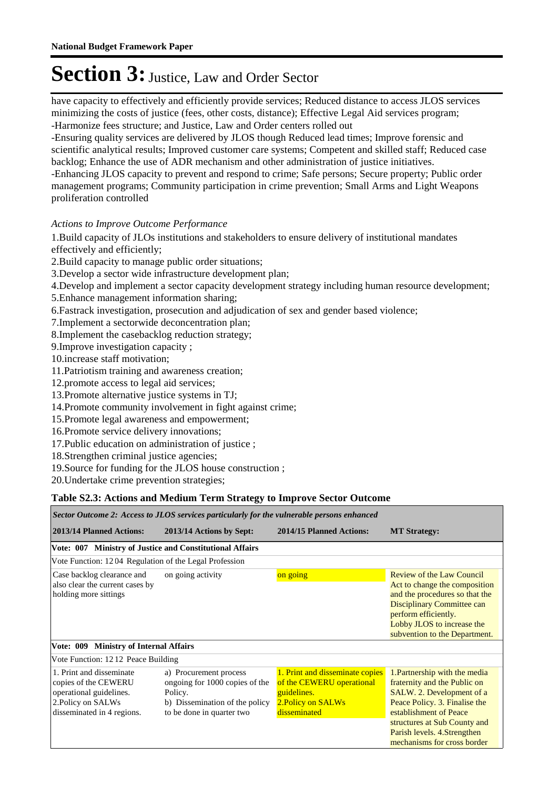have capacity to effectively and efficiently provide services; Reduced distance to access JLOS services minimizing the costs of justice (fees, other costs, distance); Effective Legal Aid services program; -Harmonize fees structure; and Justice, Law and Order centers rolled out

-Ensuring quality services are delivered by JLOS though Reduced lead times; Improve forensic and scientific analytical results; Improved customer care systems; Competent and skilled staff; Reduced case backlog; Enhance the use of ADR mechanism and other administration of justice initiatives. -Enhancing JLOS capacity to prevent and respond to crime; Safe persons; Secure property; Public order management programs; Community participation in crime prevention; Small Arms and Light Weapons proliferation controlled

#### *Actions to Improve Outcome Performance*

1. Build capacity of JLOs institutions and stakeholders to ensure delivery of institutional mandates effectively and efficiently;

- 2. Build capacity to manage public order situations;
- 3. Develop a sector wide infrastructure development plan;
- 4. Develop and implement a sector capacity development strategy including human resource development;
- 5. Enhance management information sharing;
- 6. Fastrack investigation, prosecution and adjudication of sex and gender based violence;
- 7. Implement a sectorwide deconcentration plan;
- 8. Implement the casebacklog reduction strategy;
- 9. Improve investigation capacity ;
- 10. increase staff motivation;
- 11. Patriotism training and awareness creation;
- 12. promote access to legal aid services;
- 13. Promote alternative justice systems in TJ;
- 14. Promote community involvement in fight against crime;
- 15. Promote legal awareness and empowerment;
- 16. Promote service delivery innovations;
- 17. Public education on administration of justice ;
- 18. Strengthen criminal justice agencies;
- 19. Source for funding for the JLOS house construction;
- 20. Undertake crime prevention strategies;

### **Table S2.3: Actions and Medium Term Strategy to Improve Sector Outcome**

| Sector Outcome 2: Access to JLOS services particularly for the vulnerable persons enhanced                                      |                                                                                                                                    |                                                                                                                                                                                                                   |                                                                                                                                                                                                                                                      |
|---------------------------------------------------------------------------------------------------------------------------------|------------------------------------------------------------------------------------------------------------------------------------|-------------------------------------------------------------------------------------------------------------------------------------------------------------------------------------------------------------------|------------------------------------------------------------------------------------------------------------------------------------------------------------------------------------------------------------------------------------------------------|
| 2013/14 Planned Actions:                                                                                                        | 2013/14 Actions by Sept:                                                                                                           | 2014/15 Planned Actions:                                                                                                                                                                                          | <b>MT Strategy:</b>                                                                                                                                                                                                                                  |
| Vote: 007 Ministry of Justice and Constitutional Affairs                                                                        |                                                                                                                                    |                                                                                                                                                                                                                   |                                                                                                                                                                                                                                                      |
| Vote Function: 1204 Regulation of the Legal Profession                                                                          |                                                                                                                                    |                                                                                                                                                                                                                   |                                                                                                                                                                                                                                                      |
| Case backlog clearance and<br>on going activity<br>on going<br>also clear the current cases by<br>holding more sittings         |                                                                                                                                    | Review of the Law Council<br>Act to change the composition<br>and the procedures so that the<br>Disciplinary Committee can<br>perform efficiently.<br>Lobby JLOS to increase the<br>subvention to the Department. |                                                                                                                                                                                                                                                      |
| Vote: 009 Ministry of Internal Affairs                                                                                          |                                                                                                                                    |                                                                                                                                                                                                                   |                                                                                                                                                                                                                                                      |
| Vote Function: 1212 Peace Building                                                                                              |                                                                                                                                    |                                                                                                                                                                                                                   |                                                                                                                                                                                                                                                      |
| 1. Print and disseminate<br>copies of the CEWERU<br>operational guidelines.<br>2. Policy on SALWs<br>disseminated in 4 regions. | a) Procurement process<br>ongoing for 1000 copies of the<br>Policy.<br>b) Dissemination of the policy<br>to be done in quarter two | 1. Print and disseminate copies<br>of the CEWERU operational<br>guidelines.<br>2. Policy on SALWs<br>disseminated                                                                                                 | 1. Partnership with the media<br>fraternity and the Public on<br>SALW. 2. Development of a<br>Peace Policy. 3. Finalise the<br>establishment of Peace<br>structures at Sub County and<br>Parish levels. 4. Strengthen<br>mechanisms for cross border |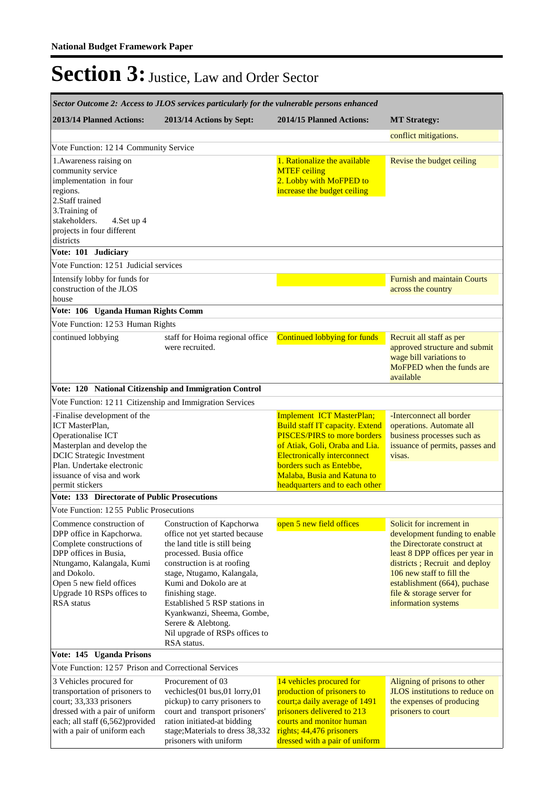| Sector Outcome 2: Access to JLOS services particularly for the vulnerable persons enhanced                                                                                                                                            |                                                                                                                                                                                                                                                                                                  |                                                                                                                                                                                                                                                                                |                                                                                                                                                                                                                                                                                |  |
|---------------------------------------------------------------------------------------------------------------------------------------------------------------------------------------------------------------------------------------|--------------------------------------------------------------------------------------------------------------------------------------------------------------------------------------------------------------------------------------------------------------------------------------------------|--------------------------------------------------------------------------------------------------------------------------------------------------------------------------------------------------------------------------------------------------------------------------------|--------------------------------------------------------------------------------------------------------------------------------------------------------------------------------------------------------------------------------------------------------------------------------|--|
| 2013/14 Planned Actions:                                                                                                                                                                                                              | 2013/14 Actions by Sept:                                                                                                                                                                                                                                                                         | 2014/15 Planned Actions:                                                                                                                                                                                                                                                       | <b>MT Strategy:</b>                                                                                                                                                                                                                                                            |  |
|                                                                                                                                                                                                                                       |                                                                                                                                                                                                                                                                                                  |                                                                                                                                                                                                                                                                                | conflict mitigations.                                                                                                                                                                                                                                                          |  |
| Vote Function: 1214 Community Service                                                                                                                                                                                                 |                                                                                                                                                                                                                                                                                                  |                                                                                                                                                                                                                                                                                |                                                                                                                                                                                                                                                                                |  |
| 1. Awareness raising on<br>community service<br>implementation in four<br>regions.<br>2.Staff trained                                                                                                                                 |                                                                                                                                                                                                                                                                                                  | 1. Rationalize the available<br><b>MTEF</b> ceiling<br>2. Lobby with MoFPED to<br>increase the budget ceiling                                                                                                                                                                  | Revise the budget ceiling                                                                                                                                                                                                                                                      |  |
| 3. Training of<br>stakeholders.<br>4. Set up 4<br>projects in four different<br>districts                                                                                                                                             |                                                                                                                                                                                                                                                                                                  |                                                                                                                                                                                                                                                                                |                                                                                                                                                                                                                                                                                |  |
| Vote: 101 Judiciary                                                                                                                                                                                                                   |                                                                                                                                                                                                                                                                                                  |                                                                                                                                                                                                                                                                                |                                                                                                                                                                                                                                                                                |  |
| Vote Function: 1251 Judicial services                                                                                                                                                                                                 |                                                                                                                                                                                                                                                                                                  |                                                                                                                                                                                                                                                                                |                                                                                                                                                                                                                                                                                |  |
| Intensify lobby for funds for<br>construction of the JLOS<br>house                                                                                                                                                                    |                                                                                                                                                                                                                                                                                                  |                                                                                                                                                                                                                                                                                | <b>Furnish and maintain Courts</b><br>across the country                                                                                                                                                                                                                       |  |
| Vote: 106 Uganda Human Rights Comm                                                                                                                                                                                                    |                                                                                                                                                                                                                                                                                                  |                                                                                                                                                                                                                                                                                |                                                                                                                                                                                                                                                                                |  |
| Vote Function: 1253 Human Rights                                                                                                                                                                                                      |                                                                                                                                                                                                                                                                                                  |                                                                                                                                                                                                                                                                                |                                                                                                                                                                                                                                                                                |  |
| continued lobbying                                                                                                                                                                                                                    | staff for Hoima regional office<br>were recruited.                                                                                                                                                                                                                                               | <b>Continued lobbying for funds</b>                                                                                                                                                                                                                                            | Recruit all staff as per<br>approved structure and submit<br>wage bill variations to<br>MoFPED when the funds are<br>available                                                                                                                                                 |  |
| Vote: 120 National Citizenship and Immigration Control                                                                                                                                                                                |                                                                                                                                                                                                                                                                                                  |                                                                                                                                                                                                                                                                                |                                                                                                                                                                                                                                                                                |  |
| Vote Function: 1211 Citizenship and Immigration Services                                                                                                                                                                              |                                                                                                                                                                                                                                                                                                  |                                                                                                                                                                                                                                                                                |                                                                                                                                                                                                                                                                                |  |
| -Finalise development of the<br>ICT MasterPlan,<br>Operationalise ICT<br>Masterplan and develop the<br><b>DCIC</b> Strategic Investment<br>Plan. Undertake electronic<br>issuance of visa and work<br>permit stickers                 |                                                                                                                                                                                                                                                                                                  | Implement ICT MasterPlan;<br><b>Build staff IT capacity. Extend</b><br><b>PISCES/PIRS to more borders</b><br>of Atiak, Goli, Oraba and Lia.<br><b>Electronically interconnect</b><br>borders such as Entebbe.<br>Malaba, Busia and Katuna to<br>headquarters and to each other | -Interconnect all border<br>operations. Automate all<br>business processes such as<br>issuance of permits, passes and<br>visas.                                                                                                                                                |  |
| Vote: 133 Directorate of Public Prosecutions                                                                                                                                                                                          |                                                                                                                                                                                                                                                                                                  |                                                                                                                                                                                                                                                                                |                                                                                                                                                                                                                                                                                |  |
| Vote Function: 12.55 Public Prosecutions                                                                                                                                                                                              |                                                                                                                                                                                                                                                                                                  |                                                                                                                                                                                                                                                                                |                                                                                                                                                                                                                                                                                |  |
| Commence construction of<br>DPP office in Kapchorwa.<br>Complete constructions of<br>DPP offices in Busia,<br>Ntungamo, Kalangala, Kumi<br>and Dokolo.<br>Open 5 new field offices<br>Upgrade 10 RSPs offices to<br><b>RSA</b> status | Construction of Kapchorwa<br>office not yet started because<br>the land title is still being<br>processed. Busia office<br>construction is at roofing<br>stage, Ntugamo, Kalangala,<br>Kumi and Dokolo are at<br>finishing stage.<br>Established 5 RSP stations in<br>Kyankwanzi, Sheema, Gombe, | open 5 new field offices                                                                                                                                                                                                                                                       | Solicit for increment in<br>development funding to enable<br>the Directorate construct at<br>least 8 DPP offices per year in<br>districts; Recruit and deploy<br>106 new staff to fill the<br>establishment (664), puchase<br>file & storage server for<br>information systems |  |
|                                                                                                                                                                                                                                       | Serere & Alebtong.<br>Nil upgrade of RSPs offices to<br>RSA status.                                                                                                                                                                                                                              |                                                                                                                                                                                                                                                                                |                                                                                                                                                                                                                                                                                |  |
| Vote: 145 Uganda Prisons                                                                                                                                                                                                              |                                                                                                                                                                                                                                                                                                  |                                                                                                                                                                                                                                                                                |                                                                                                                                                                                                                                                                                |  |
| Vote Function: 1257 Prison and Correctional Services                                                                                                                                                                                  |                                                                                                                                                                                                                                                                                                  |                                                                                                                                                                                                                                                                                |                                                                                                                                                                                                                                                                                |  |
| 3 Vehicles procured for<br>transportation of prisoners to<br>court; 33,333 prisoners<br>dressed with a pair of uniform<br>each; all staff (6,562)provided<br>with a pair of uniform each                                              | Procurement of 03<br>vechicles(01 bus,01 lorry,01<br>pickup) to carry prisoners to<br>court and transport prisoners'<br>ration initiated-at bidding<br>stage; Materials to dress 38,332<br>prisoners with uniform                                                                                | 14 vehicles procured for<br>production of prisoners to<br>court; a daily average of 1491<br>prisoners delivered to 213<br>courts and monitor human<br>rights; 44,476 prisoners<br>dressed with a pair of uniform                                                               | Aligning of prisons to other<br><b>JLOS</b> institutions to reduce on<br>the expenses of producing<br>prisoners to court                                                                                                                                                       |  |
|                                                                                                                                                                                                                                       |                                                                                                                                                                                                                                                                                                  |                                                                                                                                                                                                                                                                                |                                                                                                                                                                                                                                                                                |  |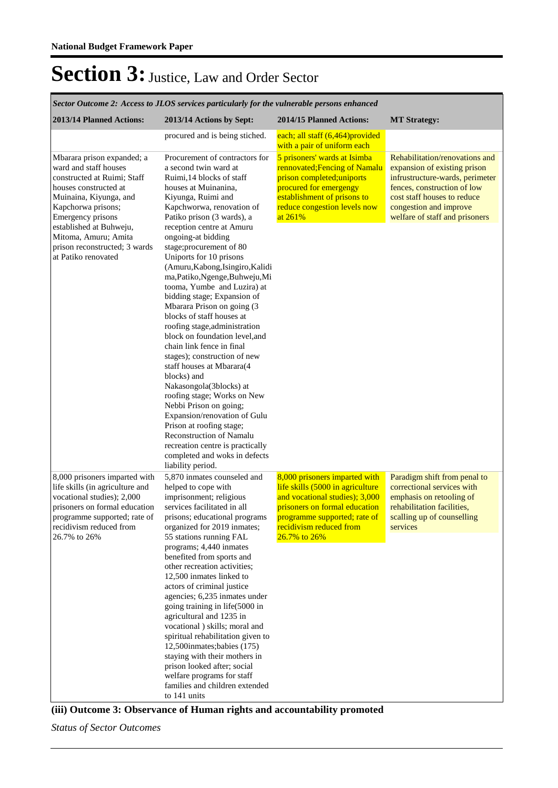| Sector Outcome 2: Access to JLOS services particularly for the vulnerable persons enhanced                                                                                                                  |                                                                                                                                                                                                                                                                                                                                                                                                                                                                                                                                                                                                                                                                                                                            |                                                                                                                                                                                                                 |                                                                                                                                                                                                                             |  |
|-------------------------------------------------------------------------------------------------------------------------------------------------------------------------------------------------------------|----------------------------------------------------------------------------------------------------------------------------------------------------------------------------------------------------------------------------------------------------------------------------------------------------------------------------------------------------------------------------------------------------------------------------------------------------------------------------------------------------------------------------------------------------------------------------------------------------------------------------------------------------------------------------------------------------------------------------|-----------------------------------------------------------------------------------------------------------------------------------------------------------------------------------------------------------------|-----------------------------------------------------------------------------------------------------------------------------------------------------------------------------------------------------------------------------|--|
| 2013/14 Planned Actions:                                                                                                                                                                                    | 2013/14 Actions by Sept:                                                                                                                                                                                                                                                                                                                                                                                                                                                                                                                                                                                                                                                                                                   | 2014/15 Planned Actions:                                                                                                                                                                                        | <b>MT Strategy:</b>                                                                                                                                                                                                         |  |
|                                                                                                                                                                                                             | procured and is being stiched.                                                                                                                                                                                                                                                                                                                                                                                                                                                                                                                                                                                                                                                                                             | each; all staff (6,464) provided<br>with a pair of uniform each                                                                                                                                                 |                                                                                                                                                                                                                             |  |
| Mbarara prison expanded; a<br>ward and staff houses<br>constructed at Ruimi; Staff<br>houses constructed at<br>Muinaina, Kiyunga, and<br>Kapchorwa prisons;<br>Emergency prisons<br>established at Buhweju, | Procurement of contractors for<br>a second twin ward at<br>Ruimi, 14 blocks of staff<br>houses at Muinanina,<br>Kiyunga, Ruimi and<br>Kapchworwa, renovation of<br>Patiko prison (3 wards), a<br>reception centre at Amuru                                                                                                                                                                                                                                                                                                                                                                                                                                                                                                 | 5 prisoners' wards at Isimba<br>rennovated; Fencing of Namalu<br>prison completed;uniports<br>procured for emergengy<br>establishment of prisons to<br>reduce congestion levels now<br>at $261%$                | Rehabilitation/renovations and<br>expansion of existing prison<br>infrustructure-wards, perimeter<br>fences, construction of low<br>cost staff houses to reduce<br>congestion and improve<br>welfare of staff and prisoners |  |
| Mitoma, Amuru; Amita<br>prison reconstructed; 3 wards<br>at Patiko renovated                                                                                                                                | ongoing-at bidding<br>stage;procurement of 80<br>Uniports for 10 prisons<br>(Amuru, Kabong, Isingiro, Kalidi<br>ma, Patiko, Ngenge, Buhweju, Mi<br>tooma, Yumbe and Luzira) at<br>bidding stage; Expansion of<br>Mbarara Prison on going (3<br>blocks of staff houses at<br>roofing stage, administration<br>block on foundation level, and<br>chain link fence in final<br>stages); construction of new<br>staff houses at Mbarara(4<br>blocks) and<br>Nakasongola(3blocks) at<br>roofing stage; Works on New<br>Nebbi Prison on going;<br>Expansion/renovation of Gulu<br>Prison at roofing stage;<br>Reconstruction of Namalu<br>recreation centre is practically<br>completed and woks in defects<br>liability period. |                                                                                                                                                                                                                 |                                                                                                                                                                                                                             |  |
| 8,000 prisoners imparted with<br>life skills (in agriculture and<br>vocational studies); 2,000<br>prisoners on formal education<br>programme supported; rate of<br>recidivism reduced from<br>26.7% to 26%  | 5,870 inmates counseled and<br>helped to cope with<br>imprisonment; religious<br>services facilitated in all<br>prisons; educational programs<br>organized for 2019 inmates;<br>55 stations running FAL<br>programs; 4,440 inmates<br>benefited from sports and<br>other recreation activities;<br>12,500 inmates linked to                                                                                                                                                                                                                                                                                                                                                                                                | 8,000 prisoners imparted with<br>life skills (5000 in agriculture<br>and vocational studies); 3,000<br>prisoners on formal education<br>programme supported; rate of<br>recidivism reduced from<br>26.7% to 26% | Paradigm shift from penal to<br>correctional services with<br>emphasis on retooling of<br>rehabilitation facilities,<br>scalling up of counselling<br>services                                                              |  |
|                                                                                                                                                                                                             | actors of criminal justice<br>agencies; 6,235 inmates under<br>going training in life(5000 in<br>agricultural and 1235 in<br>vocational ) skills; moral and<br>spiritual rehabilitation given to<br>12,500 inmates; babies (175)<br>staying with their mothers in<br>prison looked after; social<br>welfare programs for staff<br>families and children extended<br>to 141 units                                                                                                                                                                                                                                                                                                                                           |                                                                                                                                                                                                                 |                                                                                                                                                                                                                             |  |

**(iii) Outcome 3: Observance of Human rights and accountability promoted**

*Status of Sector Outcomes*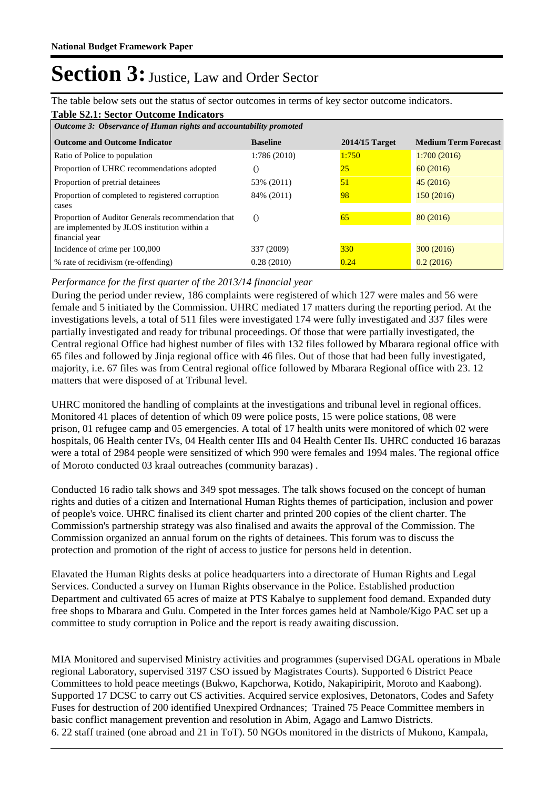The table below sets out the status of sector outcomes in terms of key sector outcome indicators.

| <b>Table S2.1: Sector Outcome Indicators</b>                                                                         |                  |                |                             |  |
|----------------------------------------------------------------------------------------------------------------------|------------------|----------------|-----------------------------|--|
| Outcome 3: Observance of Human rights and accountability promoted                                                    |                  |                |                             |  |
| <b>Outcome and Outcome Indicator</b>                                                                                 | <b>Baseline</b>  | 2014/15 Target | <b>Medium Term Forecast</b> |  |
| Ratio of Police to population                                                                                        | 1:786(2010)      | 1:750          | 1:700(2016)                 |  |
| Proportion of UHRC recommendations adopted                                                                           | $\left( \right)$ | 25             | 60(2016)                    |  |
| Proportion of pretrial detainees                                                                                     | 53% (2011)       | 51             | 45(2016)                    |  |
| Proportion of completed to registered corruption<br>cases                                                            | 84% (2011)       | 98             | 150(2016)                   |  |
| Proportion of Auditor Generals recommendation that<br>are implemented by JLOS institution within a<br>financial year | $\left($         | 65             | 80(2016)                    |  |
| Incidence of crime per 100,000                                                                                       | 337 (2009)       | 330            | 300(2016)                   |  |
| % rate of recidivism (re-offending)                                                                                  | 0.28(2010)       | 0.24           | 0.2(2016)                   |  |

### *Performance for the first quarter of the 2013/14 financial year*

During the period under review, 186 complaints were registered of which 127 were males and 56 were female and 5 initiated by the Commission. UHRC mediated 17 matters during the reporting period. At the investigations levels, a total of 511 files were investigated 174 were fully investigated and 337 files were partially investigated and ready for tribunal proceedings. Of those that were partially investigated, the Central regional Office had highest number of files with 132 files followed by Mbarara regional office with 65 files and followed by Jinja regional office with 46 files. Out of those that had been fully investigated, majority, i.e. 67 files was from Central regional office followed by Mbarara Regional office with 23. 12 matters that were disposed of at Tribunal level.

UHRC monitored the handling of complaints at the investigations and tribunal level in regional offices. Monitored 41 places of detention of which 09 were police posts, 15 were police stations, 08 were prison, 01 refugee camp and 05 emergencies. A total of 17 health units were monitored of which 02 were hospitals, 06 Health center IVs, 04 Health center IIIs and 04 Health Center IIs. UHRC conducted 16 barazas were a total of 2984 people were sensitized of which 990 were females and 1994 males. The regional office of Moroto conducted 03 kraal outreaches (community barazas) .

Conducted 16 radio talk shows and 349 spot messages. The talk shows focused on the concept of human rights and duties of a citizen and International Human Rights themes of participation, inclusion and power of people's voice. UHRC finalised its client charter and printed 200 copies of the client charter. The Commission's partnership strategy was also finalised and awaits the approval of the Commission. The Commission organized an annual forum on the rights of detainees. This forum was to discuss the protection and promotion of the right of access to justice for persons held in detention.

Elavated the Human Rights desks at police headquarters into a directorate of Human Rights and Legal Services. Conducted a survey on Human Rights observance in the Police. Established production Department and cultivated 65 acres of maize at PTS Kabalye to supplement food demand. Expanded duty free shops to Mbarara and Gulu. Competed in the Inter forces games held at Nambole/Kigo PAC set up a committee to study corruption in Police and the report is ready awaiting discussion.

MIA Monitored and supervised Ministry activities and programmes (supervised DGAL operations in Mbale regional Laboratory, supervised 3197 CSO issued by Magistrates Courts). Supported 6 District Peace Committees to hold peace meetings (Bukwo, Kapchorwa, Kotido, Nakapiripirit, Moroto and Kaabong). Supported 17 DCSC to carry out CS activities. Acquired service explosives, Detonators, Codes and Safety Fuses for destruction of 200 identified Unexpired Ordnances; Trained 75 Peace Committee members in basic conflict management prevention and resolution in Abim, Agago and Lamwo Districts. 6. 22 staff trained (one abroad and 21 in ToT). 50 NGOs monitored in the districts of Mukono, Kampala,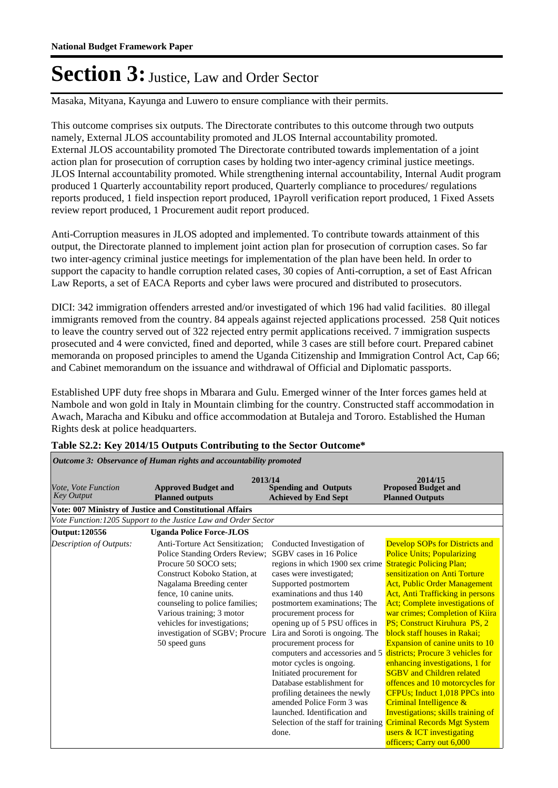Masaka, Mityana, Kayunga and Luwero to ensure compliance with their permits.

This outcome comprises six outputs. The Directorate contributes to this outcome through two outputs namely, External JLOS accountability promoted and JLOS Internal accountability promoted. External JLOS accountability promoted The Directorate contributed towards implementation of a joint action plan for prosecution of corruption cases by holding two inter-agency criminal justice meetings. JLOS Internal accountability promoted. While strengthening internal accountability, Internal Audit program produced 1 Quarterly accountability report produced, Quarterly compliance to procedures/ regulations reports produced, 1 field inspection report produced, 1Payroll verification report produced, 1 Fixed Assets review report produced, 1 Procurement audit report produced.

Anti-Corruption measures in JLOS adopted and implemented. To contribute towards attainment of this output, the Directorate planned to implement joint action plan for prosecution of corruption cases. So far two inter-agency criminal justice meetings for implementation of the plan have been held. In order to support the capacity to handle corruption related cases, 30 copies of Anti-corruption, a set of East African Law Reports, a set of EACA Reports and cyber laws were procured and distributed to prosecutors.

DICI: 342 immigration offenders arrested and/or investigated of which 196 had valid facilities. 80 illegal immigrants removed from the country. 84 appeals against rejected applications processed. 258 Quit notices to leave the country served out of 322 rejected entry permit applications received. 7 immigration suspects prosecuted and 4 were convicted, fined and deported, while 3 cases are still before court. Prepared cabinet memoranda on proposed principles to amend the Uganda Citizenship and Immigration Control Act, Cap 66; and Cabinet memorandum on the issuance and withdrawal of Official and Diplomatic passports.

Established UPF duty free shops in Mbarara and Gulu. Emerged winner of the Inter forces games held at Nambole and won gold in Italy in Mountain climbing for the country. Constructed staff accommodation in Awach, Maracha and Kibuku and office accommodation at Butaleja and Tororo. Established the Human Rights desk at police headquarters.

| Outcome 3: Observance of Human rights and accountability promoted |                                                                                                                                                                                                                                                                                                                                     |                                                                                                                                                                                                                                                                                                                                                                                                                                                                                                                                                                                                                                       |                                                                                                                                                                                                                                                                                                                                                                                                                                                                                                                                                                                                                                                                                                                                                        |  |
|-------------------------------------------------------------------|-------------------------------------------------------------------------------------------------------------------------------------------------------------------------------------------------------------------------------------------------------------------------------------------------------------------------------------|---------------------------------------------------------------------------------------------------------------------------------------------------------------------------------------------------------------------------------------------------------------------------------------------------------------------------------------------------------------------------------------------------------------------------------------------------------------------------------------------------------------------------------------------------------------------------------------------------------------------------------------|--------------------------------------------------------------------------------------------------------------------------------------------------------------------------------------------------------------------------------------------------------------------------------------------------------------------------------------------------------------------------------------------------------------------------------------------------------------------------------------------------------------------------------------------------------------------------------------------------------------------------------------------------------------------------------------------------------------------------------------------------------|--|
| <i>Vote, Vote Function</i><br><b>Key Output</b>                   | 2013/14<br><b>Approved Budget and</b><br><b>Planned outputs</b>                                                                                                                                                                                                                                                                     | <b>Spending and Outputs</b><br><b>Achieved by End Sept</b>                                                                                                                                                                                                                                                                                                                                                                                                                                                                                                                                                                            | 2014/15<br><b>Proposed Budget and</b><br><b>Planned Outputs</b>                                                                                                                                                                                                                                                                                                                                                                                                                                                                                                                                                                                                                                                                                        |  |
|                                                                   | <b>Vote: 007 Ministry of Justice and Constitutional Affairs</b>                                                                                                                                                                                                                                                                     |                                                                                                                                                                                                                                                                                                                                                                                                                                                                                                                                                                                                                                       |                                                                                                                                                                                                                                                                                                                                                                                                                                                                                                                                                                                                                                                                                                                                                        |  |
|                                                                   | Vote Function: 1205 Support to the Justice Law and Order Sector                                                                                                                                                                                                                                                                     |                                                                                                                                                                                                                                                                                                                                                                                                                                                                                                                                                                                                                                       |                                                                                                                                                                                                                                                                                                                                                                                                                                                                                                                                                                                                                                                                                                                                                        |  |
| Output: 120556                                                    | <b>Uganda Police Force-JLOS</b>                                                                                                                                                                                                                                                                                                     |                                                                                                                                                                                                                                                                                                                                                                                                                                                                                                                                                                                                                                       |                                                                                                                                                                                                                                                                                                                                                                                                                                                                                                                                                                                                                                                                                                                                                        |  |
| Description of Outputs:                                           | Anti-Torture Act Sensitization;<br>Police Standing Orders Review;<br>Procure 50 SOCO sets;<br>Construct Koboko Station, at<br>Nagalama Breeding center<br>fence, 10 canine units.<br>counseling to police families;<br>Various training; 3 motor<br>vehicles for investigations;<br>investigation of SGBV; Procure<br>50 speed guns | Conducted Investigation of<br>SGBV cases in 16 Police<br>regions in which 1900 sex crime Strategic Policing Plan;<br>cases were investigated;<br>Supported postmortem<br>examinations and thus 140<br>postmortem examinations; The<br>procurement process for<br>opening up of 5 PSU offices in<br>Lira and Soroti is ongoing. The<br>procurement process for<br>computers and accessories and 5<br>motor cycles is ongoing.<br>Initiated procurement for<br>Database establishment for<br>profiling detainees the newly<br>amended Police Form 3 was<br>launched. Identification and<br>Selection of the staff for training<br>done. | <b>Develop SOPs for Districts and</b><br><b>Police Units; Popularizing</b><br>sensitization on Anti Torture<br><b>Act, Public Order Management</b><br><b>Act, Anti Trafficking in persons</b><br>Act; Complete investigations of<br>war crimes; Completion of Kiira<br>PS; Construct Kiruhura PS, 2<br>block staff houses in Rakai:<br>Expansion of canine units to 10<br>districts; Procure 3 vehicles for<br>enhancing investigations, 1 for<br><b>SGBV</b> and Children related<br>offences and 10 motorcycles for<br><b>CFPU<sub>s</sub></b> : Induct 1.018 PPC <sub>s</sub> into<br>Criminal Intelligence &<br>Investigations; skills training of<br><b>Criminal Records Mgt System</b><br>users & ICT investigating<br>officers; Carry out 6,000 |  |

#### **Table S2.2: Key 2014/15 Outputs Contributing to the Sector Outcome\***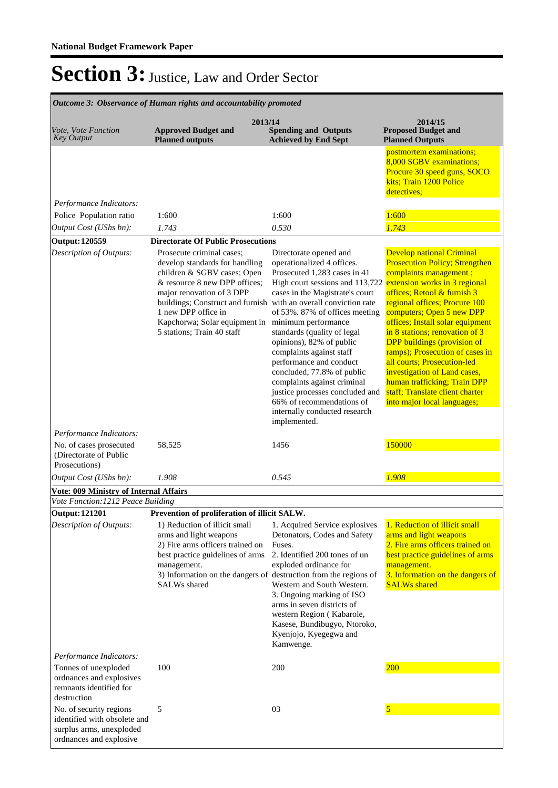| Outcome 3: Observance of Human rights and accountability promoted                                                     |                                                                                                                                                                                                                                                |                                                                                                                                                                                                                                                                                                                                                                                                                                                                                                                                                                         |                                                                                                                                                                                                                                                                                                                                                                                                                                                                                                                                                   |  |
|-----------------------------------------------------------------------------------------------------------------------|------------------------------------------------------------------------------------------------------------------------------------------------------------------------------------------------------------------------------------------------|-------------------------------------------------------------------------------------------------------------------------------------------------------------------------------------------------------------------------------------------------------------------------------------------------------------------------------------------------------------------------------------------------------------------------------------------------------------------------------------------------------------------------------------------------------------------------|---------------------------------------------------------------------------------------------------------------------------------------------------------------------------------------------------------------------------------------------------------------------------------------------------------------------------------------------------------------------------------------------------------------------------------------------------------------------------------------------------------------------------------------------------|--|
| Vote, Vote Function<br><b>Key Output</b>                                                                              | <b>Approved Budget and</b><br><b>Planned outputs</b>                                                                                                                                                                                           | 2013/14<br><b>Spending and Outputs</b><br><b>Achieved by End Sept</b>                                                                                                                                                                                                                                                                                                                                                                                                                                                                                                   | 2014/15<br><b>Proposed Budget and</b><br><b>Planned Outputs</b>                                                                                                                                                                                                                                                                                                                                                                                                                                                                                   |  |
|                                                                                                                       |                                                                                                                                                                                                                                                |                                                                                                                                                                                                                                                                                                                                                                                                                                                                                                                                                                         | postmortem examinations;<br>8,000 SGBV examinations;<br>Procure 30 speed guns, SOCO<br>kits; Train 1200 Police<br>detectives;                                                                                                                                                                                                                                                                                                                                                                                                                     |  |
| Performance Indicators:                                                                                               |                                                                                                                                                                                                                                                |                                                                                                                                                                                                                                                                                                                                                                                                                                                                                                                                                                         |                                                                                                                                                                                                                                                                                                                                                                                                                                                                                                                                                   |  |
| Police Population ratio                                                                                               | 1:600                                                                                                                                                                                                                                          | 1:600<br>0.530                                                                                                                                                                                                                                                                                                                                                                                                                                                                                                                                                          | 1:600<br>1.743                                                                                                                                                                                                                                                                                                                                                                                                                                                                                                                                    |  |
| Output Cost (UShs bn):                                                                                                | 1.743<br><b>Directorate Of Public Prosecutions</b>                                                                                                                                                                                             |                                                                                                                                                                                                                                                                                                                                                                                                                                                                                                                                                                         |                                                                                                                                                                                                                                                                                                                                                                                                                                                                                                                                                   |  |
| <b>Output: 120559</b><br>Description of Outputs:                                                                      | Prosecute criminal cases;<br>develop standards for handling<br>children & SGBV cases; Open<br>& resource 8 new DPP offices;<br>major renovation of 3 DPP<br>1 new DPP office in<br>Kapchorwa; Solar equipment in<br>5 stations; Train 40 staff | Directorate opened and<br>operationalized 4 offices.<br>Prosecuted 1,283 cases in 41<br>High court sessions and 113,722<br>cases in the Magistrate's court<br>buildings; Construct and furnish with an overall conviction rate<br>of 53%. 87% of offices meeting<br>minimum performance<br>standards (quality of legal<br>opinions), 82% of public<br>complaints against staff<br>performance and conduct<br>concluded, 77.8% of public<br>complaints against criminal<br>justice processes concluded and<br>66% of recommendations of<br>internally conducted research | <b>Develop national Criminal</b><br><b>Prosecution Policy; Strengthen</b><br>complaints management;<br>extension works in 3 regional<br>offices; Retool & furnish 3<br>regional offices; Procure 100<br>computers; Open 5 new DPP<br>offices; Install solar equipment<br>in 8 stations; renovation of 3<br><b>DPP</b> buildings (provision of<br>ramps); Prosecution of cases in<br>all courts; Prosecution-led<br>investigation of Land cases,<br>human trafficking; Train DPP<br>staff: Translate client charter<br>into major local languages; |  |
| Performance Indicators:<br>No. of cases prosecuted                                                                    | 58,525                                                                                                                                                                                                                                         | implemented.<br>1456                                                                                                                                                                                                                                                                                                                                                                                                                                                                                                                                                    | 150000                                                                                                                                                                                                                                                                                                                                                                                                                                                                                                                                            |  |
| (Directorate of Public<br>Prosecutions)                                                                               |                                                                                                                                                                                                                                                |                                                                                                                                                                                                                                                                                                                                                                                                                                                                                                                                                                         |                                                                                                                                                                                                                                                                                                                                                                                                                                                                                                                                                   |  |
| Output Cost (UShs bn):                                                                                                | 1.908                                                                                                                                                                                                                                          | 0.545                                                                                                                                                                                                                                                                                                                                                                                                                                                                                                                                                                   | 1.908                                                                                                                                                                                                                                                                                                                                                                                                                                                                                                                                             |  |
| <b>Vote: 009 Ministry of Internal Affairs</b>                                                                         |                                                                                                                                                                                                                                                |                                                                                                                                                                                                                                                                                                                                                                                                                                                                                                                                                                         |                                                                                                                                                                                                                                                                                                                                                                                                                                                                                                                                                   |  |
| Vote Function: 1212 Peace Building                                                                                    |                                                                                                                                                                                                                                                |                                                                                                                                                                                                                                                                                                                                                                                                                                                                                                                                                                         |                                                                                                                                                                                                                                                                                                                                                                                                                                                                                                                                                   |  |
| Output: 121201<br>Description of Outputs:                                                                             | Prevention of proliferation of illicit SALW.<br>1) Reduction of illicit small<br>arms and light weapons<br>2) Fire arms officers trained on<br>best practice guidelines of arms<br>management.<br>SALWs shared                                 | 1. Acquired Service explosives<br>Detonators, Codes and Safety<br>Fuses.<br>2. Identified 200 tones of un<br>exploded ordinance for<br>3) Information on the dangers of destruction from the regions of<br>Western and South Western.<br>3. Ongoing marking of ISO<br>arms in seven districts of<br>western Region (Kabarole,<br>Kasese, Bundibugyo, Ntoroko,<br>Kyenjojo, Kyegegwa and<br>Kamwenge.                                                                                                                                                                    | 1. Reduction of illicit small<br>arms and light weapons<br>2. Fire arms officers trained on<br>best practice guidelines of arms<br>management.<br>3. Information on the dangers of<br><b>SALWs</b> shared                                                                                                                                                                                                                                                                                                                                         |  |
| Performance Indicators:<br>Tonnes of unexploded<br>ordnances and explosives<br>remnants identified for<br>destruction | 100                                                                                                                                                                                                                                            | 200                                                                                                                                                                                                                                                                                                                                                                                                                                                                                                                                                                     | 200                                                                                                                                                                                                                                                                                                                                                                                                                                                                                                                                               |  |
| No. of security regions<br>identified with obsolete and<br>surplus arms, unexploded<br>ordnances and explosive        | 5                                                                                                                                                                                                                                              | 03                                                                                                                                                                                                                                                                                                                                                                                                                                                                                                                                                                      | $\overline{\mathbf{5}}$                                                                                                                                                                                                                                                                                                                                                                                                                                                                                                                           |  |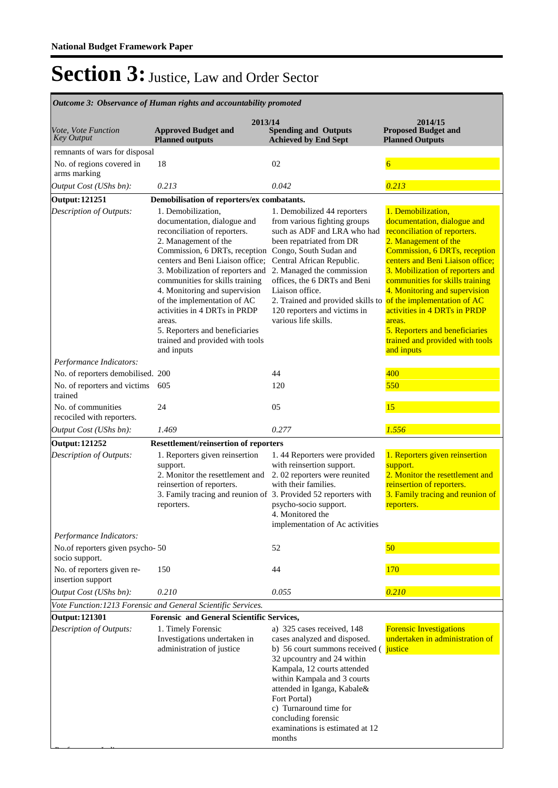*Performance Indicators:*

| Outcome 3: Observance of Human rights and accountability promoted |                                                                                                                                                                                                                                                                                                                                                                                                                                                    |                                                                                                                                                                                                                                                                                                                                                            |                                                                                                                                                                                                                                                                                                                                                                                                                                                    |  |
|-------------------------------------------------------------------|----------------------------------------------------------------------------------------------------------------------------------------------------------------------------------------------------------------------------------------------------------------------------------------------------------------------------------------------------------------------------------------------------------------------------------------------------|------------------------------------------------------------------------------------------------------------------------------------------------------------------------------------------------------------------------------------------------------------------------------------------------------------------------------------------------------------|----------------------------------------------------------------------------------------------------------------------------------------------------------------------------------------------------------------------------------------------------------------------------------------------------------------------------------------------------------------------------------------------------------------------------------------------------|--|
| <i>Vote, Vote Function</i><br><b>Key Output</b>                   | 2013/14<br><b>Approved Budget and</b><br><b>Planned outputs</b>                                                                                                                                                                                                                                                                                                                                                                                    | <b>Spending and Outputs</b><br><b>Achieved by End Sept</b>                                                                                                                                                                                                                                                                                                 | 2014/15<br><b>Proposed Budget and</b><br><b>Planned Outputs</b>                                                                                                                                                                                                                                                                                                                                                                                    |  |
| remnants of wars for disposal                                     |                                                                                                                                                                                                                                                                                                                                                                                                                                                    |                                                                                                                                                                                                                                                                                                                                                            |                                                                                                                                                                                                                                                                                                                                                                                                                                                    |  |
| No. of regions covered in<br>arms marking                         | 18                                                                                                                                                                                                                                                                                                                                                                                                                                                 | 02                                                                                                                                                                                                                                                                                                                                                         | $\overline{6}$                                                                                                                                                                                                                                                                                                                                                                                                                                     |  |
| Output Cost (UShs bn):                                            | 0.213                                                                                                                                                                                                                                                                                                                                                                                                                                              | 0.042                                                                                                                                                                                                                                                                                                                                                      | 0.213                                                                                                                                                                                                                                                                                                                                                                                                                                              |  |
| <b>Output: 121251</b>                                             | Demobilisation of reporters/ex combatants.                                                                                                                                                                                                                                                                                                                                                                                                         |                                                                                                                                                                                                                                                                                                                                                            |                                                                                                                                                                                                                                                                                                                                                                                                                                                    |  |
| Description of Outputs:                                           | 1. Demobilization,<br>documentation, dialogue and<br>reconciliation of reporters.<br>2. Management of the<br>Commission, 6 DRTs, reception<br>centers and Beni Liaison office;<br>3. Mobilization of reporters and<br>communities for skills training<br>4. Monitoring and supervision<br>of the implementation of AC<br>activities in 4 DRTs in PRDP<br>areas.<br>5. Reporters and beneficiaries<br>trained and provided with tools<br>and inputs | 1. Demobilized 44 reporters<br>from various fighting groups<br>such as ADF and LRA who had<br>been repatriated from DR<br>Congo, South Sudan and<br>Central African Republic.<br>2. Managed the commission<br>offices, the 6 DRTs and Beni<br>Liaison office.<br>2. Trained and provided skills to<br>120 reporters and victims in<br>various life skills. | 1. Demobilization,<br>documentation, dialogue and<br>reconciliation of reporters.<br>2. Management of the<br>Commission, 6 DRTs, reception<br>centers and Beni Liaison office;<br>3. Mobilization of reporters and<br>communities for skills training<br>4. Monitoring and supervision<br>of the implementation of AC<br>activities in 4 DRTs in PRDP<br>areas.<br>5. Reporters and beneficiaries<br>trained and provided with tools<br>and inputs |  |
| Performance Indicators:                                           |                                                                                                                                                                                                                                                                                                                                                                                                                                                    |                                                                                                                                                                                                                                                                                                                                                            |                                                                                                                                                                                                                                                                                                                                                                                                                                                    |  |
| No. of reporters demobilised. 200                                 |                                                                                                                                                                                                                                                                                                                                                                                                                                                    | 44                                                                                                                                                                                                                                                                                                                                                         | 400                                                                                                                                                                                                                                                                                                                                                                                                                                                |  |
| No. of reporters and victims<br>trained                           | 605                                                                                                                                                                                                                                                                                                                                                                                                                                                | 120                                                                                                                                                                                                                                                                                                                                                        | 550                                                                                                                                                                                                                                                                                                                                                                                                                                                |  |
| No. of communities<br>recociled with reporters.                   | 24                                                                                                                                                                                                                                                                                                                                                                                                                                                 | 05                                                                                                                                                                                                                                                                                                                                                         | 15                                                                                                                                                                                                                                                                                                                                                                                                                                                 |  |
| Output Cost (UShs bn):                                            | 1.469                                                                                                                                                                                                                                                                                                                                                                                                                                              | 0.277                                                                                                                                                                                                                                                                                                                                                      | 1.556                                                                                                                                                                                                                                                                                                                                                                                                                                              |  |
| <b>Output: 121252</b>                                             | <b>Resettlement/reinsertion of reporters</b>                                                                                                                                                                                                                                                                                                                                                                                                       |                                                                                                                                                                                                                                                                                                                                                            |                                                                                                                                                                                                                                                                                                                                                                                                                                                    |  |
| Description of Outputs:                                           | 1. Reporters given reinsertion<br>support.<br>2. Monitor the resettlement and<br>reinsertion of reporters.<br>3. Family tracing and reunion of 3. Provided 52 reporters with<br>reporters.                                                                                                                                                                                                                                                         | 1.44 Reporters were provided<br>with reinsertion support.<br>2.02 reporters were reunited<br>with their families.<br>psycho-socio support.<br>4. Monitored the<br>implementation of Ac activities                                                                                                                                                          | 1. Reporters given reinsertion<br>support.<br>2. Monitor the resettlement and<br>reinsertion of reporters.<br>3. Family tracing and reunion of<br>reporters.                                                                                                                                                                                                                                                                                       |  |
| Performance Indicators:                                           |                                                                                                                                                                                                                                                                                                                                                                                                                                                    |                                                                                                                                                                                                                                                                                                                                                            |                                                                                                                                                                                                                                                                                                                                                                                                                                                    |  |
| No.of reporters given psycho-50<br>socio support.                 |                                                                                                                                                                                                                                                                                                                                                                                                                                                    | 52                                                                                                                                                                                                                                                                                                                                                         | 50                                                                                                                                                                                                                                                                                                                                                                                                                                                 |  |
| No. of reporters given re-<br>insertion support                   | 150                                                                                                                                                                                                                                                                                                                                                                                                                                                | 44                                                                                                                                                                                                                                                                                                                                                         | 170                                                                                                                                                                                                                                                                                                                                                                                                                                                |  |
| Output Cost (UShs bn):                                            | 0.210                                                                                                                                                                                                                                                                                                                                                                                                                                              | 0.055                                                                                                                                                                                                                                                                                                                                                      | 0.210                                                                                                                                                                                                                                                                                                                                                                                                                                              |  |
|                                                                   | Vote Function: 1213 Forensic and General Scientific Services.                                                                                                                                                                                                                                                                                                                                                                                      |                                                                                                                                                                                                                                                                                                                                                            |                                                                                                                                                                                                                                                                                                                                                                                                                                                    |  |
| <b>Output: 121301</b>                                             | Forensic and General Scientific Services,                                                                                                                                                                                                                                                                                                                                                                                                          |                                                                                                                                                                                                                                                                                                                                                            |                                                                                                                                                                                                                                                                                                                                                                                                                                                    |  |
| Description of Outputs:                                           | 1. Timely Forensic<br>Investigations undertaken in<br>administration of justice                                                                                                                                                                                                                                                                                                                                                                    | a) 325 cases received, 148<br>cases analyzed and disposed.<br>b) 56 court summons received (<br>32 upcountry and 24 within<br>Kampala, 12 courts attended<br>within Kampala and 3 courts<br>attended in Iganga, Kabale&<br>Fort Portal)<br>c) Turnaround time for<br>concluding forensic<br>examinations is estimated at 12<br>months                      | <b>Forensic Investigations</b><br>undertaken in administration of<br>justice                                                                                                                                                                                                                                                                                                                                                                       |  |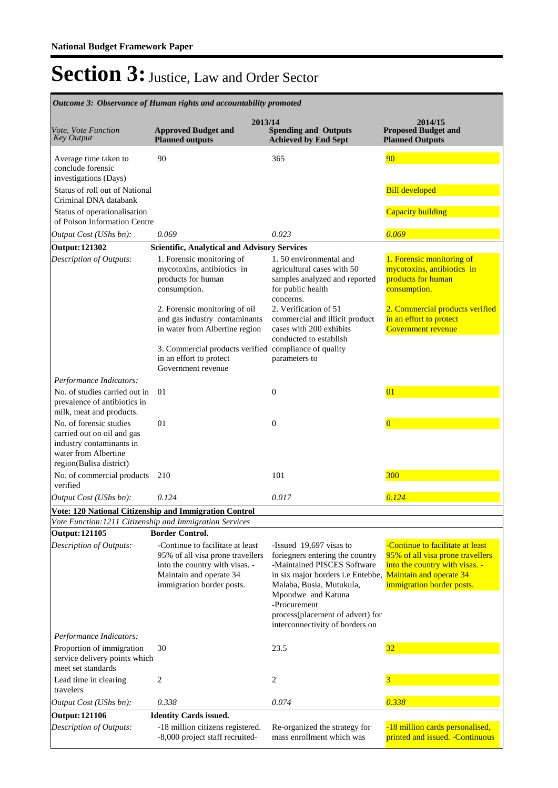**Spending and Outputs Achieved by End Sept Approved Budget and Planned outputs Proposed Budget and Planned Outputs 2013/14** *Vote, Vote Function Key Output* **2014/15** *Outcome 3: Observance of Human rights and accountability promoted Output Cost (UShs bn): 0.069 0.023 0.069* Average time taken to conclude forensic investigations (Days) 90 365 90 Status of roll out of National Criminal DNA databank Bill developed Status of operationalisation of Poison Information Centre **Capacity building Output: 121302 Scientific, Analytical and Advisory Services** 1. Forensic monitoring of mycotoxins, antibiotics in products for human consumption. 2. Forensic monitoring of oil and gas industry contaminants in water from Albertine region 3. Commercial products verified compliance of quality in an effort to protect Government revenue 1. 50 environmental and agricultural cases with 50 samples analyzed and reported for public health concerns. 2. Verification of 51 commercial and illicit product cases with 200 exhibits conducted to establish parameters to 1. Forensic monitoring of mycotoxins, antibiotics in products for human consumption. 2. Commercial products verified in an effort to protect Government revenue *Output Cost (UShs bn): 0.124 0.017 0.124 Description of Outputs: Performance Indicators:* No. of studies carried out in prevalence of antibiotics in milk, meat and products. 01 0 01 No. of forensic studies carried out on oil and gas industry contaminants in water from Albertine region(Bulisa district) 0 1 0  $\hskip 10mm 0$ No. of commercial products verified 210 101 300 **Vote: 120 National Citizenship and Immigration Control** *Vote Function:1211 Citizenship and Immigration Services* **Output: 121105 Border Control.** -Continue to facilitate at least 95% of all visa prone travellers into the country with visas. - Maintain and operate 34 immigration border posts. -Issued 19,697 visas to foriegners entering the country -Maintained PISCES Software in six major borders i.e Entebbe, Malaba, Busia, Mutukula, Mpondwe and Katuna -Procurement process(placement of advert) for interconnectivity of borders on -Continue to facilitate at least 95% of all visa prone travellers into the country with visas. - Maintain and operate 34 immigration border posts. *Output Cost (UShs bn): 0.338 0.074 0.338 Description of Outputs: Performance Indicators:* Proportion of immigration service delivery points which meet set standards 30 23.5 32 Lead time in clearing travelers 2  $\overline{\phantom{a}}$  2  $\overline{\phantom{a}}$  3 **Output: 121106 Identity Cards issued.** -18 million citizens registered. -8,000 project staff recruited-Re-organized the strategy for mass enrollment which was -18 million cards personalised, printed and issued. -Continuous *Description of Outputs:*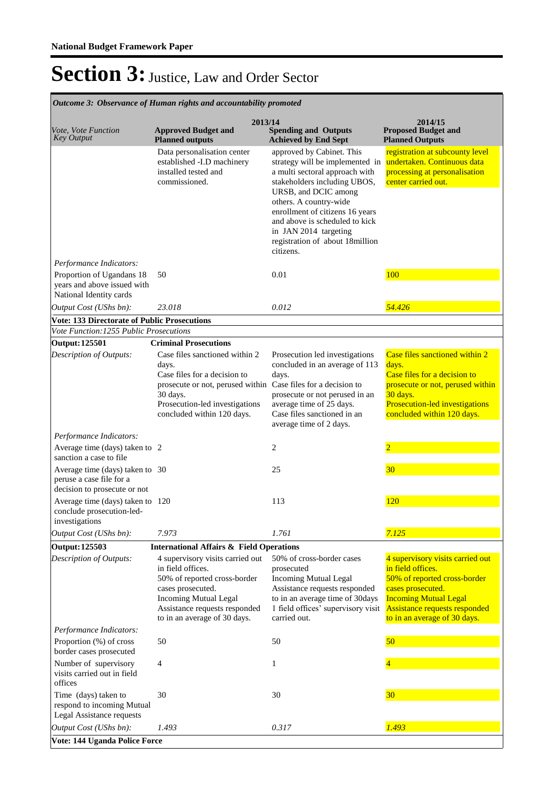**Spending and Outputs Achieved by End Sept Approved Budget and Planned outputs Proposed Budget and Planned Outputs 2013/14** *Vote, Vote Function Key Output* **2014/15** *Outcome 3: Observance of Human rights and accountability promoted* Data personalisation center established -I.D machinery installed tested and commissioned. approved by Cabinet. This strategy will be implemented in a multi sectoral approach with stakeholders including UBOS, URSB, and DCIC among others. A country-wide enrollment of citizens 16 years and above is scheduled to kick in JAN 2014 targeting registration of about 18million citizens. registration at subcounty level undertaken. Continuous data processing at personalisation center carried out. *Output Cost (UShs bn): 23.018 0.012 54.426 Performance Indicators:* Proportion of Ugandans 18 years and above issued with National Identity cards 50 0.01 100 **Vote: 133 Directorate of Public Prosecutions** *Vote Function:1255 Public Prosecutions* **Output: 125501 Criminal Prosecutions** Case files sanctioned within 2 days. Case files for a decision to prosecute or not, perused within Case files for a decision to 30 days. Prosecution-led investigations concluded within 120 days. Prosecution led investigations concluded in an average of 113 days. prosecute or not perused in an average time of 25 days. Case files sanctioned in an average time of 2 days. Case files sanctioned within 2 days. Case files for a decision to prosecute or not, perused within 30 days. Prosecution-led investigations concluded within 120 days. *Output Cost (UShs bn): 7.973 1.761 7.125 Description of Outputs: Performance Indicators:* Average time (days) taken to sanction a case to file 2 2 2 Average time (days) taken to peruse a case file for a decision to prosecute or not 30 25 30 Average time (days) taken to conclude prosecution-ledinvestigations 120 113 120 **Output: 125503 International Affairs & Field Operations** 4 supervisory visits carried out in field offices. 50% of reported cross-border cases prosecuted. Incoming Mutual Legal Assistance requests responded to in an average of 30 days. 50% of cross-border cases prosecuted Incoming Mutual Legal Assistance requests responded to in an average time of 30days 1 field offices' supervisory visit carried out. 4 supervisory visits carried out in field offices. 50% of reported cross-border cases prosecuted. Incoming Mutual Legal Assistance requests responded to in an average of 30 days. *Output Cost (UShs bn): 1.493 0.317 1.493 Description of Outputs: Performance Indicators:* Proportion (%) of cross border cases prosecuted 50 50 50 Number of supervisory visits carried out in field offices 4 1 4 Time (days) taken to respond to incoming Mutual Legal Assistance requests 30 30 30 **Vote: 144 Uganda Police Force**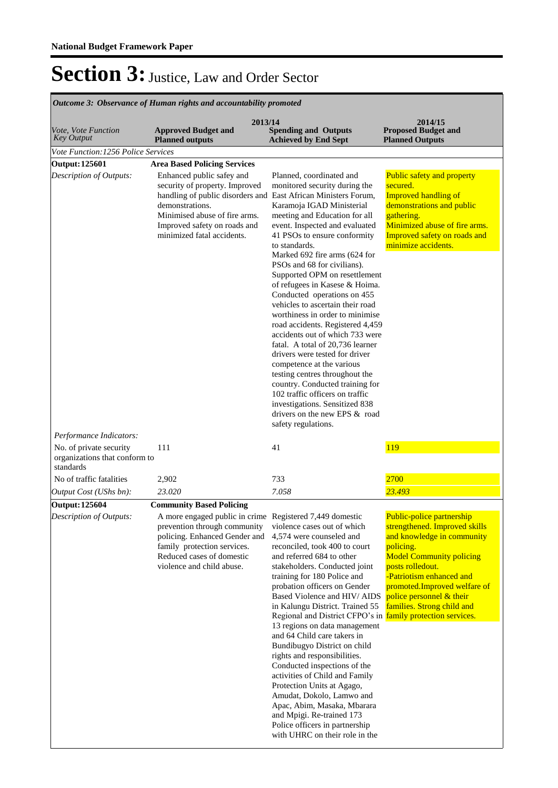| Outcome 3: Observance of Human rights and accountability promoted     |                                                                                                                                                                                                                    |                                                                                                                                                                                                                                                                                                                                                                                                                                                                                                                                                                                                                                                                                                                                                                                                                                                                  |                                                                                                                                                                                                                                                                                    |  |  |  |  |
|-----------------------------------------------------------------------|--------------------------------------------------------------------------------------------------------------------------------------------------------------------------------------------------------------------|------------------------------------------------------------------------------------------------------------------------------------------------------------------------------------------------------------------------------------------------------------------------------------------------------------------------------------------------------------------------------------------------------------------------------------------------------------------------------------------------------------------------------------------------------------------------------------------------------------------------------------------------------------------------------------------------------------------------------------------------------------------------------------------------------------------------------------------------------------------|------------------------------------------------------------------------------------------------------------------------------------------------------------------------------------------------------------------------------------------------------------------------------------|--|--|--|--|
| Vote, Vote Function<br><b>Key Output</b>                              | 2013/14<br><b>Approved Budget and</b><br><b>Planned outputs</b>                                                                                                                                                    | <b>Spending and Outputs</b><br><b>Achieved by End Sept</b>                                                                                                                                                                                                                                                                                                                                                                                                                                                                                                                                                                                                                                                                                                                                                                                                       | 2014/15<br><b>Proposed Budget and</b><br><b>Planned Outputs</b>                                                                                                                                                                                                                    |  |  |  |  |
| Vote Function: 1256 Police Services                                   |                                                                                                                                                                                                                    |                                                                                                                                                                                                                                                                                                                                                                                                                                                                                                                                                                                                                                                                                                                                                                                                                                                                  |                                                                                                                                                                                                                                                                                    |  |  |  |  |
| <b>Output: 125601</b>                                                 | <b>Area Based Policing Services</b>                                                                                                                                                                                |                                                                                                                                                                                                                                                                                                                                                                                                                                                                                                                                                                                                                                                                                                                                                                                                                                                                  |                                                                                                                                                                                                                                                                                    |  |  |  |  |
| Description of Outputs:                                               | Enhanced public safey and<br>security of property. Improved<br>handling of public disorders and<br>demonstrations.<br>Minimised abuse of fire arms.<br>Improved safety on roads and<br>minimized fatal accidents.  | Planned, coordinated and<br>monitored security during the<br>East African Ministers Forum,<br>Karamoja IGAD Ministerial<br>meeting and Education for all<br>event. Inspected and evaluated<br>41 PSOs to ensure conformity<br>to standards.<br>Marked 692 fire arms (624 for<br>PSOs and 68 for civilians).<br>Supported OPM on resettlement<br>of refugees in Kasese & Hoima.<br>Conducted operations on 455<br>vehicles to ascertain their road<br>worthiness in order to minimise<br>road accidents. Registered 4,459<br>accidents out of which 733 were<br>fatal. A total of 20,736 learner<br>drivers were tested for driver<br>competence at the various<br>testing centres throughout the<br>country. Conducted training for<br>102 traffic officers on traffic<br>investigations. Sensitized 838<br>drivers on the new EPS & road<br>safety regulations. | Public safety and property<br>secured.<br><b>Improved handling of</b><br>demonstrations and public<br>gathering.<br>Minimized abuse of fire arms.<br>Improved safety on roads and<br>minimize accidents.                                                                           |  |  |  |  |
| Performance Indicators:                                               |                                                                                                                                                                                                                    |                                                                                                                                                                                                                                                                                                                                                                                                                                                                                                                                                                                                                                                                                                                                                                                                                                                                  |                                                                                                                                                                                                                                                                                    |  |  |  |  |
| No. of private security<br>organizations that conform to<br>standards | 111                                                                                                                                                                                                                | 41                                                                                                                                                                                                                                                                                                                                                                                                                                                                                                                                                                                                                                                                                                                                                                                                                                                               | <b>119</b>                                                                                                                                                                                                                                                                         |  |  |  |  |
| No of traffic fatalities                                              | 2,902                                                                                                                                                                                                              | 733                                                                                                                                                                                                                                                                                                                                                                                                                                                                                                                                                                                                                                                                                                                                                                                                                                                              | 2700                                                                                                                                                                                                                                                                               |  |  |  |  |
| Output Cost (UShs bn):                                                | 23.020                                                                                                                                                                                                             | 7.058                                                                                                                                                                                                                                                                                                                                                                                                                                                                                                                                                                                                                                                                                                                                                                                                                                                            | 23.493                                                                                                                                                                                                                                                                             |  |  |  |  |
| Output: 125604                                                        | <b>Community Based Policing</b>                                                                                                                                                                                    |                                                                                                                                                                                                                                                                                                                                                                                                                                                                                                                                                                                                                                                                                                                                                                                                                                                                  |                                                                                                                                                                                                                                                                                    |  |  |  |  |
| Description of Outputs:                                               | A more engaged public in crime Registered 7,449 domestic<br>prevention through community<br>policing. Enhanced Gender and<br>family protection services.<br>Reduced cases of domestic<br>violence and child abuse. | violence cases out of which<br>4,574 were counseled and<br>reconciled, took 400 to court<br>and referred 684 to other<br>stakeholders. Conducted joint<br>training for 180 Police and<br>probation officers on Gender<br>Based Violence and HIV/ AIDS<br>in Kalungu District. Trained 55<br>Regional and District CFPO's in family protection services.<br>13 regions on data management<br>and 64 Child care takers in<br>Bundibugyo District on child<br>rights and responsibilities.<br>Conducted inspections of the<br>activities of Child and Family<br>Protection Units at Agago,<br>Amudat, Dokolo, Lamwo and<br>Apac, Abim, Masaka, Mbarara<br>and Mpigi. Re-trained 173<br>Police officers in partnership<br>with UHRC on their role in the                                                                                                             | Public-police partnership<br>strengthened. Improved skills<br>and knowledge in community<br>policing.<br><b>Model Community policing</b><br>posts rolledout.<br>-Patriotism enhanced and<br>promoted.Improved welfare of<br>police personnel & their<br>families. Strong child and |  |  |  |  |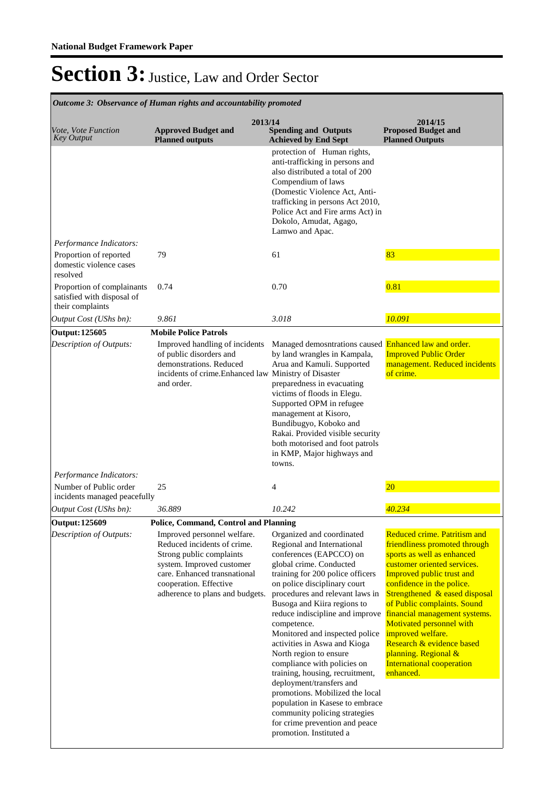*Outcome 3: Observance of Human rights and accountability promoted*

| Vote, Vote Function<br><b>Key Output</b>                                     | 2013/14<br><b>Approved Budget and</b><br><b>Planned outputs</b>                                                                                                                                                  | <b>Spending and Outputs</b><br><b>Achieved by End Sept</b>                                                                                                                                                                                                                                                                                                                                                                                                                                                                                                                                                                                                          | 2014/15<br><b>Proposed Budget and</b><br><b>Planned Outputs</b>                                                                                                                                                                                                                                                                                                                                                                       |
|------------------------------------------------------------------------------|------------------------------------------------------------------------------------------------------------------------------------------------------------------------------------------------------------------|---------------------------------------------------------------------------------------------------------------------------------------------------------------------------------------------------------------------------------------------------------------------------------------------------------------------------------------------------------------------------------------------------------------------------------------------------------------------------------------------------------------------------------------------------------------------------------------------------------------------------------------------------------------------|---------------------------------------------------------------------------------------------------------------------------------------------------------------------------------------------------------------------------------------------------------------------------------------------------------------------------------------------------------------------------------------------------------------------------------------|
|                                                                              |                                                                                                                                                                                                                  | protection of Human rights,<br>anti-trafficking in persons and<br>also distributed a total of 200<br>Compendium of laws<br>(Domestic Violence Act, Anti-<br>trafficking in persons Act 2010,<br>Police Act and Fire arms Act) in<br>Dokolo, Amudat, Agago,<br>Lamwo and Apac.                                                                                                                                                                                                                                                                                                                                                                                       |                                                                                                                                                                                                                                                                                                                                                                                                                                       |
| Performance Indicators:                                                      |                                                                                                                                                                                                                  |                                                                                                                                                                                                                                                                                                                                                                                                                                                                                                                                                                                                                                                                     |                                                                                                                                                                                                                                                                                                                                                                                                                                       |
| Proportion of reported<br>domestic violence cases<br>resolved                | 79                                                                                                                                                                                                               | 61                                                                                                                                                                                                                                                                                                                                                                                                                                                                                                                                                                                                                                                                  | 83                                                                                                                                                                                                                                                                                                                                                                                                                                    |
| Proportion of complainants<br>satisfied with disposal of<br>their complaints | 0.74                                                                                                                                                                                                             | 0.70                                                                                                                                                                                                                                                                                                                                                                                                                                                                                                                                                                                                                                                                | 0.81                                                                                                                                                                                                                                                                                                                                                                                                                                  |
| Output Cost (UShs bn):                                                       | 9.861                                                                                                                                                                                                            | 3.018                                                                                                                                                                                                                                                                                                                                                                                                                                                                                                                                                                                                                                                               | 10.091                                                                                                                                                                                                                                                                                                                                                                                                                                |
| <b>Output: 125605</b>                                                        | <b>Mobile Police Patrols</b>                                                                                                                                                                                     |                                                                                                                                                                                                                                                                                                                                                                                                                                                                                                                                                                                                                                                                     |                                                                                                                                                                                                                                                                                                                                                                                                                                       |
| Description of Outputs:                                                      | Improved handling of incidents<br>of public disorders and<br>demonstrations. Reduced<br>incidents of crime. Enhanced law Ministry of Disaster<br>and order.                                                      | Managed demosntrations caused<br>by land wrangles in Kampala,<br>Arua and Kamuli. Supported<br>preparedness in evacuating<br>victims of floods in Elegu.<br>Supported OPM in refugee<br>management at Kisoro,<br>Bundibugyo, Koboko and<br>Rakai. Provided visible security<br>both motorised and foot patrols<br>in KMP, Major highways and<br>towns.                                                                                                                                                                                                                                                                                                              | <b>Enhanced law and order.</b><br><b>Improved Public Order</b><br>management. Reduced incidents<br>of crime.                                                                                                                                                                                                                                                                                                                          |
| Performance Indicators:                                                      |                                                                                                                                                                                                                  |                                                                                                                                                                                                                                                                                                                                                                                                                                                                                                                                                                                                                                                                     |                                                                                                                                                                                                                                                                                                                                                                                                                                       |
| Number of Public order<br>incidents managed peacefully                       | 25                                                                                                                                                                                                               | 4                                                                                                                                                                                                                                                                                                                                                                                                                                                                                                                                                                                                                                                                   | $\overline{20}$                                                                                                                                                                                                                                                                                                                                                                                                                       |
| Output Cost (UShs bn):                                                       | 36.889                                                                                                                                                                                                           | 10.242                                                                                                                                                                                                                                                                                                                                                                                                                                                                                                                                                                                                                                                              | 40.234                                                                                                                                                                                                                                                                                                                                                                                                                                |
| Output: 125609                                                               | Police, Command, Control and Planning                                                                                                                                                                            |                                                                                                                                                                                                                                                                                                                                                                                                                                                                                                                                                                                                                                                                     |                                                                                                                                                                                                                                                                                                                                                                                                                                       |
| Description of Outputs:                                                      | Improved personnel welfare.<br>Reduced incidents of crime.<br>Strong public complaints<br>system. Improved customer<br>care. Enhanced transnational<br>cooperation. Effective<br>adherence to plans and budgets. | Organized and coordinated<br>Regional and International<br>conferences (EAPCCO) on<br>global crime. Conducted<br>training for 200 police officers<br>on police disciplinary court<br>procedures and relevant laws in<br>Busoga and Kiira regions to<br>reduce indiscipline and improve<br>competence.<br>Monitored and inspected police<br>activities in Aswa and Kioga<br>North region to ensure<br>compliance with policies on<br>training, housing, recruitment,<br>deployment/transfers and<br>promotions. Mobilized the local<br>population in Kasese to embrace<br>community policing strategies<br>for crime prevention and peace<br>promotion. Instituted a | Reduced crime. Patritism and<br>friendliness promoted through<br>sports as well as enhanced<br>customer oriented services.<br>Improved public trust and<br>confidence in the police.<br>Strengthened & eased disposal<br>of Public complaints. Sound<br>financial management systems.<br>Motivated personnel with<br>improved welfare.<br>Research & evidence based<br>planning. Regional &<br>International cooperation<br>enhanced. |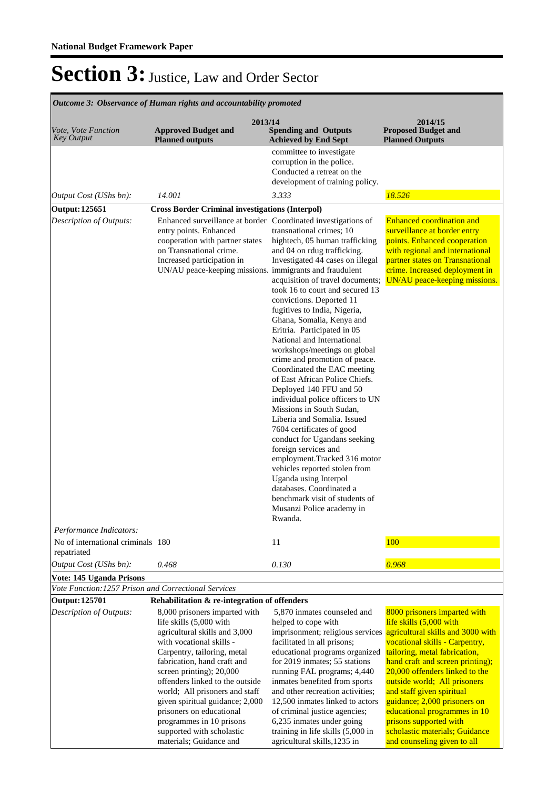| Outcome 3: Observance of Human rights and accountability promoted |                                                                                                                                                                                                                                                                                                                                                                                                                                         |                                                                                                                                                                                                                                                                                                                                                                                                                                                                                                                                                                                                                                                                                                                                                                                                                                                                                                             |                                                                                                                                                                                                                                                                                                                                                                                                                                                                                                |  |  |  |
|-------------------------------------------------------------------|-----------------------------------------------------------------------------------------------------------------------------------------------------------------------------------------------------------------------------------------------------------------------------------------------------------------------------------------------------------------------------------------------------------------------------------------|-------------------------------------------------------------------------------------------------------------------------------------------------------------------------------------------------------------------------------------------------------------------------------------------------------------------------------------------------------------------------------------------------------------------------------------------------------------------------------------------------------------------------------------------------------------------------------------------------------------------------------------------------------------------------------------------------------------------------------------------------------------------------------------------------------------------------------------------------------------------------------------------------------------|------------------------------------------------------------------------------------------------------------------------------------------------------------------------------------------------------------------------------------------------------------------------------------------------------------------------------------------------------------------------------------------------------------------------------------------------------------------------------------------------|--|--|--|
| <i>Vote, Vote Function</i><br><b>Key Output</b>                   | 2013/14<br><b>Approved Budget and</b><br><b>Planned outputs</b>                                                                                                                                                                                                                                                                                                                                                                         | <b>Spending and Outputs</b><br><b>Achieved by End Sept</b>                                                                                                                                                                                                                                                                                                                                                                                                                                                                                                                                                                                                                                                                                                                                                                                                                                                  | 2014/15<br><b>Proposed Budget and</b><br><b>Planned Outputs</b>                                                                                                                                                                                                                                                                                                                                                                                                                                |  |  |  |
|                                                                   |                                                                                                                                                                                                                                                                                                                                                                                                                                         | committee to investigate<br>corruption in the police.<br>Conducted a retreat on the<br>development of training policy.                                                                                                                                                                                                                                                                                                                                                                                                                                                                                                                                                                                                                                                                                                                                                                                      |                                                                                                                                                                                                                                                                                                                                                                                                                                                                                                |  |  |  |
| Output Cost (UShs bn):                                            | 14.001                                                                                                                                                                                                                                                                                                                                                                                                                                  | 3.333                                                                                                                                                                                                                                                                                                                                                                                                                                                                                                                                                                                                                                                                                                                                                                                                                                                                                                       | 18.526                                                                                                                                                                                                                                                                                                                                                                                                                                                                                         |  |  |  |
| <b>Output: 125651</b>                                             | <b>Cross Border Criminal investigations (Interpol)</b>                                                                                                                                                                                                                                                                                                                                                                                  |                                                                                                                                                                                                                                                                                                                                                                                                                                                                                                                                                                                                                                                                                                                                                                                                                                                                                                             |                                                                                                                                                                                                                                                                                                                                                                                                                                                                                                |  |  |  |
| Description of Outputs:                                           | Enhanced surveillance at border Coordinated investigations of<br>entry points. Enhanced<br>cooperation with partner states<br>on Transnational crime.<br>Increased participation in<br>UN/AU peace-keeping missions. immigrants and fraudulent                                                                                                                                                                                          | transnational crimes; 10<br>hightech, 05 human trafficking<br>and 04 on rdug trafficking.<br>Investigated 44 cases on illegal<br>acquisition of travel documents;<br>took 16 to court and secured 13<br>convictions. Deported 11<br>fugitives to India, Nigeria,<br>Ghana, Somalia, Kenya and<br>Eritria. Participated in 05<br>National and International<br>workshops/meetings on global<br>crime and promotion of peace.<br>Coordinated the EAC meeting<br>of East African Police Chiefs.<br>Deployed 140 FFU and 50<br>individual police officers to UN<br>Missions in South Sudan,<br>Liberia and Somalia. Issued<br>7604 certificates of good<br>conduct for Ugandans seeking<br>foreign services and<br>employment.Tracked 316 motor<br>vehicles reported stolen from<br>Uganda using Interpol<br>databases. Coordinated a<br>benchmark visit of students of<br>Musanzi Police academy in<br>Rwanda. | <b>Enhanced coordination and</b><br>surveillance at border entry<br>points. Enhanced cooperation<br>with regional and international<br>partner states on Transnational<br>crime. Increased deployment in<br>UN/AU peace-keeping missions.                                                                                                                                                                                                                                                      |  |  |  |
| Performance Indicators:<br>No of international criminals 180      |                                                                                                                                                                                                                                                                                                                                                                                                                                         | 11                                                                                                                                                                                                                                                                                                                                                                                                                                                                                                                                                                                                                                                                                                                                                                                                                                                                                                          | 100                                                                                                                                                                                                                                                                                                                                                                                                                                                                                            |  |  |  |
| repatriated                                                       |                                                                                                                                                                                                                                                                                                                                                                                                                                         |                                                                                                                                                                                                                                                                                                                                                                                                                                                                                                                                                                                                                                                                                                                                                                                                                                                                                                             |                                                                                                                                                                                                                                                                                                                                                                                                                                                                                                |  |  |  |
| Output Cost (UShs bn):                                            | 0.468                                                                                                                                                                                                                                                                                                                                                                                                                                   | 0.130                                                                                                                                                                                                                                                                                                                                                                                                                                                                                                                                                                                                                                                                                                                                                                                                                                                                                                       | 0.968                                                                                                                                                                                                                                                                                                                                                                                                                                                                                          |  |  |  |
| Vote: 145 Uganda Prisons                                          |                                                                                                                                                                                                                                                                                                                                                                                                                                         |                                                                                                                                                                                                                                                                                                                                                                                                                                                                                                                                                                                                                                                                                                                                                                                                                                                                                                             |                                                                                                                                                                                                                                                                                                                                                                                                                                                                                                |  |  |  |
| Vote Function:1257 Prison and Correctional Services               |                                                                                                                                                                                                                                                                                                                                                                                                                                         |                                                                                                                                                                                                                                                                                                                                                                                                                                                                                                                                                                                                                                                                                                                                                                                                                                                                                                             |                                                                                                                                                                                                                                                                                                                                                                                                                                                                                                |  |  |  |
| <b>Output: 125701</b>                                             | Rehabilitation & re-integration of offenders                                                                                                                                                                                                                                                                                                                                                                                            |                                                                                                                                                                                                                                                                                                                                                                                                                                                                                                                                                                                                                                                                                                                                                                                                                                                                                                             |                                                                                                                                                                                                                                                                                                                                                                                                                                                                                                |  |  |  |
| Description of Outputs:                                           | 8,000 prisoners imparted with<br>life skills (5,000 with<br>agricultural skills and 3,000<br>with vocational skills -<br>Carpentry, tailoring, metal<br>fabrication, hand craft and<br>screen printing); 20,000<br>offenders linked to the outside<br>world; All prisoners and staff<br>given spiritual guidance; 2,000<br>prisoners on educational<br>programmes in 10 prisons<br>supported with scholastic<br>materials; Guidance and | 5,870 inmates counseled and<br>helped to cope with<br>facilitated in all prisons;<br>educational programs organized<br>for 2019 inmates; 55 stations<br>running FAL programs; 4,440<br>inmates benefited from sports<br>and other recreation activities;<br>12,500 inmates linked to actors<br>of criminal justice agencies;<br>6,235 inmates under going<br>training in life skills (5,000 in<br>agricultural skills, 1235 in                                                                                                                                                                                                                                                                                                                                                                                                                                                                              | 8000 prisoners imparted with<br>life skills (5,000 with<br>imprisonment; religious services agricultural skills and 3000 with<br>vocational skills - Carpentry,<br>tailoring, metal fabrication,<br>hand craft and screen printing);<br>20,000 offenders linked to the<br>outside world; All prisoners<br>and staff given spiritual<br>guidance; 2,000 prisoners on<br>educational programmes in 10<br>prisons supported with<br>scholastic materials; Guidance<br>and counseling given to all |  |  |  |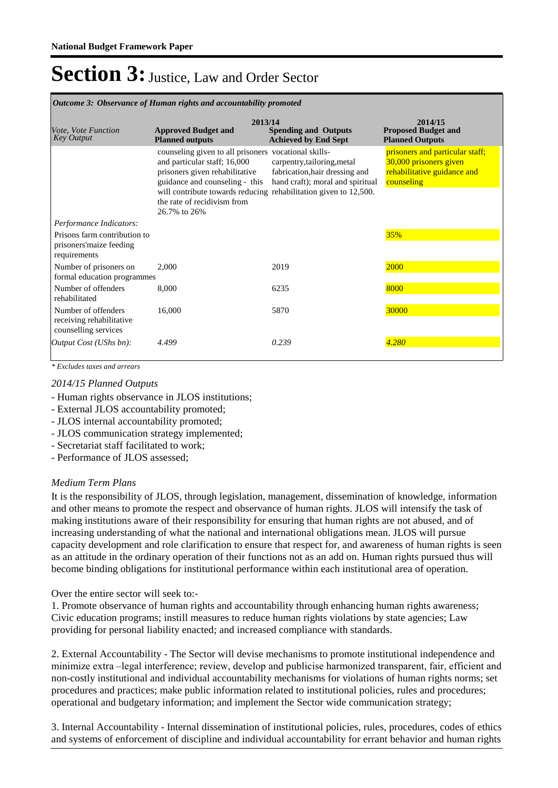| Outcome 3: Observance of Human rights and accountability promoted                                   |                                                                                                                                                                                                                                                                             |                                                                                                   |                                                                                                        |  |  |  |  |
|-----------------------------------------------------------------------------------------------------|-----------------------------------------------------------------------------------------------------------------------------------------------------------------------------------------------------------------------------------------------------------------------------|---------------------------------------------------------------------------------------------------|--------------------------------------------------------------------------------------------------------|--|--|--|--|
| Vote, Vote Function<br><b>Key Output</b>                                                            | 2013/14<br><b>Approved Budget and</b><br><b>Planned outputs</b>                                                                                                                                                                                                             | <b>Spending and Outputs</b><br><b>Achieved by End Sept</b>                                        | 2014/15<br><b>Proposed Budget and</b><br><b>Planned Outputs</b>                                        |  |  |  |  |
|                                                                                                     | counseling given to all prisoners vocational skills-<br>and particular staff; 16,000<br>prisoners given rehabilitative<br>guidance and counseling - this<br>will contribute towards reducing rehabilitation given to 12,500.<br>the rate of recidivism from<br>26.7% to 26% | carpentry, tailoring, metal<br>fabrication, hair dressing and<br>hand craft); moral and spiritual | prisoners and particular staff;<br>30,000 prisoners given<br>rehabilitative guidance and<br>counseling |  |  |  |  |
| Performance Indicators:<br>Prisons farm contribution to<br>prisoners' maize feeding<br>requirements |                                                                                                                                                                                                                                                                             |                                                                                                   | 35%                                                                                                    |  |  |  |  |
| Number of prisoners on<br>formal education programmes                                               | 2,000                                                                                                                                                                                                                                                                       | 2019                                                                                              | 2000                                                                                                   |  |  |  |  |
| Number of offenders<br>rehabilitated                                                                | 8,000                                                                                                                                                                                                                                                                       | 6235                                                                                              | 8000                                                                                                   |  |  |  |  |
| Number of offenders<br>receiving rehabilitative<br>counselling services                             | 16,000                                                                                                                                                                                                                                                                      | 5870                                                                                              | 30000                                                                                                  |  |  |  |  |
| Output Cost (UShs bn):                                                                              | 4.499                                                                                                                                                                                                                                                                       | 0.239                                                                                             | 4.280                                                                                                  |  |  |  |  |

*\* Excludes taxes and arrears*

#### *2014/15 Planned Outputs*

- Human rights observance in JLOS institutions;
- External JLOS accountability promoted;
- JLOS internal accountability promoted;
- JLOS communication strategy implemented;
- Secretariat staff facilitated to work;
- Performance of JLOS assessed;

#### *Medium Term Plans*

It is the responsibility of JLOS, through legislation, management, dissemination of knowledge, information and other means to promote the respect and observance of human rights. JLOS will intensify the task of making institutions aware of their responsibility for ensuring that human rights are not abused, and of increasing understanding of what the national and international obligations mean. JLOS will pursue capacity development and role clarification to ensure that respect for, and awareness of human rights is seen as an attitude in the ordinary operation of their functions not as an add on. Human rights pursued thus will become binding obligations for institutional performance within each institutional area of operation.

Over the entire sector will seek to:-

1. Promote observance of human rights and accountability through enhancing human rights awareness; Civic education programs; instill measures to reduce human rights violations by state agencies; Law providing for personal liability enacted; and increased compliance with standards.

2. External Accountability - The Sector will devise mechanisms to promote institutional independence and minimize extra –legal interference; review, develop and publicise harmonized transparent, fair, efficient and non-costly institutional and individual accountability mechanisms for violations of human rights norms; set procedures and practices; make public information related to institutional policies, rules and procedures; operational and budgetary information; and implement the Sector wide communication strategy;

3. Internal Accountability - Internal dissemination of institutional policies, rules, procedures, codes of ethics and systems of enforcement of discipline and individual accountability for errant behavior and human rights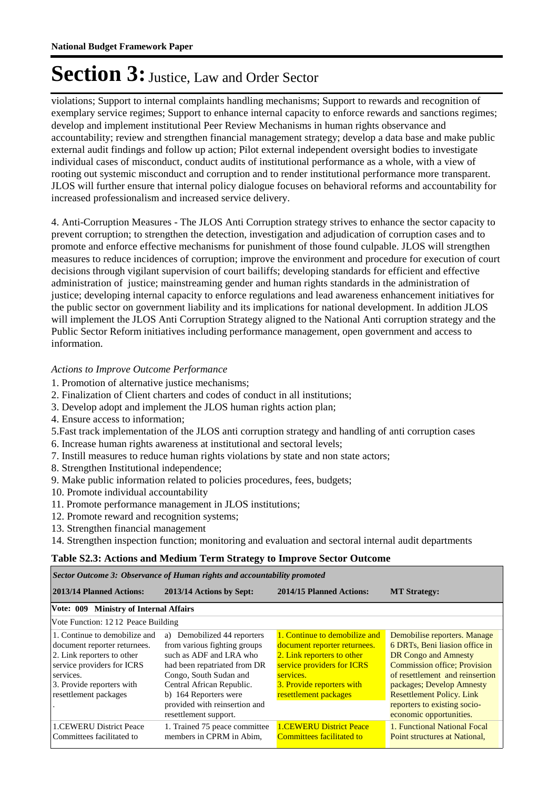violations; Support to internal complaints handling mechanisms; Support to rewards and recognition of exemplary service regimes; Support to enhance internal capacity to enforce rewards and sanctions regimes; develop and implement institutional Peer Review Mechanisms in human rights observance and accountability; review and strengthen financial management strategy; develop a data base and make public external audit findings and follow up action; Pilot external independent oversight bodies to investigate individual cases of misconduct, conduct audits of institutional performance as a whole, with a view of rooting out systemic misconduct and corruption and to render institutional performance more transparent. JLOS will further ensure that internal policy dialogue focuses on behavioral reforms and accountability for increased professionalism and increased service delivery.

4. Anti-Corruption Measures - The JLOS Anti Corruption strategy strives to enhance the sector capacity to prevent corruption; to strengthen the detection, investigation and adjudication of corruption cases and to promote and enforce effective mechanisms for punishment of those found culpable. JLOS will strengthen measures to reduce incidences of corruption; improve the environment and procedure for execution of court decisions through vigilant supervision of court bailiffs; developing standards for efficient and effective administration of justice; mainstreaming gender and human rights standards in the administration of justice; developing internal capacity to enforce regulations and lead awareness enhancement initiatives for the public sector on government liability and its implications for national development. In addition JLOS will implement the JLOS Anti Corruption Strategy aligned to the National Anti corruption strategy and the Public Sector Reform initiatives including performance management, open government and access to information.

#### *Actions to Improve Outcome Performance*

- 1. Promotion of alternative justice mechanisms;
- 2. Finalization of Client charters and codes of conduct in all institutions;
- 3. Develop adopt and implement the JLOS human rights action plan;
- 4. Ensure access to information;
- 5. Fast track implementation of the JLOS anti corruption strategy and handling of anti corruption cases
- 6. Increase human rights awareness at institutional and sectoral levels;
- 7. Instill measures to reduce human rights violations by state and non state actors;
- 8. Strengthen Institutional independence;
- 9. Make public information related to policies procedures, fees, budgets;
- 10. Promote individual accountability
- 11. Promote performance management in JLOS institutions;
- 12. Promote reward and recognition systems;
- 13. Strengthen financial management

Г

14. Strengthen inspection function; monitoring and evaluation and sectoral internal audit departments

#### **Table S2.3: Actions and Medium Term Strategy to Improve Sector Outcome**

| Sector Outcome 3: Observance of Human rights and accountability promoted                                                                                                                     |                                                                                                                                                                                                                                                                  |                                                                                                                                                                                                     |                                                                                                                                                                                                                                                                                                     |  |  |  |  |
|----------------------------------------------------------------------------------------------------------------------------------------------------------------------------------------------|------------------------------------------------------------------------------------------------------------------------------------------------------------------------------------------------------------------------------------------------------------------|-----------------------------------------------------------------------------------------------------------------------------------------------------------------------------------------------------|-----------------------------------------------------------------------------------------------------------------------------------------------------------------------------------------------------------------------------------------------------------------------------------------------------|--|--|--|--|
| 2013/14 Planned Actions:                                                                                                                                                                     | 2013/14 Actions by Sept:                                                                                                                                                                                                                                         | 2014/15 Planned Actions:                                                                                                                                                                            | <b>MT Strategy:</b>                                                                                                                                                                                                                                                                                 |  |  |  |  |
| Vote: 009 Ministry of Internal Affairs                                                                                                                                                       |                                                                                                                                                                                                                                                                  |                                                                                                                                                                                                     |                                                                                                                                                                                                                                                                                                     |  |  |  |  |
| Vote Function: 1212 Peace Building                                                                                                                                                           |                                                                                                                                                                                                                                                                  |                                                                                                                                                                                                     |                                                                                                                                                                                                                                                                                                     |  |  |  |  |
| 1. Continue to demobilize and<br>document reporter returnees.<br>2. Link reporters to other<br>service providers for ICRS<br>services.<br>3. Provide reporters with<br>resettlement packages | a) Demobilized 44 reporters<br>from various fighting groups<br>such as ADF and LRA who<br>had been repatriated from DR<br>Congo, South Sudan and<br>Central African Republic.<br>b) 164 Reporters were<br>provided with reinsertion and<br>resettlement support. | 1. Continue to demobilize and<br>document reporter returnees.<br>2. Link reporters to other<br>service providers for ICRS<br>services.<br><b>3. Provide reporters with</b><br>resettlement packages | Demobilise reporters. Manage<br>6 DRTs, Beni liasion office in<br><b>DR Congo and Amnesty</b><br><b>Commission office: Provision</b><br>of resettlement and reinsertion<br>packages; Develop Amnesty<br><b>Resettlement Policy. Link</b><br>reporters to existing socio-<br>economic opportunities. |  |  |  |  |
| <b>1.CEWERU District Peace</b><br>Committees facilitated to                                                                                                                                  | 1. Trained 75 peace committee<br>members in CPRM in Abim.                                                                                                                                                                                                        | <b>1.CEWERU District Peace</b><br><b>Committees facilitated to</b>                                                                                                                                  | 1. Functional National Focal<br>Point structures at National.                                                                                                                                                                                                                                       |  |  |  |  |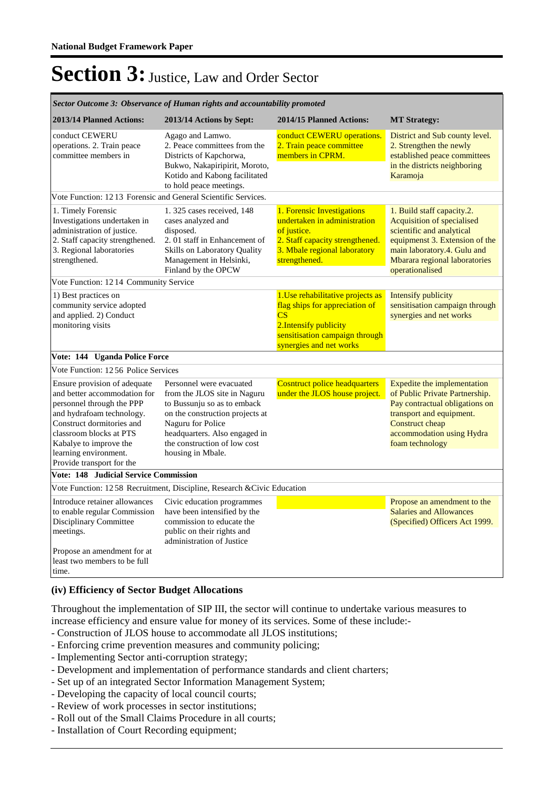| Sector Outcome 3: Observance of Human rights and accountability promoted                                                                                                                                                                                       |                                                                                                                                                                                                                                       |                                                                                                                                                                                      |                                                                                                                                                                                                            |  |  |  |  |
|----------------------------------------------------------------------------------------------------------------------------------------------------------------------------------------------------------------------------------------------------------------|---------------------------------------------------------------------------------------------------------------------------------------------------------------------------------------------------------------------------------------|--------------------------------------------------------------------------------------------------------------------------------------------------------------------------------------|------------------------------------------------------------------------------------------------------------------------------------------------------------------------------------------------------------|--|--|--|--|
| 2013/14 Planned Actions:                                                                                                                                                                                                                                       | 2013/14 Actions by Sept:                                                                                                                                                                                                              | 2014/15 Planned Actions:                                                                                                                                                             | <b>MT Strategy:</b>                                                                                                                                                                                        |  |  |  |  |
| conduct CEWERU<br>operations. 2. Train peace<br>committee members in                                                                                                                                                                                           | Agago and Lamwo.<br>2. Peace committees from the<br>Districts of Kapchorwa,<br>Bukwo, Nakapiripirit, Moroto,<br>Kotido and Kabong facilitated<br>to hold peace meetings.                                                              | conduct CEWERU operations.<br>2. Train peace committee<br>members in CPRM.                                                                                                           | District and Sub county level.<br>2. Strengthen the newly<br>established peace committees<br>in the districts neighboring<br>Karamoja                                                                      |  |  |  |  |
| Vote Function: 1213 Forensic and General Scientific Services.                                                                                                                                                                                                  |                                                                                                                                                                                                                                       |                                                                                                                                                                                      |                                                                                                                                                                                                            |  |  |  |  |
| 1. Timely Forensic<br>Investigations undertaken in<br>administration of justice.<br>2. Staff capacity strengthened.<br>3. Regional laboratories<br>strengthened.                                                                                               | 1.325 cases received, 148<br>cases analyzed and<br>disposed.<br>2.01 staff in Enhancement of<br>Skills on Laboratory Quality<br>Management in Helsinki,<br>Finland by the OPCW                                                        | 1. Forensic Investigations<br>undertaken in administration<br>of justice.<br>2. Staff capacity strengthened.<br>3. Mbale regional laboratory<br>strengthened.                        | 1. Build staff capacity.2.<br>Acquisition of specialised<br>scientific and analytical<br>equipmenst 3. Extension of the<br>main laboratory.4. Gulu and<br>Mbarara regional laboratories<br>operationalised |  |  |  |  |
| Vote Function: 1214 Community Service                                                                                                                                                                                                                          |                                                                                                                                                                                                                                       |                                                                                                                                                                                      |                                                                                                                                                                                                            |  |  |  |  |
| 1) Best practices on<br>community service adopted<br>and applied. 2) Conduct<br>monitoring visits                                                                                                                                                              |                                                                                                                                                                                                                                       | 1. Use rehabilitative projects as<br>flag ships for appreciation of<br>$\overline{\text{CS}}$<br>2. Intensify publicity<br>sensitisation campaign through<br>synergies and net works | <b>Intensify publicity</b><br>sensitisation campaign through<br>synergies and net works                                                                                                                    |  |  |  |  |
| Vote: 144 Uganda Police Force                                                                                                                                                                                                                                  |                                                                                                                                                                                                                                       |                                                                                                                                                                                      |                                                                                                                                                                                                            |  |  |  |  |
| Vote Function: 1256 Police Services                                                                                                                                                                                                                            |                                                                                                                                                                                                                                       |                                                                                                                                                                                      |                                                                                                                                                                                                            |  |  |  |  |
| Ensure provision of adequate<br>and better accommodation for<br>personnel through the PPP<br>and hydrafoam technology.<br>Construct dormitories and<br>classroom blocks at PTS<br>Kabalye to improve the<br>learning environment.<br>Provide transport for the | Personnel were evacuated<br>from the JLOS site in Naguru<br>to Bussunju so as to emback<br>on the construction projects at<br>Naguru for Police<br>headquarters. Also engaged in<br>the construction of low cost<br>housing in Mbale. | <b>Cosntruct police headquarters</b><br>under the JLOS house project.                                                                                                                | Expedite the implementation<br>of Public Private Partnership.<br>Pay contractual obligations on<br>transport and equipment.<br>Construct cheap<br>accommodation using Hydra<br>foam technology             |  |  |  |  |
| Vote: 148 Judicial Service Commission                                                                                                                                                                                                                          |                                                                                                                                                                                                                                       |                                                                                                                                                                                      |                                                                                                                                                                                                            |  |  |  |  |
|                                                                                                                                                                                                                                                                | Vote Function: 1258 Recruitment, Discipline, Research & Civic Education                                                                                                                                                               |                                                                                                                                                                                      |                                                                                                                                                                                                            |  |  |  |  |
| Introduce retainer allowances<br>to enable regular Commission<br>Disciplinary Committee<br>meetings.<br>Propose an amendment for at<br>least two members to be full<br>time.                                                                                   | Civic education programmes<br>have been intensified by the<br>commission to educate the<br>public on their rights and<br>administration of Justice                                                                                    |                                                                                                                                                                                      | Propose an amendment to the<br><b>Salaries and Allowances</b><br>(Specified) Officers Act 1999.                                                                                                            |  |  |  |  |

#### **(iv) Efficiency of Sector Budget Allocations**

Throughout the implementation of SIP III, the sector will continue to undertake various measures to increase efficiency and ensure value for money of its services. Some of these include:-

- Construction of JLOS house to accommodate all JLOS institutions;
- Enforcing crime prevention measures and community policing;
- Implementing Sector anti-corruption strategy;
- Development and implementation of performance standards and client charters;
- Set up of an integrated Sector Information Management System;
- Developing the capacity of local council courts;
- Review of work processes in sector institutions;
- Roll out of the Small Claims Procedure in all courts;
- Installation of Court Recording equipment;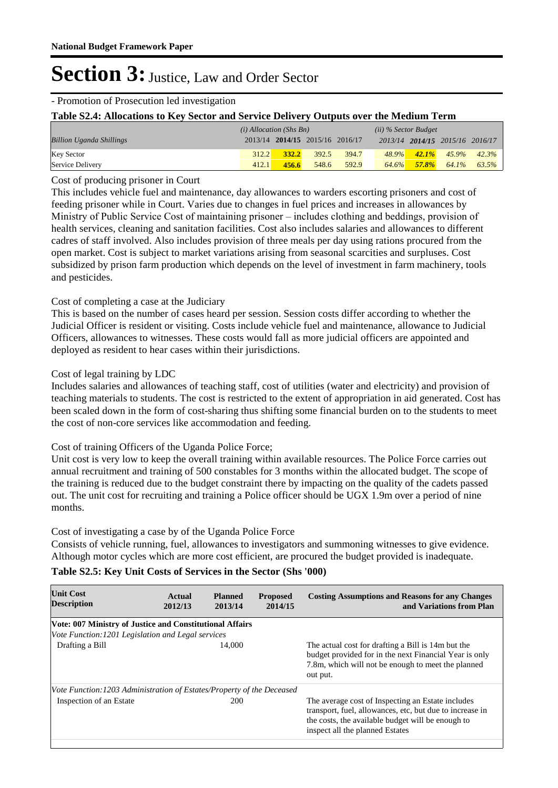#### - Promotion of Prosecution led investigation **Table S2.4: Allocations to Key Sector and Service Delivery Outputs over the Medium Term** 2013/14 **2014/15** 2015/16 2016/17 *(ii) % Sector Budget Billion Uganda Shillings (i) Allocation (Shs Bn)*

| <b>Billion Uganda Shillings</b> |       |             | 2013/14 2014/15 2015/16 2016/17 |       |  | 2013/14 2014/15 2015/16 2016/17     |  |
|---------------------------------|-------|-------------|---------------------------------|-------|--|-------------------------------------|--|
| <b>Key Sector</b>               |       | 312.2 332.2 | 392.5                           | 394.7 |  | $48.9\%$ $42.1\%$ $45.9\%$ $42.3\%$ |  |
| Service Delivery                | 412.1 | $-456.6$    | 548.6                           | 592.9 |  | $64.6\%$ 57.8% $64.1\%$ 63.5%       |  |

Cost of producing prisoner in Court

This includes vehicle fuel and maintenance, day allowances to warders escorting prisoners and cost of feeding prisoner while in Court. Varies due to changes in fuel prices and increases in allowances by Ministry of Public Service Cost of maintaining prisoner – includes clothing and beddings, provision of health services, cleaning and sanitation facilities. Cost also includes salaries and allowances to different cadres of staff involved. Also includes provision of three meals per day using rations procured from the open market. Cost is subject to market variations arising from seasonal scarcities and surpluses. Cost subsidized by prison farm production which depends on the level of investment in farm machinery, tools and pesticides.

### Cost of completing a case at the Judiciary

This is based on the number of cases heard per session. Session costs differ according to whether the Judicial Officer is resident or visiting. Costs include vehicle fuel and maintenance, allowance to Judicial Officers, allowances to witnesses. These costs would fall as more judicial officers are appointed and deployed as resident to hear cases within their jurisdictions.

### Cost of legal training by LDC

Includes salaries and allowances of teaching staff, cost of utilities (water and electricity) and provision of teaching materials to students. The cost is restricted to the extent of appropriation in aid generated. Cost has been scaled down in the form of cost-sharing thus shifting some financial burden on to the students to meet the cost of non-core services like accommodation and feeding.

### Cost of training Officers of the Uganda Police Force;

Unit cost is very low to keep the overall training within available resources. The Police Force carries out annual recruitment and training of 500 constables for 3 months within the allocated budget. The scope of the training is reduced due to the budget constraint there by impacting on the quality of the cadets passed out. The unit cost for recruiting and training a Police officer should be UGX 1.9m over a period of nine months.

#### Cost of investigating a case by of the Uganda Police Force

Consists of vehicle running, fuel, allowances to investigators and summoning witnesses to give evidence. Although motor cycles which are more cost efficient, are procured the budget provided is inadequate.

#### **Table S2.5: Key Unit Costs of Services in the Sector (Shs '000)**

| <b>Actual</b><br>2012/13 | <b>Planned</b><br>2013/14 | <b>Proposed</b><br>2014/15                         | <b>Costing Assumptions and Reasons for any Changes</b><br>and Variations from Plan                                                                                                                    |
|--------------------------|---------------------------|----------------------------------------------------|-------------------------------------------------------------------------------------------------------------------------------------------------------------------------------------------------------|
|                          |                           |                                                    |                                                                                                                                                                                                       |
|                          |                           |                                                    |                                                                                                                                                                                                       |
|                          | 14,000                    |                                                    | The actual cost for drafting a Bill is 14m but the<br>budget provided for in the next Financial Year is only<br>7.8m, which will not be enough to meet the planned<br>out put.                        |
|                          |                           |                                                    |                                                                                                                                                                                                       |
|                          | 200                       |                                                    | The average cost of Inspecting an Estate includes<br>transport, fuel, allowances, etc, but due to increase in<br>the costs, the available budget will be enough to<br>inspect all the planned Estates |
|                          |                           | Vote Function: 1201 Legislation and Legal services | <b>Vote: 007 Ministry of Justice and Constitutional Affairs</b><br>Vote Function: 1203 Administration of Estates/Property of the Deceased                                                             |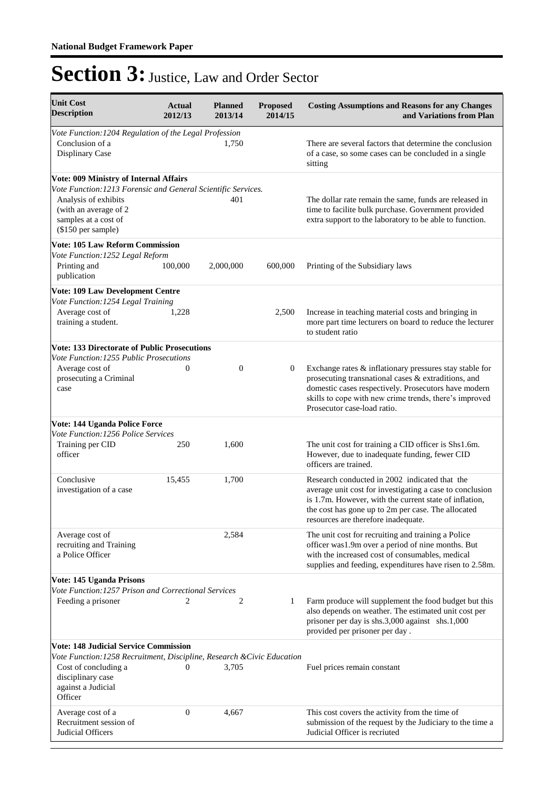| <b>Unit Cost</b><br><b>Description</b>                                                                                                                                                                        | <b>Actual</b><br>2012/13 | <b>Planned</b><br>2013/14 | <b>Proposed</b><br>2014/15 | <b>Costing Assumptions and Reasons for any Changes</b><br>and Variations from Plan                                                                                                                                                                               |
|---------------------------------------------------------------------------------------------------------------------------------------------------------------------------------------------------------------|--------------------------|---------------------------|----------------------------|------------------------------------------------------------------------------------------------------------------------------------------------------------------------------------------------------------------------------------------------------------------|
| Vote Function: 1204 Regulation of the Legal Profession<br>Conclusion of a<br>Displinary Case                                                                                                                  |                          | 1,750                     |                            | There are several factors that determine the conclusion<br>of a case, so some cases can be concluded in a single<br>sitting                                                                                                                                      |
| <b>Vote: 009 Ministry of Internal Affairs</b><br>Vote Function: 1213 Forensic and General Scientific Services.<br>Analysis of exhibits<br>(with an average of 2<br>samples at a cost of<br>(\$150 per sample) |                          | 401                       |                            | The dollar rate remain the same, funds are released in<br>time to facilite bulk purchase. Government provided<br>extra support to the laboratory to be able to function.                                                                                         |
| <b>Vote: 105 Law Reform Commission</b><br>Vote Function: 1252 Legal Reform<br>Printing and<br>publication                                                                                                     | 100,000                  | 2,000,000                 | 600,000                    | Printing of the Subsidiary laws                                                                                                                                                                                                                                  |
| <b>Vote: 109 Law Development Centre</b><br>Vote Function: 1254 Legal Training<br>Average cost of<br>training a student.                                                                                       | 1,228                    |                           | 2,500                      | Increase in teaching material costs and bringing in<br>more part time lecturers on board to reduce the lecturer<br>to student ratio                                                                                                                              |
| <b>Vote: 133 Directorate of Public Prosecutions</b><br>Vote Function: 1255 Public Prosecutions<br>Average cost of<br>prosecuting a Criminal<br>case                                                           | 0                        | $\mathbf{0}$              | $\mathbf{0}$               | Exchange rates & inflationary pressures stay stable for<br>prosecuting transnational cases & extraditions, and<br>domestic cases respectively. Prosecutors have modern<br>skills to cope with new crime trends, there's improved<br>Prosecutor case-load ratio.  |
| Vote: 144 Uganda Police Force<br>Vote Function: 1256 Police Services<br>Training per CID<br>officer                                                                                                           | 250                      | 1,600                     |                            | The unit cost for training a CID officer is Shs1.6m.<br>However, due to inadequate funding, fewer CID<br>officers are trained.                                                                                                                                   |
| Conclusive<br>investigation of a case                                                                                                                                                                         | 15,455                   | 1,700                     |                            | Research conducted in 2002 indicated that the<br>average unit cost for investigating a case to conclusion<br>is 1.7m. However, with the current state of inflation,<br>the cost has gone up to 2m per case. The allocated<br>resources are therefore inadequate. |
| Average cost of<br>recruiting and Training<br>a Police Officer                                                                                                                                                |                          | 2,584                     |                            | The unit cost for recruiting and training a Police<br>officer was 1.9m over a period of nine months. But<br>with the increased cost of consumables, medical<br>supplies and feeding, expenditures have risen to 2.58m.                                           |
| Vote: 145 Uganda Prisons                                                                                                                                                                                      |                          |                           |                            |                                                                                                                                                                                                                                                                  |
| Vote Function: 1257 Prison and Correctional Services<br>Feeding a prisoner                                                                                                                                    | 2                        | 2                         | 1                          | Farm produce will supplement the food budget but this<br>also depends on weather. The estimated unit cost per<br>prisoner per day is shs.3,000 against shs.1,000<br>provided per prisoner per day.                                                               |
| <b>Vote: 148 Judicial Service Commission</b><br>Vote Function: 1258 Recruitment, Discipline, Research & Civic Education<br>Cost of concluding a<br>disciplinary case<br>against a Judicial<br>Officer         | 0                        | 3,705                     |                            | Fuel prices remain constant                                                                                                                                                                                                                                      |
| Average cost of a<br>Recruitment session of<br>Judicial Officers                                                                                                                                              | $\boldsymbol{0}$         | 4,667                     |                            | This cost covers the activity from the time of<br>submission of the request by the Judiciary to the time a<br>Judicial Officer is recriuted                                                                                                                      |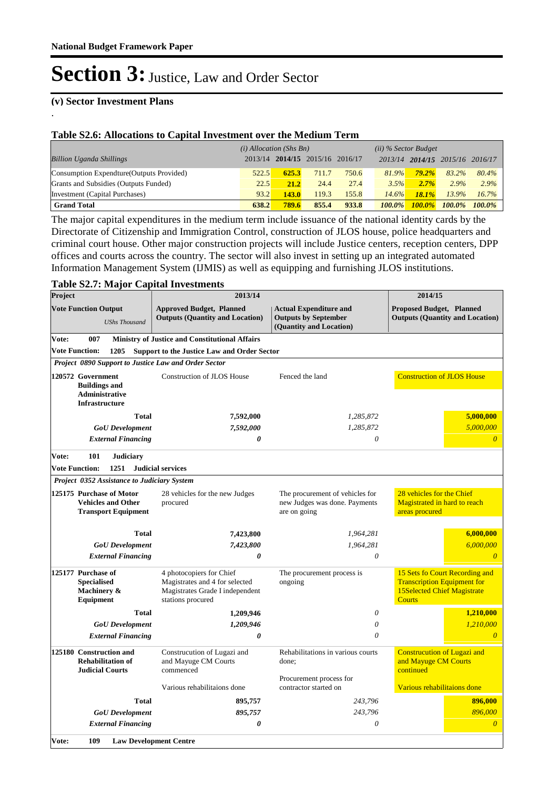### **(v) Sector Investment Plans**

.

#### **Table S2.6: Allocations to Capital Investment over the Medium Term**

|                                           | $(i)$ Allocation (Shs Bn) |              |                         |       | $(ii)$ % Sector Budget |               |                 |           |
|-------------------------------------------|---------------------------|--------------|-------------------------|-------|------------------------|---------------|-----------------|-----------|
| <b>Billion Uganda Shillings</b>           | 2013/14                   |              | 2014/15 2015/16 2016/17 |       | 2013/14                |               | 2014/15 2015/16 | 2016/17   |
| Consumption Expendture (Outputs Provided) | 522.5                     | 625.3        | 711.7                   | 750.6 | 81.9%                  | $79.2\%$      | 83.2%           | 80.4%     |
| Grants and Subsidies (Outputs Funded)     | 22.5                      | 21.2         | 24.4                    | 27.4  | 3.5%                   | 2.7%          | 2.9%            | $2.9\%$   |
| Investment (Capital Purchases)            | 93.2                      | <b>143.0</b> | 119.3                   | 155.8 | $14.6\%$               | $18.1\%$      | 13.9%           | 16.7%     |
| <b>Grand Total</b>                        | 638.2                     | 789.6        | 855.4                   | 933.8 | <b>100.0%</b>          | <b>100.0%</b> | $100.0\%$       | $100.0\%$ |

The major capital expenditures in the medium term include issuance of the national identity cards by the Directorate of Citizenship and Immigration Control, construction of JLOS house, police headquarters and criminal court house. Other major construction projects will include Justice centers, reception centers, DPP offices and courts across the country. The sector will also invest in setting up an integrated automated Information Management System (IJMIS) as well as equipping and furnishing JLOS institutions.

#### **Table S2.7: Major Capital Investments**

| Project                                                              |                                                                                             | 2013/14                                                                                                            |                                                                                         |                                                                                                                             |  |  |
|----------------------------------------------------------------------|---------------------------------------------------------------------------------------------|--------------------------------------------------------------------------------------------------------------------|-----------------------------------------------------------------------------------------|-----------------------------------------------------------------------------------------------------------------------------|--|--|
| <b>Vote Function Output</b><br><b>UShs Thousand</b>                  |                                                                                             | <b>Approved Budget, Planned</b><br><b>Outputs (Quantity and Location)</b>                                          | <b>Actual Expenditure and</b><br><b>Outputs by September</b><br>(Quantity and Location) | <b>Proposed Budget, Planned</b><br><b>Outputs (Quantity and Location)</b>                                                   |  |  |
| Vote:                                                                | 007                                                                                         | <b>Ministry of Justice and Constitutional Affairs</b>                                                              |                                                                                         |                                                                                                                             |  |  |
|                                                                      | <b>Vote Function:</b><br>1205                                                               | <b>Support to the Justice Law and Order Sector</b>                                                                 |                                                                                         |                                                                                                                             |  |  |
|                                                                      | Project 0890 Support to Justice Law and Order Sector                                        |                                                                                                                    |                                                                                         |                                                                                                                             |  |  |
|                                                                      | 120572 Government<br><b>Buildings and</b><br><b>Administrative</b><br><b>Infrastructure</b> | Construction of JLOS House                                                                                         | Fenced the land                                                                         |                                                                                                                             |  |  |
|                                                                      | Total                                                                                       | 7,592,000                                                                                                          | 1,285,872                                                                               | 5,000,000                                                                                                                   |  |  |
|                                                                      | <b>GoU</b> Development                                                                      | 7,592,000                                                                                                          | 1,285,872                                                                               | 5,000,000                                                                                                                   |  |  |
|                                                                      | <b>External Financing</b>                                                                   | $\theta$                                                                                                           | $\theta$                                                                                | $\overline{0}$                                                                                                              |  |  |
| Vote:                                                                | 101<br>Judiciary                                                                            |                                                                                                                    |                                                                                         |                                                                                                                             |  |  |
|                                                                      | <b>Vote Function:</b><br>1251                                                               | <b>Judicial services</b>                                                                                           |                                                                                         |                                                                                                                             |  |  |
|                                                                      | Project 0352 Assistance to Judiciary System                                                 |                                                                                                                    |                                                                                         |                                                                                                                             |  |  |
|                                                                      | 125175 Purchase of Motor<br><b>Vehicles and Other</b><br><b>Transport Equipment</b>         | 28 vehicles for the new Judges<br>procured                                                                         | The procurement of vehicles for<br>new Judges was done. Payments<br>are on going        | 28 vehicles for the Chief<br>Magistrated in hard to reach<br>areas procured                                                 |  |  |
|                                                                      | <b>Total</b>                                                                                | 7,423,800                                                                                                          | 1,964,281                                                                               | 6,000,000                                                                                                                   |  |  |
|                                                                      | <b>GoU</b> Development                                                                      | 7,423,800                                                                                                          | 1,964,281                                                                               | 6,000,000                                                                                                                   |  |  |
|                                                                      | <b>External Financing</b>                                                                   | $\boldsymbol{\theta}$                                                                                              | $\theta$                                                                                | $\overline{0}$                                                                                                              |  |  |
| 125177 Purchase of<br><b>Specialised</b><br>Machinery &<br>Equipment |                                                                                             | 4 photocopiers for Chief<br>Magistrates and 4 for selected<br>Magistrates Grade I independent<br>stations procured | The procurement process is<br>ongoing                                                   | 15 Sets fo Court Recording and<br><b>Transcription Equipment for</b><br><b>15Selected Chief Magistrate</b><br><b>Courts</b> |  |  |
|                                                                      | <b>Total</b>                                                                                | 1,209,946                                                                                                          | $\theta$                                                                                | 1,210,000                                                                                                                   |  |  |
|                                                                      | <b>GoU</b> Development                                                                      | 1,209,946                                                                                                          | $\theta$                                                                                | 1,210,000                                                                                                                   |  |  |
|                                                                      | <b>External Financing</b>                                                                   | $\boldsymbol{\theta}$                                                                                              | $\theta$                                                                                | $\Omega$                                                                                                                    |  |  |
|                                                                      | 125180 Construction and<br><b>Rehabilitation of</b><br><b>Judicial Courts</b>               | Construcution of Lugazi and<br>and Mayuge CM Courts<br>commenced                                                   | Rehabilitations in various courts<br>done:                                              | <b>Construcution of Lugazi and</b><br>and Mayuge CM Courts<br>continued                                                     |  |  |
|                                                                      |                                                                                             | Various rehabilitaions done                                                                                        | Procurement process for<br>contractor started on                                        | Various rehabilitaions done                                                                                                 |  |  |
|                                                                      | <b>Total</b>                                                                                | 895,757                                                                                                            | 243.796                                                                                 | 896,000                                                                                                                     |  |  |
|                                                                      | <b>GoU</b> Development                                                                      | 895,757                                                                                                            | 243,796                                                                                 | 896,000                                                                                                                     |  |  |
|                                                                      | <b>External Financing</b>                                                                   | 0                                                                                                                  | $\theta$                                                                                | $\overline{\theta}$                                                                                                         |  |  |
| Vote:                                                                | 109                                                                                         | <b>Law Development Centre</b>                                                                                      |                                                                                         |                                                                                                                             |  |  |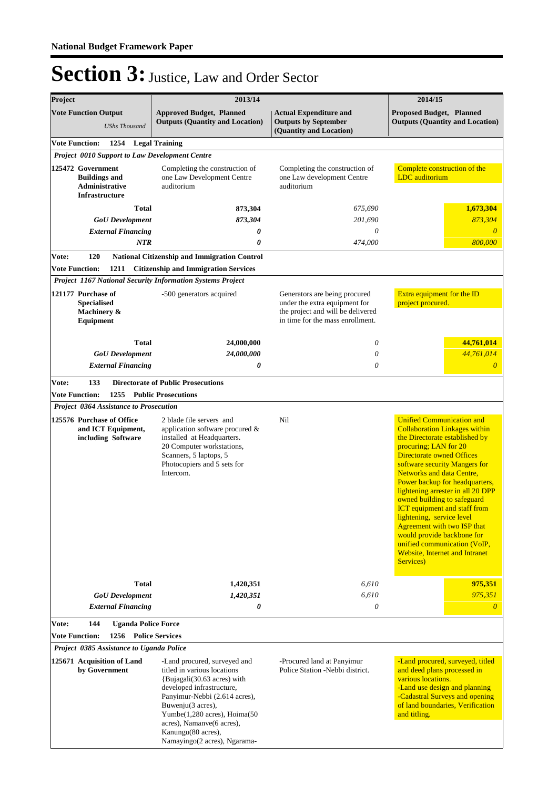| Project |                                                                                      | 2013/14                                                                                                                                                                                                                                                                                          |                                                                                                                                         | 2014/15                                                                                                                                                                                                                                                                                                                                                                                                                                                                                                                                                     |
|---------|--------------------------------------------------------------------------------------|--------------------------------------------------------------------------------------------------------------------------------------------------------------------------------------------------------------------------------------------------------------------------------------------------|-----------------------------------------------------------------------------------------------------------------------------------------|-------------------------------------------------------------------------------------------------------------------------------------------------------------------------------------------------------------------------------------------------------------------------------------------------------------------------------------------------------------------------------------------------------------------------------------------------------------------------------------------------------------------------------------------------------------|
|         | <b>Vote Function Output</b><br><b>UShs Thousand</b>                                  | <b>Approved Budget, Planned</b><br><b>Outputs (Quantity and Location)</b>                                                                                                                                                                                                                        | <b>Actual Expenditure and</b><br><b>Outputs by September</b><br>(Quantity and Location)                                                 | <b>Proposed Budget, Planned</b><br><b>Outputs (Quantity and Location)</b>                                                                                                                                                                                                                                                                                                                                                                                                                                                                                   |
|         | <b>Vote Function:</b><br>1254                                                        | <b>Legal Training</b>                                                                                                                                                                                                                                                                            |                                                                                                                                         |                                                                                                                                                                                                                                                                                                                                                                                                                                                                                                                                                             |
|         | Project 0010 Support to Law Development Centre                                       |                                                                                                                                                                                                                                                                                                  |                                                                                                                                         |                                                                                                                                                                                                                                                                                                                                                                                                                                                                                                                                                             |
|         | 125472 Government<br><b>Buildings and</b><br>Administrative<br><b>Infrastructure</b> | Completing the construction of<br>one Law Development Centre<br>auditorium                                                                                                                                                                                                                       | Completing the construction of<br>one Law development Centre<br>auditorium                                                              | Complete construction of the<br><b>LDC</b> auditorium                                                                                                                                                                                                                                                                                                                                                                                                                                                                                                       |
|         | <b>Total</b>                                                                         | 873,304                                                                                                                                                                                                                                                                                          | 675,690                                                                                                                                 | 1,673,304                                                                                                                                                                                                                                                                                                                                                                                                                                                                                                                                                   |
|         | <b>GoU</b> Development                                                               | 873,304                                                                                                                                                                                                                                                                                          | 201,690                                                                                                                                 | 873,304                                                                                                                                                                                                                                                                                                                                                                                                                                                                                                                                                     |
|         | <b>External Financing</b>                                                            | 0                                                                                                                                                                                                                                                                                                | 0                                                                                                                                       | $\theta$                                                                                                                                                                                                                                                                                                                                                                                                                                                                                                                                                    |
|         | <b>NTR</b>                                                                           | 0                                                                                                                                                                                                                                                                                                | 474,000                                                                                                                                 | 800,000                                                                                                                                                                                                                                                                                                                                                                                                                                                                                                                                                     |
| Vote:   | 120<br><b>Vote Function:</b><br>1211                                                 | National Citizenship and Immigration Control<br><b>Citizenship and Immigration Services</b>                                                                                                                                                                                                      |                                                                                                                                         |                                                                                                                                                                                                                                                                                                                                                                                                                                                                                                                                                             |
|         |                                                                                      | Project 1167 National Security Information Systems Project                                                                                                                                                                                                                                       |                                                                                                                                         |                                                                                                                                                                                                                                                                                                                                                                                                                                                                                                                                                             |
|         | 121177 Purchase of<br><b>Specialised</b><br>Machinery &<br>Equipment                 | -500 generators acquired                                                                                                                                                                                                                                                                         | Generators are being procured<br>under the extra equipment for<br>the project and will be delivered<br>in time for the mass enrollment. | Extra equipment for the ID<br>project procured.                                                                                                                                                                                                                                                                                                                                                                                                                                                                                                             |
|         | <b>Total</b>                                                                         | 24,000,000                                                                                                                                                                                                                                                                                       | 0                                                                                                                                       | 44,761,014                                                                                                                                                                                                                                                                                                                                                                                                                                                                                                                                                  |
|         | <b>GoU</b> Development                                                               | 24,000,000                                                                                                                                                                                                                                                                                       | 0                                                                                                                                       | 44,761,014                                                                                                                                                                                                                                                                                                                                                                                                                                                                                                                                                  |
|         | <b>External Financing</b>                                                            | 0                                                                                                                                                                                                                                                                                                | 0                                                                                                                                       | $\theta$                                                                                                                                                                                                                                                                                                                                                                                                                                                                                                                                                    |
| Vote:   | 133                                                                                  | <b>Directorate of Public Prosecutions</b>                                                                                                                                                                                                                                                        |                                                                                                                                         |                                                                                                                                                                                                                                                                                                                                                                                                                                                                                                                                                             |
|         | <b>Vote Function:</b><br>1255                                                        | <b>Public Prosecutions</b>                                                                                                                                                                                                                                                                       |                                                                                                                                         |                                                                                                                                                                                                                                                                                                                                                                                                                                                                                                                                                             |
|         | Project 0364 Assistance to Prosecution                                               |                                                                                                                                                                                                                                                                                                  |                                                                                                                                         |                                                                                                                                                                                                                                                                                                                                                                                                                                                                                                                                                             |
|         | 125576 Purchase of Office<br>and ICT Equipment,<br>including Software                | 2 blade file servers and<br>application software procured &<br>installed at Headquarters.<br>20 Computer workstations,<br>Scanners, 5 laptops, 5<br>Photocopiers and 5 sets for<br>Intercom.                                                                                                     | Nil                                                                                                                                     | <b>Unified Communication and</b><br><b>Collaboration Linkages within</b><br>the Directorate established by<br>procuring; LAN for 20<br><b>Directorate owned Offices</b><br>software security Mangers for<br><b>Networks and data Centre,</b><br>Power backup for headquarters,<br>lightening arrester in all 20 DPP<br>owned building to safeguard<br>ICT equipment and staff from<br>lightening, service level<br>Agreement with two ISP that<br>would provide backbone for<br>unified communication (VoIP,<br>Website. Internet and Intranet<br>Services) |
|         | <b>Total</b>                                                                         | 1,420,351                                                                                                                                                                                                                                                                                        | 6,610                                                                                                                                   | 975,351                                                                                                                                                                                                                                                                                                                                                                                                                                                                                                                                                     |
|         | <b>GoU</b> Development<br><b>External Financing</b>                                  | 1,420,351<br>$\boldsymbol{\theta}$                                                                                                                                                                                                                                                               | 6,610<br>0                                                                                                                              | 975,351<br>$\theta$                                                                                                                                                                                                                                                                                                                                                                                                                                                                                                                                         |
| Vote:   | 144<br><b>Uganda Police Force</b>                                                    |                                                                                                                                                                                                                                                                                                  |                                                                                                                                         |                                                                                                                                                                                                                                                                                                                                                                                                                                                                                                                                                             |
|         | <b>Vote Function:</b><br>1256                                                        | <b>Police Services</b>                                                                                                                                                                                                                                                                           |                                                                                                                                         |                                                                                                                                                                                                                                                                                                                                                                                                                                                                                                                                                             |
|         | Project 0385 Assistance to Uganda Police                                             |                                                                                                                                                                                                                                                                                                  |                                                                                                                                         |                                                                                                                                                                                                                                                                                                                                                                                                                                                                                                                                                             |
|         | 125671 Acquisition of Land<br>by Government                                          | -Land procured, surveyed and<br>titled in various locations<br>{Bujagali(30.63 acres) with<br>developed infrastructure,<br>Panyimur-Nebbi (2.614 acres),<br>Buwenju(3 acres),<br>Yumbe(1,280 acres), Hoima(50<br>acres), Namanve(6 acres),<br>Kanungu(80 acres),<br>Namayingo(2 acres), Ngarama- | -Procured land at Panyimur<br>Police Station -Nebbi district.                                                                           | -Land procured, surveyed, titled<br>and deed plans processed in<br>various locations.<br>-Land use design and planning<br>-Cadastral Surveys and opening<br>of land boundaries, Verification<br>and titling.                                                                                                                                                                                                                                                                                                                                                |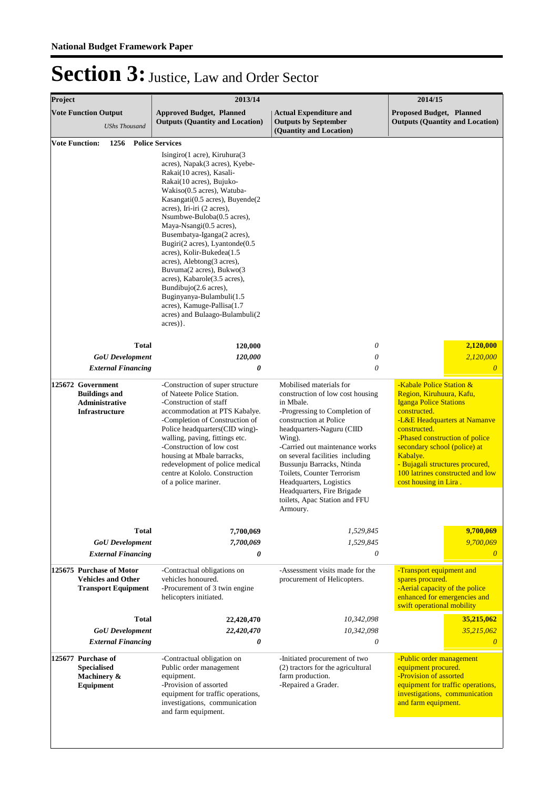| Project<br><b>Vote Function Output</b><br><b>UShs Thousand</b>                                                                                                                                                                                                                                                |                           | 2013/14                                                                                                                                                                                                                                                                                                                                                                                                                                                                                                                                                                                                   | 2014/15                                                                                                                                                                                                                                                                                                                                                                                              |                                                                                                                                                                                                                                                                                                                                     |  |
|---------------------------------------------------------------------------------------------------------------------------------------------------------------------------------------------------------------------------------------------------------------------------------------------------------------|---------------------------|-----------------------------------------------------------------------------------------------------------------------------------------------------------------------------------------------------------------------------------------------------------------------------------------------------------------------------------------------------------------------------------------------------------------------------------------------------------------------------------------------------------------------------------------------------------------------------------------------------------|------------------------------------------------------------------------------------------------------------------------------------------------------------------------------------------------------------------------------------------------------------------------------------------------------------------------------------------------------------------------------------------------------|-------------------------------------------------------------------------------------------------------------------------------------------------------------------------------------------------------------------------------------------------------------------------------------------------------------------------------------|--|
|                                                                                                                                                                                                                                                                                                               |                           | <b>Approved Budget, Planned</b><br><b>Outputs (Quantity and Location)</b>                                                                                                                                                                                                                                                                                                                                                                                                                                                                                                                                 | <b>Actual Expenditure and</b><br><b>Outputs by September</b><br>(Quantity and Location)                                                                                                                                                                                                                                                                                                              | <b>Proposed Budget, Planned</b><br><b>Outputs (Quantity and Location)</b>                                                                                                                                                                                                                                                           |  |
| <b>Vote Function:</b>                                                                                                                                                                                                                                                                                         | 1256                      | <b>Police Services</b>                                                                                                                                                                                                                                                                                                                                                                                                                                                                                                                                                                                    |                                                                                                                                                                                                                                                                                                                                                                                                      |                                                                                                                                                                                                                                                                                                                                     |  |
|                                                                                                                                                                                                                                                                                                               |                           | Isingiro(1 acre), Kiruhura(3<br>acres), Napak(3 acres), Kyebe-<br>Rakai(10 acres), Kasali-<br>Rakai(10 acres), Bujuko-<br>Wakiso(0.5 acres), Watuba-<br>Kasangati(0.5 acres), Buyende(2<br>acres), Iri-iri (2 acres),<br>Nsumbwe-Buloba(0.5 acres),<br>Maya-Nsangi(0.5 acres),<br>Busembatya-Iganga(2 acres),<br>Bugiri(2 acres), Lyantonde(0.5<br>acres), Kolir-Bukedea(1.5<br>acres), Alebtong(3 acres),<br>Buvuma(2 acres), Bukwo(3<br>acres), Kabarole(3.5 acres),<br>Bundibujo(2.6 acres),<br>Buginyanya-Bulambuli(1.5<br>acres), Kamuge-Pallisa(1.7<br>acres) and Bulaago-Bulambuli(2<br>$acres)$ . |                                                                                                                                                                                                                                                                                                                                                                                                      |                                                                                                                                                                                                                                                                                                                                     |  |
|                                                                                                                                                                                                                                                                                                               | <b>Total</b>              | 120,000                                                                                                                                                                                                                                                                                                                                                                                                                                                                                                                                                                                                   | $\theta$                                                                                                                                                                                                                                                                                                                                                                                             | 2,120,000                                                                                                                                                                                                                                                                                                                           |  |
|                                                                                                                                                                                                                                                                                                               | <b>GoU</b> Development    | 120,000                                                                                                                                                                                                                                                                                                                                                                                                                                                                                                                                                                                                   | $\theta$                                                                                                                                                                                                                                                                                                                                                                                             | 2,120,000                                                                                                                                                                                                                                                                                                                           |  |
|                                                                                                                                                                                                                                                                                                               | <b>External Financing</b> | 0                                                                                                                                                                                                                                                                                                                                                                                                                                                                                                                                                                                                         | $\theta$                                                                                                                                                                                                                                                                                                                                                                                             | $\boldsymbol{\theta}$                                                                                                                                                                                                                                                                                                               |  |
| 125672 Government<br><b>Buildings and</b><br><b>Administrative</b><br><b>Infrastructure</b>                                                                                                                                                                                                                   |                           | -Construction of super structure<br>of Nateete Police Station.<br>-Construction of staff<br>accommodation at PTS Kabalye.<br>-Completion of Construction of<br>Police headquarters(CID wing)-<br>walling, paving, fittings etc.<br>-Construction of low cost<br>housing at Mbale barracks,<br>redevelopment of police medical<br>centre at Kololo. Construction<br>of a police mariner.                                                                                                                                                                                                                   | Mobilised materials for<br>construction of low cost housing<br>in Mbale.<br>-Progressing to Completion of<br>construction at Police<br>headquarters-Naguru (CIID<br>Wing).<br>-Carried out maintenance works<br>on several facilities including<br>Bussunju Barracks, Ntinda<br>Toilets, Counter Terrorism<br>Headquarters, Logistics<br>Headquarters, Fire Brigade<br>toilets, Apac Station and FFU | -Kabale Police Station &<br>Region, Kiruhuura, Kafu,<br><b>Iganga Police Stations</b><br>constructed.<br>-L&E Headquarters at Namanve<br>constructed.<br>-Phased construction of police<br>secondary school (police) at<br>Kabalye.<br>- Bujagali structures procured,<br>100 latrines constructed and low<br>cost housing in Lira. |  |
|                                                                                                                                                                                                                                                                                                               |                           |                                                                                                                                                                                                                                                                                                                                                                                                                                                                                                                                                                                                           | Armoury.                                                                                                                                                                                                                                                                                                                                                                                             |                                                                                                                                                                                                                                                                                                                                     |  |
|                                                                                                                                                                                                                                                                                                               | <b>Total</b>              | 7,700,069                                                                                                                                                                                                                                                                                                                                                                                                                                                                                                                                                                                                 | 1,529,845                                                                                                                                                                                                                                                                                                                                                                                            | 9,700,069                                                                                                                                                                                                                                                                                                                           |  |
|                                                                                                                                                                                                                                                                                                               | <b>GoU</b> Development    | 7,700,069                                                                                                                                                                                                                                                                                                                                                                                                                                                                                                                                                                                                 | 1,529,845                                                                                                                                                                                                                                                                                                                                                                                            | 9,700,069                                                                                                                                                                                                                                                                                                                           |  |
|                                                                                                                                                                                                                                                                                                               | <b>External Financing</b> | 0                                                                                                                                                                                                                                                                                                                                                                                                                                                                                                                                                                                                         | $\theta$                                                                                                                                                                                                                                                                                                                                                                                             | $\overline{0}$                                                                                                                                                                                                                                                                                                                      |  |
| 125675 Purchase of Motor<br><b>Vehicles and Other</b><br><b>Transport Equipment</b>                                                                                                                                                                                                                           |                           | -Contractual obligations on<br>vehicles honoured.<br>-Procurement of 3 twin engine<br>helicopters initiated.                                                                                                                                                                                                                                                                                                                                                                                                                                                                                              | -Assessment visits made for the<br>procurement of Helicopters.                                                                                                                                                                                                                                                                                                                                       | -Transport equipment and<br>spares procured.<br>-Aerial capacity of the police<br>enhanced for emergencies and<br>swift operational mobility                                                                                                                                                                                        |  |
|                                                                                                                                                                                                                                                                                                               | <b>Total</b>              | 22,420,470                                                                                                                                                                                                                                                                                                                                                                                                                                                                                                                                                                                                | 10,342,098                                                                                                                                                                                                                                                                                                                                                                                           | 35,215,062                                                                                                                                                                                                                                                                                                                          |  |
|                                                                                                                                                                                                                                                                                                               | <b>GoU</b> Development    | 22,420,470                                                                                                                                                                                                                                                                                                                                                                                                                                                                                                                                                                                                | 10,342,098                                                                                                                                                                                                                                                                                                                                                                                           | 35,215,062                                                                                                                                                                                                                                                                                                                          |  |
|                                                                                                                                                                                                                                                                                                               | <b>External Financing</b> | 0                                                                                                                                                                                                                                                                                                                                                                                                                                                                                                                                                                                                         | 0                                                                                                                                                                                                                                                                                                                                                                                                    | $\theta$                                                                                                                                                                                                                                                                                                                            |  |
| 125677 Purchase of<br>-Contractual obligation on<br>Public order management<br><b>Specialised</b><br>farm production.<br>Machinery &<br>equipment.<br>-Provision of assorted<br>Equipment<br>-Repaired a Grader.<br>equipment for traffic operations,<br>investigations, communication<br>and farm equipment. |                           | -Initiated procurement of two<br>(2) tractors for the agricultural                                                                                                                                                                                                                                                                                                                                                                                                                                                                                                                                        | -Public order management<br>equipment procured.<br>-Provision of assorted<br>equipment for traffic operations,<br>investigations, communication<br>and farm equipment.                                                                                                                                                                                                                               |                                                                                                                                                                                                                                                                                                                                     |  |
|                                                                                                                                                                                                                                                                                                               |                           |                                                                                                                                                                                                                                                                                                                                                                                                                                                                                                                                                                                                           |                                                                                                                                                                                                                                                                                                                                                                                                      |                                                                                                                                                                                                                                                                                                                                     |  |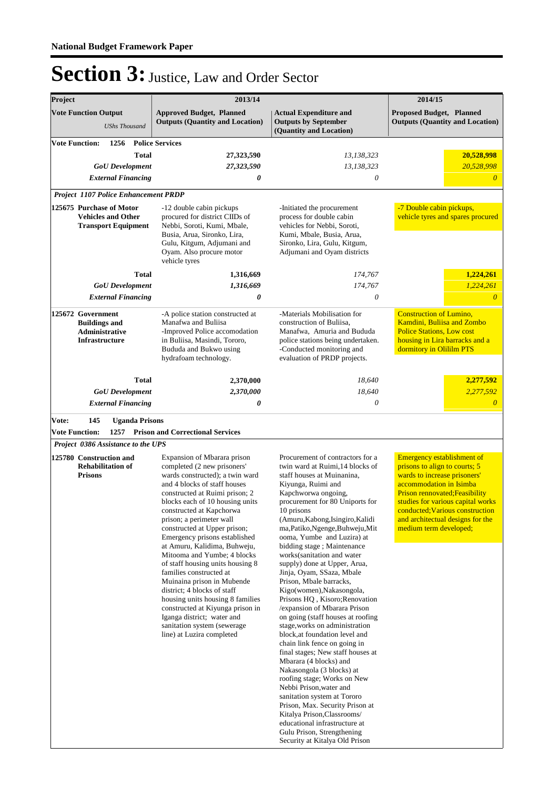| Project                                                                             |                                                                                                      | 2013/14                                                                                                                                                                                                                                                                                                                                                                                                                                                                                                                                                                                                                                                   |                                                                                                                                                                                                                                                                                                                                                                                                                                                                                                                                                                                                                                                                                                                                                                                                                                                                                                                                                                                                                       | 2014/15                                                                                                                                                                                                                                                          |  |
|-------------------------------------------------------------------------------------|------------------------------------------------------------------------------------------------------|-----------------------------------------------------------------------------------------------------------------------------------------------------------------------------------------------------------------------------------------------------------------------------------------------------------------------------------------------------------------------------------------------------------------------------------------------------------------------------------------------------------------------------------------------------------------------------------------------------------------------------------------------------------|-----------------------------------------------------------------------------------------------------------------------------------------------------------------------------------------------------------------------------------------------------------------------------------------------------------------------------------------------------------------------------------------------------------------------------------------------------------------------------------------------------------------------------------------------------------------------------------------------------------------------------------------------------------------------------------------------------------------------------------------------------------------------------------------------------------------------------------------------------------------------------------------------------------------------------------------------------------------------------------------------------------------------|------------------------------------------------------------------------------------------------------------------------------------------------------------------------------------------------------------------------------------------------------------------|--|
|                                                                                     | <b>Vote Function Output</b><br><b>UShs Thousand</b>                                                  | <b>Approved Budget, Planned</b><br><b>Outputs (Quantity and Location)</b>                                                                                                                                                                                                                                                                                                                                                                                                                                                                                                                                                                                 | <b>Actual Expenditure and</b><br><b>Outputs by September</b><br>(Quantity and Location)                                                                                                                                                                                                                                                                                                                                                                                                                                                                                                                                                                                                                                                                                                                                                                                                                                                                                                                               | <b>Proposed Budget, Planned</b><br><b>Outputs (Quantity and Location)</b>                                                                                                                                                                                        |  |
|                                                                                     | <b>Vote Function:</b><br>1256<br><b>Total</b><br><b>GoU</b> Development<br><b>External Financing</b> | <b>Police Services</b><br>27,323,590<br>27,323,590<br>0                                                                                                                                                                                                                                                                                                                                                                                                                                                                                                                                                                                                   | 13,138,323<br>13,138,323<br>$\theta$                                                                                                                                                                                                                                                                                                                                                                                                                                                                                                                                                                                                                                                                                                                                                                                                                                                                                                                                                                                  | 20,528,998<br>20,528,998<br>$\overline{\theta}$                                                                                                                                                                                                                  |  |
|                                                                                     | Project 1107 Police Enhancement PRDP                                                                 |                                                                                                                                                                                                                                                                                                                                                                                                                                                                                                                                                                                                                                                           |                                                                                                                                                                                                                                                                                                                                                                                                                                                                                                                                                                                                                                                                                                                                                                                                                                                                                                                                                                                                                       |                                                                                                                                                                                                                                                                  |  |
| 125675 Purchase of Motor<br><b>Vehicles and Other</b><br><b>Transport Equipment</b> |                                                                                                      | -12 double cabin pickups<br>procured for district CIIDs of<br>Nebbi, Soroti, Kumi, Mbale,<br>Busia, Arua, Sironko, Lira,<br>Gulu, Kitgum, Adjumani and<br>Oyam. Also procure motor<br>vehicle tyres                                                                                                                                                                                                                                                                                                                                                                                                                                                       | -Initiated the procurement<br>process for double cabin<br>vehicles for Nebbi, Soroti,<br>Kumi, Mbale, Busia, Arua,<br>Sironko, Lira, Gulu, Kitgum,<br>Adjumani and Oyam districts                                                                                                                                                                                                                                                                                                                                                                                                                                                                                                                                                                                                                                                                                                                                                                                                                                     | -7 Double cabin pickups,<br>vehicle tyres and spares procured                                                                                                                                                                                                    |  |
|                                                                                     | <b>Total</b>                                                                                         | 1,316,669                                                                                                                                                                                                                                                                                                                                                                                                                                                                                                                                                                                                                                                 | 174,767                                                                                                                                                                                                                                                                                                                                                                                                                                                                                                                                                                                                                                                                                                                                                                                                                                                                                                                                                                                                               | 1,224,261                                                                                                                                                                                                                                                        |  |
|                                                                                     | <b>GoU</b> Development<br><b>External Financing</b>                                                  | 1,316,669<br>0                                                                                                                                                                                                                                                                                                                                                                                                                                                                                                                                                                                                                                            | 174,767<br>$\theta$                                                                                                                                                                                                                                                                                                                                                                                                                                                                                                                                                                                                                                                                                                                                                                                                                                                                                                                                                                                                   | 1,224,261<br>$\theta$                                                                                                                                                                                                                                            |  |
|                                                                                     | 125672 Government<br><b>Buildings and</b><br><b>Administrative</b><br><b>Infrastructure</b>          | -A police station constructed at<br>Manafwa and Buliisa<br>-Improved Police accomodation<br>in Buliisa, Masindi, Tororo,<br>Bududa and Bukwo using<br>hydrafoam technology.                                                                                                                                                                                                                                                                                                                                                                                                                                                                               | -Materials Mobilisation for<br>construction of Buliisa,<br>Manafwa, Amuria and Bududa<br>police stations being undertaken.<br>-Conducted monitoring and<br>evaluation of PRDP projects.                                                                                                                                                                                                                                                                                                                                                                                                                                                                                                                                                                                                                                                                                                                                                                                                                               | <b>Construction of Lumino,</b><br>Kamdini, Buliisa and Zombo<br><b>Police Stations, Low cost</b><br>housing in Lira barracks and a<br>dormitory in Olililm PTS                                                                                                   |  |
|                                                                                     | <b>Total</b>                                                                                         | 2,370,000                                                                                                                                                                                                                                                                                                                                                                                                                                                                                                                                                                                                                                                 | 18,640                                                                                                                                                                                                                                                                                                                                                                                                                                                                                                                                                                                                                                                                                                                                                                                                                                                                                                                                                                                                                | 2,277,592                                                                                                                                                                                                                                                        |  |
|                                                                                     | <b>GoU</b> Development                                                                               | 2,370,000                                                                                                                                                                                                                                                                                                                                                                                                                                                                                                                                                                                                                                                 | 18,640                                                                                                                                                                                                                                                                                                                                                                                                                                                                                                                                                                                                                                                                                                                                                                                                                                                                                                                                                                                                                | 2,277,592                                                                                                                                                                                                                                                        |  |
|                                                                                     | <b>External Financing</b>                                                                            | 0                                                                                                                                                                                                                                                                                                                                                                                                                                                                                                                                                                                                                                                         | $\theta$                                                                                                                                                                                                                                                                                                                                                                                                                                                                                                                                                                                                                                                                                                                                                                                                                                                                                                                                                                                                              | $\overline{\theta}$                                                                                                                                                                                                                                              |  |
|                                                                                     | <b>Vote Function:</b><br>1257<br>Project 0386 Assistance to the UPS<br>125780 Construction and       | <b>Prison and Correctional Services</b><br>Expansion of Mbarara prison                                                                                                                                                                                                                                                                                                                                                                                                                                                                                                                                                                                    | Procurement of contractors for a                                                                                                                                                                                                                                                                                                                                                                                                                                                                                                                                                                                                                                                                                                                                                                                                                                                                                                                                                                                      | Emergency establishment of                                                                                                                                                                                                                                       |  |
| <b>Rehabilitation of</b><br><b>Prisons</b>                                          |                                                                                                      | completed (2 new prisoners'<br>wards constructed); a twin ward<br>and 4 blocks of staff houses<br>constructed at Ruimi prison; 2<br>blocks each of 10 housing units<br>constructed at Kapchorwa<br>prison; a perimeter wall<br>constructed at Upper prison;<br>Emergency prisons established<br>at Amuru, Kalidima, Buhweju,<br>Mitooma and Yumbe; 4 blocks<br>of staff housing units housing 8<br>families constructed at<br>Muinaina prison in Mubende<br>district; 4 blocks of staff<br>housing units housing 8 families<br>constructed at Kiyunga prison in<br>Iganga district; water and<br>sanitation system (sewerage<br>line) at Luzira completed | twin ward at Ruimi.14 blocks of<br>staff houses at Muinanina,<br>Kiyunga, Ruimi and<br>Kapchworwa ongoing,<br>procurement for 80 Uniports for<br>10 prisons<br>(Amuru, Kabong, Isingiro, Kalidi<br>ma, Patiko, Ngenge, Buhweju, Mit<br>ooma, Yumbe and Luzira) at<br>bidding stage; Maintenance<br>works(sanitation and water<br>supply) done at Upper, Arua,<br>Jinja, Oyam, SSaza, Mbale<br>Prison, Mbale barracks,<br>Kigo(women), Nakasongola,<br>Prisons HQ, Kisoro; Renovation<br>/expansion of Mbarara Prison<br>on going (staff houses at roofing<br>stage, works on administration<br>block, at foundation level and<br>chain link fence on going in<br>final stages; New staff houses at<br>Mbarara (4 blocks) and<br>Nakasongola (3 blocks) at<br>roofing stage; Works on New<br>Nebbi Prison, water and<br>sanitation system at Tororo<br>Prison, Max. Security Prison at<br>Kitalya Prison, Classrooms/<br>educational infrastructure at<br>Gulu Prison, Strengthening<br>Security at Kitalya Old Prison | prisons to align to courts; 5<br>wards to increase prisoners'<br>accommodation in Isimba<br>Prison rennovated; Feasibility<br>studies for various capital works<br>conducted; Various construction<br>and architectual designs for the<br>medium term developed; |  |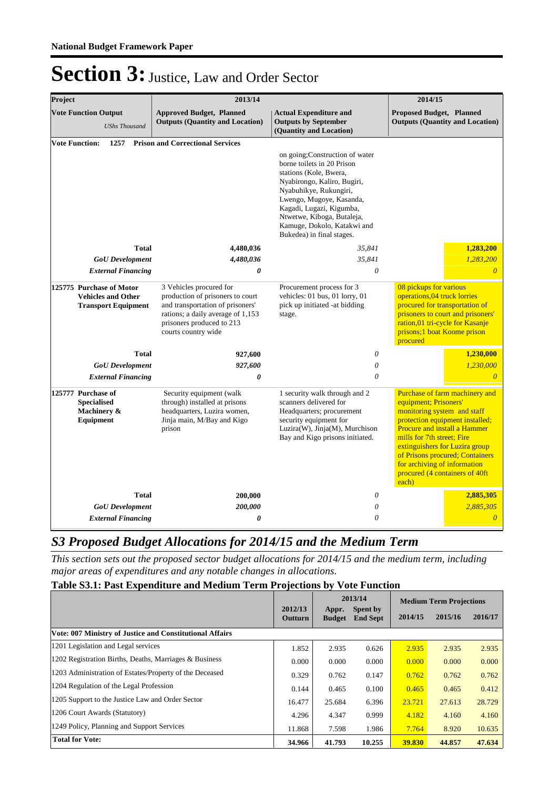| Project                                                                                                                                                                                                   |                                                     | 2013/14                                                                                                                                                                                  |                                                                                                                                                                                                                                                                                                    | 2014/15                                                                                                                                                                       |                                                                                                        |
|-----------------------------------------------------------------------------------------------------------------------------------------------------------------------------------------------------------|-----------------------------------------------------|------------------------------------------------------------------------------------------------------------------------------------------------------------------------------------------|----------------------------------------------------------------------------------------------------------------------------------------------------------------------------------------------------------------------------------------------------------------------------------------------------|-------------------------------------------------------------------------------------------------------------------------------------------------------------------------------|--------------------------------------------------------------------------------------------------------|
|                                                                                                                                                                                                           | <b>Vote Function Output</b><br><b>UShs Thousand</b> | <b>Approved Budget, Planned</b><br><b>Actual Expenditure and</b><br><b>Outputs (Quantity and Location)</b><br><b>Outputs by September</b><br>(Quantity and Location)                     |                                                                                                                                                                                                                                                                                                    | <b>Proposed Budget, Planned</b><br><b>Outputs (Quantity and Location)</b>                                                                                                     |                                                                                                        |
|                                                                                                                                                                                                           | <b>Vote Function:</b><br>1257                       | <b>Prison and Correctional Services</b>                                                                                                                                                  |                                                                                                                                                                                                                                                                                                    |                                                                                                                                                                               |                                                                                                        |
|                                                                                                                                                                                                           |                                                     |                                                                                                                                                                                          | on going; Construction of water<br>borne toilets in 20 Prison<br>stations (Kole, Bwera,<br>Nyabirongo, Kaliro, Bugiri,<br>Nyabuhikye, Rukungiri,<br>Lwengo, Mugoye, Kasanda,<br>Kagadi, Lugazi, Kigumba,<br>Ntwetwe, Kiboga, Butaleja,<br>Kamuge, Dokolo, Katakwi and<br>Bukedea) in final stages. |                                                                                                                                                                               |                                                                                                        |
|                                                                                                                                                                                                           | Total                                               | 4,480,036                                                                                                                                                                                | 35,841                                                                                                                                                                                                                                                                                             |                                                                                                                                                                               | 1,283,200                                                                                              |
|                                                                                                                                                                                                           | <b>GoU</b> Development                              | 4,480,036                                                                                                                                                                                | 35,841                                                                                                                                                                                                                                                                                             |                                                                                                                                                                               | 1,283,200                                                                                              |
|                                                                                                                                                                                                           | <b>External Financing</b>                           | 0                                                                                                                                                                                        | $\theta$                                                                                                                                                                                                                                                                                           |                                                                                                                                                                               | $\overline{0}$                                                                                         |
| 125775 Purchase of Motor<br><b>Vehicles and Other</b><br><b>Transport Equipment</b>                                                                                                                       |                                                     | 3 Vehicles procured for<br>production of prisoners to court<br>and transportation of prisoners'<br>rations; a daily average of 1,153<br>prisoners produced to 213<br>courts country wide | Procurement process for 3<br>vehicles: 01 bus, 01 lorry, 01<br>pick up initiated -at bidding<br>stage.                                                                                                                                                                                             | 08 pickups for various<br>operations, 04 truck lorries<br>prisons;1 boat Koome prison<br>procured                                                                             | procured for transportation of<br>prisoners to court and prisoners'<br>ration,01 tri-cycle for Kasanje |
|                                                                                                                                                                                                           | <b>Total</b>                                        | 927,600                                                                                                                                                                                  | $\theta$                                                                                                                                                                                                                                                                                           |                                                                                                                                                                               | 1,230,000                                                                                              |
|                                                                                                                                                                                                           | <b>GoU</b> Development                              | 927,600                                                                                                                                                                                  | 0                                                                                                                                                                                                                                                                                                  |                                                                                                                                                                               | 1,230,000                                                                                              |
|                                                                                                                                                                                                           | <b>External Financing</b>                           | 0                                                                                                                                                                                        | $\theta$                                                                                                                                                                                                                                                                                           |                                                                                                                                                                               | $\theta$                                                                                               |
| 125777 Purchase of<br>Security equipment (walk)<br>through) installed at prisons<br><b>Specialised</b><br>Machinery &<br>headquarters, Luzira women,<br>Equipment<br>Jinja main, M/Bay and Kigo<br>prison |                                                     | 1 security walk through and 2<br>scanners delivered for<br>Headquarters; procurement<br>security equipment for<br>Luzira(W), Jinja(M), Murchison<br>Bay and Kigo prisons initiated.      | equipment; Prisoners'<br>monitoring system and staff<br>mills for 7th street; Fire<br>for archiving of information<br>procured (4 containers of 40ft<br>each)                                                                                                                                      | Purchase of farm machinery and<br>protection equipment installed;<br><b>Procure and install a Hammer</b><br>extinguishers for Luzira group<br>of Prisons procured; Containers |                                                                                                        |
|                                                                                                                                                                                                           | <b>Total</b>                                        | 200,000                                                                                                                                                                                  | 0                                                                                                                                                                                                                                                                                                  |                                                                                                                                                                               | 2,885,305                                                                                              |
|                                                                                                                                                                                                           | <b>GoU</b> Development                              | 200,000                                                                                                                                                                                  | 0                                                                                                                                                                                                                                                                                                  |                                                                                                                                                                               | 2,885,305                                                                                              |
|                                                                                                                                                                                                           | <b>External Financing</b>                           | 0                                                                                                                                                                                        | 0                                                                                                                                                                                                                                                                                                  |                                                                                                                                                                               | $\overline{0}$                                                                                         |

### *S3 Proposed Budget Allocations for 2014/15 and the Medium Term*

*This section sets out the proposed sector budget allocations for 2014/15 and the medium term, including major areas of expenditures and any notable changes in allocations.* 

### **Table S3.1: Past Expenditure and Medium Term Projections by Vote Function**

|                                                                 |                           | 2013/14                |                                    | <b>Medium Term Projections</b> |         |         |
|-----------------------------------------------------------------|---------------------------|------------------------|------------------------------------|--------------------------------|---------|---------|
|                                                                 | 2012/13<br><b>Outturn</b> | Appr.<br><b>Budget</b> | <b>Spent by</b><br><b>End Sept</b> | 2014/15                        | 2015/16 | 2016/17 |
| <b>Vote: 007 Ministry of Justice and Constitutional Affairs</b> |                           |                        |                                    |                                |         |         |
| 1201 Legislation and Legal services                             | 1.852                     | 2.935                  | 0.626                              | 2.935                          | 2.935   | 2.935   |
| 1202 Registration Births, Deaths, Marriages & Business          | 0.000                     | 0.000                  | 0.000                              | 0.000                          | 0.000   | 0.000   |
| 1203 Administration of Estates/Property of the Deceased         | 0.329                     | 0.762                  | 0.147                              | 0.762                          | 0.762   | 0.762   |
| 1204 Regulation of the Legal Profession                         | 0.144                     | 0.465                  | 0.100                              | 0.465                          | 0.465   | 0.412   |
| 1205 Support to the Justice Law and Order Sector                | 16.477                    | 25.684                 | 6.396                              | 23.721                         | 27.613  | 28.729  |
| 1206 Court Awards (Statutory)                                   | 4.296                     | 4.347                  | 0.999                              | 4.182                          | 4.160   | 4.160   |
| 1249 Policy, Planning and Support Services                      |                           | 7.598                  | 1.986                              | 7.764                          | 8.920   | 10.635  |
| <b>Total for Vote:</b>                                          |                           | 41.793                 | 10.255                             | 39.830                         | 44.857  | 47.634  |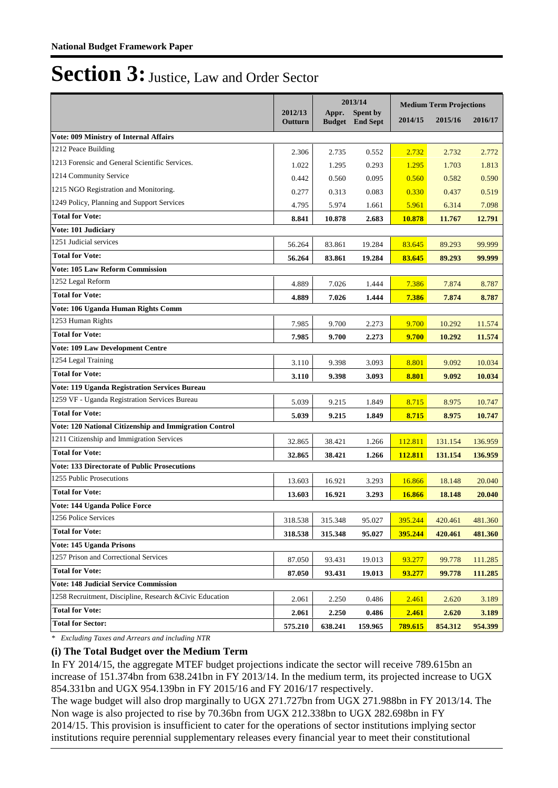|                                                          |         | 2013/14 |                                    | <b>Medium Term Projections</b> |         |         |
|----------------------------------------------------------|---------|---------|------------------------------------|--------------------------------|---------|---------|
|                                                          | 2012/13 | Appr.   | Spent by<br><b>Budget</b> End Sept | 2014/15                        | 2015/16 | 2016/17 |
|                                                          | Outturn |         |                                    |                                |         |         |
| Vote: 009 Ministry of Internal Affairs                   |         |         |                                    |                                |         |         |
| 1212 Peace Building                                      | 2.306   | 2.735   | 0.552                              | 2.732                          | 2.732   | 2.772   |
| 1213 Forensic and General Scientific Services.           | 1.022   | 1.295   | 0.293                              | 1.295                          | 1.703   | 1.813   |
| 1214 Community Service                                   | 0.442   | 0.560   | 0.095                              | 0.560                          | 0.582   | 0.590   |
| 1215 NGO Registration and Monitoring.                    | 0.277   | 0.313   | 0.083                              | 0.330                          | 0.437   | 0.519   |
| 1249 Policy, Planning and Support Services               | 4.795   | 5.974   | 1.661                              | 5.961                          | 6.314   | 7.098   |
| <b>Total for Vote:</b>                                   | 8.841   | 10.878  | 2.683                              | 10.878                         | 11.767  | 12.791  |
| Vote: 101 Judiciary                                      |         |         |                                    |                                |         |         |
| 1251 Judicial services                                   | 56.264  | 83.861  | 19.284                             | 83.645                         | 89.293  | 99.999  |
| <b>Total for Vote:</b>                                   | 56.264  | 83.861  | 19.284                             | 83.645                         | 89.293  | 99.999  |
| <b>Vote: 105 Law Reform Commission</b>                   |         |         |                                    |                                |         |         |
| 1252 Legal Reform                                        | 4.889   | 7.026   | 1.444                              | 7.386                          | 7.874   | 8.787   |
| <b>Total for Vote:</b>                                   | 4.889   | 7.026   | 1.444                              | 7.386                          | 7.874   | 8.787   |
| Vote: 106 Uganda Human Rights Comm                       |         |         |                                    |                                |         |         |
| 1253 Human Rights                                        | 7.985   | 9.700   | 2.273                              | 9.700                          | 10.292  | 11.574  |
| <b>Total for Vote:</b>                                   | 7.985   | 9.700   | 2.273                              | 9.700                          | 10.292  | 11.574  |
| <b>Vote: 109 Law Development Centre</b>                  |         |         |                                    |                                |         |         |
| 1254 Legal Training                                      | 3.110   | 9.398   | 3.093                              | 8.801                          | 9.092   | 10.034  |
| <b>Total for Vote:</b>                                   | 3.110   | 9.398   | 3.093                              | 8.801                          | 9.092   | 10.034  |
| Vote: 119 Uganda Registration Services Bureau            |         |         |                                    |                                |         |         |
| 1259 VF - Uganda Registration Services Bureau            | 5.039   | 9.215   | 1.849                              | 8.715                          | 8.975   | 10.747  |
| <b>Total for Vote:</b>                                   | 5.039   | 9.215   | 1.849                              | 8.715                          | 8.975   | 10.747  |
| Vote: 120 National Citizenship and Immigration Control   |         |         |                                    |                                |         |         |
| 1211 Citizenship and Immigration Services                | 32.865  | 38.421  | 1.266                              | 112.811                        | 131.154 | 136.959 |
| <b>Total for Vote:</b>                                   | 32.865  | 38.421  | 1.266                              | 112.811                        | 131.154 | 136.959 |
| <b>Vote: 133 Directorate of Public Prosecutions</b>      |         |         |                                    |                                |         |         |
| 1255 Public Prosecutions                                 | 13.603  | 16.921  | 3.293                              | 16.866                         | 18.148  | 20.040  |
| <b>Total for Vote:</b>                                   | 13.603  | 16.921  | 3.293                              | 16.866                         | 18.148  | 20.040  |
| Vote: 144 Uganda Police Force                            |         |         |                                    |                                |         |         |
| 1256 Police Services                                     | 318.538 | 315.348 | 95.027                             | 395.244                        | 420.461 | 481.360 |
| <b>Total for Vote:</b>                                   | 318.538 | 315.348 | 95.027                             | 395.244                        | 420.461 | 481.360 |
| Vote: 145 Uganda Prisons                                 |         |         |                                    |                                |         |         |
| 1257 Prison and Correctional Services                    | 87.050  | 93.431  | 19.013                             | 93.277                         | 99.778  | 111.285 |
| <b>Total for Vote:</b>                                   | 87.050  | 93.431  | 19.013                             | 93.277                         | 99.778  | 111.285 |
| <b>Vote: 148 Judicial Service Commission</b>             |         |         |                                    |                                |         |         |
| 1258 Recruitment, Discipline, Research & Civic Education | 2.061   | 2.250   | 0.486                              | 2.461                          | 2.620   | 3.189   |
| <b>Total for Vote:</b>                                   | 2.061   | 2.250   | 0.486                              | 2.461                          | 2.620   | 3.189   |
| <b>Total for Sector:</b>                                 | 575.210 | 638.241 | 159.965                            | 789.615                        | 854.312 | 954.399 |

*\* Excluding Taxes and Arrears and including NTR*

#### **(i) The Total Budget over the Medium Term**

In FY 2014/15, the aggregate MTEF budget projections indicate the sector will receive 789.615bn an increase of 151.374bn from 638.241bn in FY 2013/14. In the medium term, its projected increase to UGX 854.331bn and UGX 954.139bn in FY 2015/16 and FY 2016/17 respectively.

The wage budget will also drop marginally to UGX 271.727bn from UGX 271.988bn in FY 2013/14. The Non wage is also projected to rise by 70.36bn from UGX 212.338bn to UGX 282.698bn in FY 2014/15. This provision is insufficient to cater for the operations of sector institutions implying sector institutions require perennial supplementary releases every financial year to meet their constitutional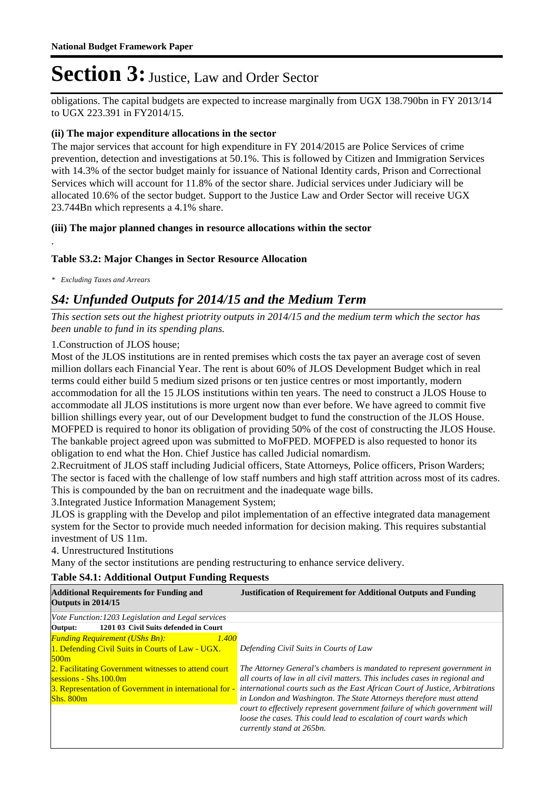obligations. The capital budgets are expected to increase marginally from UGX 138.790bn in FY 2013/14 to UGX 223.391 in FY2014/15.

#### **(ii) The major expenditure allocations in the sector**

The major services that account for high expenditure in FY 2014/2015 are Police Services of crime prevention, detection and investigations at 50.1%. This is followed by Citizen and Immigration Services with 14.3% of the sector budget mainly for issuance of National Identity cards, Prison and Correctional Services which will account for 11.8% of the sector share. Judicial services under Judiciary will be allocated 10.6% of the sector budget. Support to the Justice Law and Order Sector will receive UGX 23.744Bn which represents a 4.1% share.

#### **(iii) The major planned changes in resource allocations within the sector**

### **Table S3.2: Major Changes in Sector Resource Allocation**

*\* Excluding Taxes and Arrears*

.

### *S4: Unfunded Outputs for 2014/15 and the Medium Term*

*This section sets out the highest priotrity outputs in 2014/15 and the medium term which the sector has been unable to fund in its spending plans.*

#### 1. Construction of JLOS house;

Most of the JLOS institutions are in rented premises which costs the tax payer an average cost of seven million dollars each Financial Year. The rent is about 60% of JLOS Development Budget which in real terms could either build 5 medium sized prisons or ten justice centres or most importantly, modern accommodation for all the 15 JLOS institutions within ten years. The need to construct a JLOS House to accommodate all JLOS institutions is more urgent now than ever before. We have agreed to commit five billion shillings every year, out of our Development budget to fund the construction of the JLOS House. MOFPED is required to honor its obligation of providing 50% of the cost of constructing the JLOS House. The bankable project agreed upon was submitted to MoFPED. MOFPED is also requested to honor its obligation to end what the Hon. Chief Justice has called Judicial nomardism.

2. Recruitment of JLOS staff including Judicial officers, State Attorneys, Police officers, Prison Warders; The sector is faced with the challenge of low staff numbers and high staff attrition across most of its cadres. This is compounded by the ban on recruitment and the inadequate wage bills.

3. Integrated Justice Information Management System;

JLOS is grappling with the Develop and pilot implementation of an effective integrated data management system for the Sector to provide much needed information for decision making. This requires substantial investment of US 11m.

#### 4. Unrestructured Institutions

Many of the sector institutions are pending restructuring to enhance service delivery.

### **Table S4.1: Additional Output Funding Requests**

| <b>Additional Requirements for Funding and</b><br>Outputs in 2014/15                                                                                                                                                                                                                       | <b>Justification of Requirement for Additional Outputs and Funding</b>                                                                                                                                                                                                                                                                                                                                                                                                                                                                   |  |  |
|--------------------------------------------------------------------------------------------------------------------------------------------------------------------------------------------------------------------------------------------------------------------------------------------|------------------------------------------------------------------------------------------------------------------------------------------------------------------------------------------------------------------------------------------------------------------------------------------------------------------------------------------------------------------------------------------------------------------------------------------------------------------------------------------------------------------------------------------|--|--|
| Vote Function: 1203 Legislation and Legal services                                                                                                                                                                                                                                         |                                                                                                                                                                                                                                                                                                                                                                                                                                                                                                                                          |  |  |
| 1201 03 Civil Suits defended in Court<br>Output:                                                                                                                                                                                                                                           |                                                                                                                                                                                                                                                                                                                                                                                                                                                                                                                                          |  |  |
| <b>Funding Requirement (UShs Bn):</b><br>1.400<br>1. Defending Civil Suits in Courts of Law - UGX.<br>500m<br>2. Facilitating Government witnesses to attend court<br>$s$ sessions - Shs. $100.0m$<br>3. Representation of Government in international for -<br>$\textsf{Shs.}800\text{m}$ | Defending Civil Suits in Courts of Law<br>The Attorney General's chambers is mandated to represent government in<br>all courts of law in all civil matters. This includes cases in regional and<br>international courts such as the East African Court of Justice, Arbitrations<br>in London and Washington. The State Attorneys therefore must attend<br>court to effectively represent government failure of which government will<br>loose the cases. This could lead to escalation of court wards which<br>currently stand at 265bn. |  |  |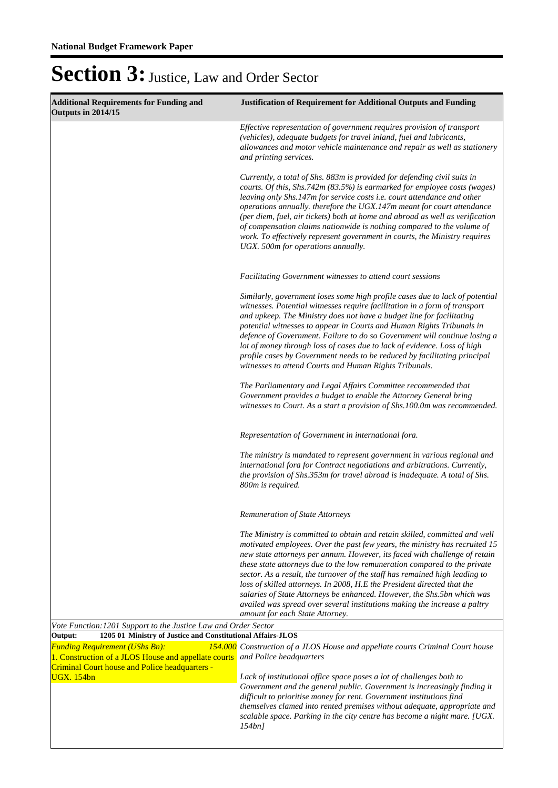| <b>Additional Requirements for Funding and</b><br>Outputs in 2014/15                                                                                   | <b>Justification of Requirement for Additional Outputs and Funding</b>                                                                                                                                                                                                                                                                                                                                                                                                                                                                                                                                                                                                    |
|--------------------------------------------------------------------------------------------------------------------------------------------------------|---------------------------------------------------------------------------------------------------------------------------------------------------------------------------------------------------------------------------------------------------------------------------------------------------------------------------------------------------------------------------------------------------------------------------------------------------------------------------------------------------------------------------------------------------------------------------------------------------------------------------------------------------------------------------|
|                                                                                                                                                        | Effective representation of government requires provision of transport<br>(vehicles), adequate budgets for travel inland, fuel and lubricants,<br>allowances and motor vehicle maintenance and repair as well as stationery<br>and printing services.                                                                                                                                                                                                                                                                                                                                                                                                                     |
|                                                                                                                                                        | Currently, a total of Shs. 883m is provided for defending civil suits in<br>courts. Of this, Shs.742m (83.5%) is earmarked for employee costs (wages)<br>leaving only Shs.147m for service costs i.e. court attendance and other<br>operations annually. therefore the UGX.147m meant for court attendance<br>(per diem, fuel, air tickets) both at home and abroad as well as verification<br>of compensation claims nationwide is nothing compared to the volume of<br>work. To effectively represent government in courts, the Ministry requires<br>UGX. 500m for operations annually.                                                                                 |
|                                                                                                                                                        | Facilitating Government witnesses to attend court sessions                                                                                                                                                                                                                                                                                                                                                                                                                                                                                                                                                                                                                |
|                                                                                                                                                        | Similarly, government loses some high profile cases due to lack of potential<br>witnesses. Potential witnesses require facilitation in a form of transport<br>and upkeep. The Ministry does not have a budget line for facilitating<br>potential witnesses to appear in Courts and Human Rights Tribunals in<br>defence of Government. Failure to do so Government will continue losing a<br>lot of money through loss of cases due to lack of evidence. Loss of high<br>profile cases by Government needs to be reduced by facilitating principal<br>witnesses to attend Courts and Human Rights Tribunals.                                                              |
|                                                                                                                                                        | The Parliamentary and Legal Affairs Committee recommended that<br>Government provides a budget to enable the Attorney General bring<br>witnesses to Court. As a start a provision of Shs.100.0m was recommended.                                                                                                                                                                                                                                                                                                                                                                                                                                                          |
|                                                                                                                                                        | Representation of Government in international fora.                                                                                                                                                                                                                                                                                                                                                                                                                                                                                                                                                                                                                       |
|                                                                                                                                                        | The ministry is mandated to represent government in various regional and<br>international fora for Contract negotiations and arbitrations. Currently,<br>the provision of Shs.353m for travel abroad is inadequate. A total of Shs.<br>800m is required.                                                                                                                                                                                                                                                                                                                                                                                                                  |
|                                                                                                                                                        | Remuneration of State Attorneys                                                                                                                                                                                                                                                                                                                                                                                                                                                                                                                                                                                                                                           |
|                                                                                                                                                        | The Ministry is committed to obtain and retain skilled, committed and well<br>motivated employees. Over the past few years, the ministry has recruited 15<br>new state attorneys per annum. However, its faced with challenge of retain<br>these state attorneys due to the low remuneration compared to the private<br>sector. As a result, the turnover of the staff has remained high leading to<br>loss of skilled attorneys. In 2008, H.E the President directed that the<br>salaries of State Attorneys be enhanced. However, the Shs.5bn which was<br>availed was spread over several institutions making the increase a paltry<br>amount for each State Attorney. |
| Vote Function: 1201 Support to the Justice Law and Order Sector<br>1205 01 Ministry of Justice and Constitutional Affairs-JLOS<br>Output:              |                                                                                                                                                                                                                                                                                                                                                                                                                                                                                                                                                                                                                                                                           |
| <b>Funding Requirement (UShs Bn):</b><br>1. Construction of a JLOS House and appellate courts<br><b>Criminal Court house and Police headquarters -</b> | 154.000 Construction of a JLOS House and appellate courts Criminal Court house<br>and Police headquarters                                                                                                                                                                                                                                                                                                                                                                                                                                                                                                                                                                 |
| <b>UGX. 154bn</b>                                                                                                                                      | Lack of institutional office space poses a lot of challenges both to<br>Government and the general public. Government is increasingly finding it<br>difficult to prioritise money for rent. Government institutions find<br>themselves clamed into rented premises without adequate, appropriate and<br>scalable space. Parking in the city centre has become a night mare. [UGX.<br>$154bn$ ]                                                                                                                                                                                                                                                                            |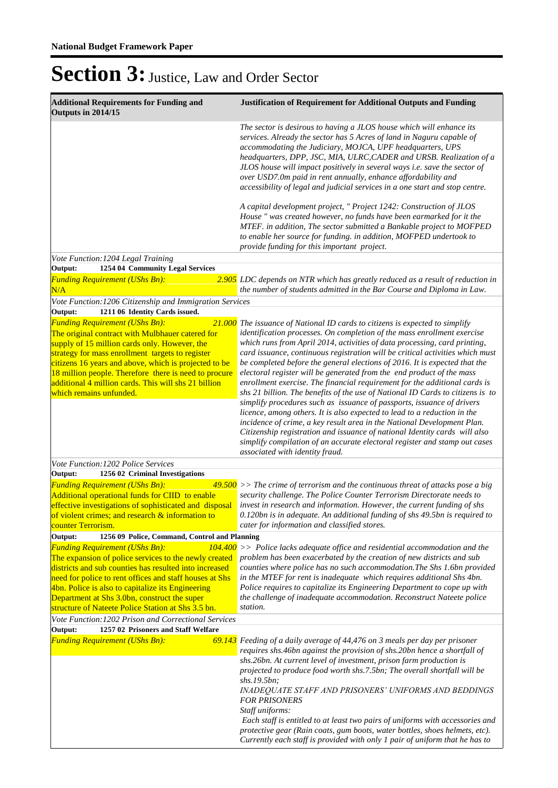| <b>Additional Requirements for Funding and</b><br>Outputs in 2014/15                                                                                                                                                                                                                                                                                                                                                                             | <b>Justification of Requirement for Additional Outputs and Funding</b>                                                                                                                                                                                                                                                                                                                                                                                                                                                                                                                                                                                                                                                                                                                                                                                                                                                                                                                                                                                                         |
|--------------------------------------------------------------------------------------------------------------------------------------------------------------------------------------------------------------------------------------------------------------------------------------------------------------------------------------------------------------------------------------------------------------------------------------------------|--------------------------------------------------------------------------------------------------------------------------------------------------------------------------------------------------------------------------------------------------------------------------------------------------------------------------------------------------------------------------------------------------------------------------------------------------------------------------------------------------------------------------------------------------------------------------------------------------------------------------------------------------------------------------------------------------------------------------------------------------------------------------------------------------------------------------------------------------------------------------------------------------------------------------------------------------------------------------------------------------------------------------------------------------------------------------------|
|                                                                                                                                                                                                                                                                                                                                                                                                                                                  | The sector is desirous to having a JLOS house which will enhance its<br>services. Already the sector has 5 Acres of land in Naguru capable of<br>accommodating the Judiciary, MOJCA, UPF headquarters, UPS<br>headquarters, DPP, JSC, MIA, ULRC, CADER and URSB. Realization of a<br>JLOS house will impact positively in several ways i.e. save the sector of<br>over USD7.0m paid in rent annually, enhance affordability and<br>accessibility of legal and judicial services in a one start and stop centre.                                                                                                                                                                                                                                                                                                                                                                                                                                                                                                                                                                |
|                                                                                                                                                                                                                                                                                                                                                                                                                                                  | A capital development project, " Project 1242: Construction of JLOS<br>House " was created however, no funds have been earmarked for it the<br>MTEF. in addition, The sector submitted a Bankable project to MOFPED<br>to enable her source for funding. in addition, MOFPED undertook to<br>provide funding for this important project.                                                                                                                                                                                                                                                                                                                                                                                                                                                                                                                                                                                                                                                                                                                                       |
| Vote Function: 1204 Legal Training<br>1254 04 Community Legal Services<br>Output:                                                                                                                                                                                                                                                                                                                                                                |                                                                                                                                                                                                                                                                                                                                                                                                                                                                                                                                                                                                                                                                                                                                                                                                                                                                                                                                                                                                                                                                                |
| <b>Funding Requirement (UShs Bn):</b><br>N/A                                                                                                                                                                                                                                                                                                                                                                                                     | 2.905 LDC depends on NTR which has greatly reduced as a result of reduction in<br>the number of students admitted in the Bar Course and Diploma in Law.                                                                                                                                                                                                                                                                                                                                                                                                                                                                                                                                                                                                                                                                                                                                                                                                                                                                                                                        |
| Vote Function: 1206 Citizenship and Immigration Services                                                                                                                                                                                                                                                                                                                                                                                         |                                                                                                                                                                                                                                                                                                                                                                                                                                                                                                                                                                                                                                                                                                                                                                                                                                                                                                                                                                                                                                                                                |
| 1211 06 Identity Cards issued.<br>Output:<br><b>Funding Requirement (UShs Bn):</b><br>The original contract with Mulbhauer catered for<br>supply of 15 million cards only. However, the<br>strategy for mass enrollment targets to register<br>citizens 16 years and above, which is projected to be<br>18 million people. Therefore there is need to procure<br>additional 4 million cards. This will shs 21 billion<br>which remains unfunded. | $21,000$ The issuance of National ID cards to citizens is expected to simplify<br>identification processes. On completion of the mass enrollment exercise<br>which runs from April 2014, activities of data processing, card printing,<br>card issuance, continuous registration will be critical activities which must<br>be completed before the general elections of 2016. It is expected that the<br>electoral register will be generated from the end product of the mass<br>enrollment exercise. The financial requirement for the additional cards is<br>shs 21 billion. The benefits of the use of National ID Cards to citizens is to<br>simplify procedures such as issuance of passports, issuance of drivers<br>licence, among others. It is also expected to lead to a reduction in the<br>incidence of crime, a key result area in the National Development Plan.<br>Citizenship registration and issuance of national Identity cards will also<br>simplify compilation of an accurate electoral register and stamp out cases<br>associated with identity fraud. |
| Vote Function: 1202 Police Services<br>1256 02 Criminal Investigations<br>Output:                                                                                                                                                                                                                                                                                                                                                                |                                                                                                                                                                                                                                                                                                                                                                                                                                                                                                                                                                                                                                                                                                                                                                                                                                                                                                                                                                                                                                                                                |
| <b>Funding Requirement (UShs Bn):</b><br>Additional operational funds for CIID to enable<br>effective investigations of sophisticated and disposal<br>of violent crimes; and research & information to<br>counter Terrorism.                                                                                                                                                                                                                     | $\frac{49.500}{2}$ >> The crime of terrorism and the continuous threat of attacks pose a big<br>security challenge. The Police Counter Terrorism Directorate needs to<br>invest in research and information. However, the current funding of shs<br>0.120bn is in adequate. An additional funding of shs 49.5bn is required to<br>cater for information and classified stores.                                                                                                                                                                                                                                                                                                                                                                                                                                                                                                                                                                                                                                                                                                 |
| Output:<br>1256 09 Police, Command, Control and Planning                                                                                                                                                                                                                                                                                                                                                                                         |                                                                                                                                                                                                                                                                                                                                                                                                                                                                                                                                                                                                                                                                                                                                                                                                                                                                                                                                                                                                                                                                                |
| <b>Funding Requirement (UShs Bn):</b><br>The expansion of police services to the newly created<br>districts and sub counties has resulted into increased<br>need for police to rent offices and staff houses at Shs<br>4bn. Police is also to capitalize its Engineering<br>Department at Shs 3.0bn, construct the super<br>structure of Nateete Police Station at Shs 3.5 bn.                                                                   | $104.400$ >> Police lacks adequate office and residential accommodation and the<br>problem has been exacerbated by the creation of new districts and sub<br>counties where police has no such accommodation. The Shs 1.6bn provided<br>in the MTEF for rent is inadequate which requires additional Shs 4bn.<br>Police requires to capitalize its Engineering Department to cope up with<br>the challenge of inadequate accommodation. Reconstruct Nateete police<br>station.                                                                                                                                                                                                                                                                                                                                                                                                                                                                                                                                                                                                  |
| Vote Function: 1202 Prison and Correctional Services<br>Output:<br>1257 02 Prisoners and Staff Welfare                                                                                                                                                                                                                                                                                                                                           |                                                                                                                                                                                                                                                                                                                                                                                                                                                                                                                                                                                                                                                                                                                                                                                                                                                                                                                                                                                                                                                                                |
| <b>Funding Requirement (UShs Bn):</b>                                                                                                                                                                                                                                                                                                                                                                                                            | 69.143 Feeding of a daily average of 44,476 on 3 meals per day per prisoner<br>requires shs.46bn against the provision of shs.20bn hence a shortfall of<br>shs.26bn. At current level of investment, prison farm production is<br>projected to produce food worth shs.7.5bn; The overall shortfall will be<br>shs.19.5bn;<br>INADEQUATE STAFF AND PRISONERS' UNIFORMS AND BEDDINGS<br><b>FOR PRISONERS</b><br>Staff uniforms:<br>Each staff is entitled to at least two pairs of uniforms with accessories and<br>protective gear (Rain coats, gum boots, water bottles, shoes helmets, etc).<br>Currently each staff is provided with only 1 pair of uniform that he has to                                                                                                                                                                                                                                                                                                                                                                                                   |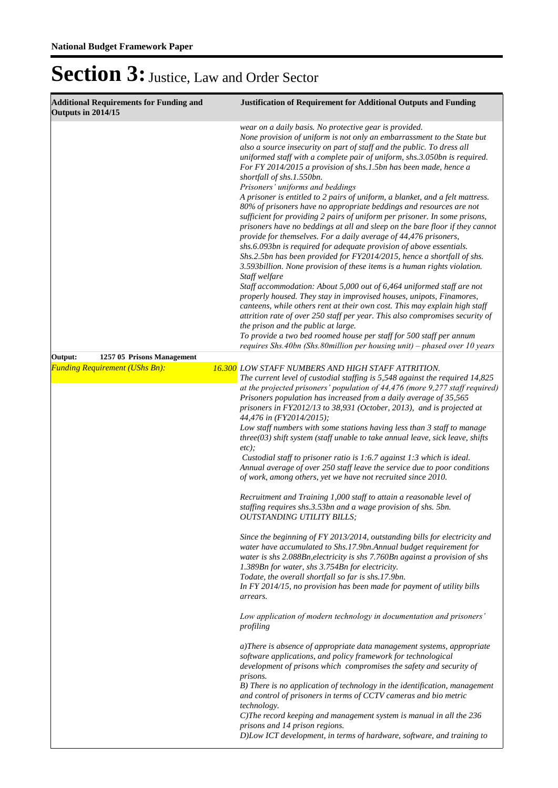| <b>Additional Requirements for Funding and</b><br>Outputs in 2014/15 | <b>Justification of Requirement for Additional Outputs and Funding</b>                                                                                                                                                                                                                                                                                                                                                                                                                                                                                                                                                                                                                                                                                                                                                                                                                                                                                                                                                                                                                                                                                                                                                                                                                                                                                                                                                                                                                                                                                                           |
|----------------------------------------------------------------------|----------------------------------------------------------------------------------------------------------------------------------------------------------------------------------------------------------------------------------------------------------------------------------------------------------------------------------------------------------------------------------------------------------------------------------------------------------------------------------------------------------------------------------------------------------------------------------------------------------------------------------------------------------------------------------------------------------------------------------------------------------------------------------------------------------------------------------------------------------------------------------------------------------------------------------------------------------------------------------------------------------------------------------------------------------------------------------------------------------------------------------------------------------------------------------------------------------------------------------------------------------------------------------------------------------------------------------------------------------------------------------------------------------------------------------------------------------------------------------------------------------------------------------------------------------------------------------|
|                                                                      | wear on a daily basis. No protective gear is provided.<br>None provision of uniform is not only an embarrassment to the State but<br>also a source insecurity on part of staff and the public. To dress all<br>uniformed staff with a complete pair of uniform, shs.3.050bn is required.<br>For FY 2014/2015 a provision of shs.1.5bn has been made, hence a<br>shortfall of shs.1.550bn.<br>Prisoners' uniforms and beddings<br>A prisoner is entitled to 2 pairs of uniform, a blanket, and a felt mattress.<br>80% of prisoners have no appropriate beddings and resources are not<br>sufficient for providing 2 pairs of uniform per prisoner. In some prisons,<br>prisoners have no beddings at all and sleep on the bare floor if they cannot<br>provide for themselves. For a daily average of 44,476 prisoners,<br>shs.6.093bn is required for adequate provision of above essentials.<br>Shs.2.5bn has been provided for FY2014/2015, hence a shortfall of shs.<br>3.593 billion. None provision of these items is a human rights violation.<br>Staff welfare<br>Staff accommodation: About 5,000 out of 6,464 uniformed staff are not<br>properly housed. They stay in improvised houses, unipots, Finamores,<br>canteens, while others rent at their own cost. This may explain high staff<br>attrition rate of over 250 staff per year. This also compromises security of<br>the prison and the public at large.<br>To provide a two bed roomed house per staff for 500 staff per annum<br>requires Shs.40bn (Shs.80million per housing unit) – phased over 10 years |
| Output:<br>1257 05 Prisons Management                                |                                                                                                                                                                                                                                                                                                                                                                                                                                                                                                                                                                                                                                                                                                                                                                                                                                                                                                                                                                                                                                                                                                                                                                                                                                                                                                                                                                                                                                                                                                                                                                                  |
| <b>Funding Requirement (UShs Bn):</b>                                | <b>16.300</b> LOW STAFF NUMBERS AND HIGH STAFF ATTRITION.<br>The current level of custodial staffing is 5,548 against the required 14,825<br>at the projected prisoners' population of 44,476 (more 9,277 staff required)<br>Prisoners population has increased from a daily average of 35,565<br>prisoners in FY2012/13 to 38,931 (October, 2013), and is projected at<br>44,476 in (FY2014/2015);<br>Low staff numbers with some stations having less than 3 staff to manage<br>$three(03)$ shift system (staff unable to take annual leave, sick leave, shifts<br>etc);<br>Custodial staff to prisoner ratio is 1:6.7 against 1:3 which is ideal.<br>Annual average of over 250 staff leave the service due to poor conditions<br>of work, among others, yet we have not recruited since 2010.<br>Recruitment and Training 1,000 staff to attain a reasonable level of<br>staffing requires shs.3.53bn and a wage provision of shs. 5bn.<br><b>OUTSTANDING UTILITY BILLS;</b><br>Since the beginning of FY 2013/2014, outstanding bills for electricity and<br>water have accumulated to Shs.17.9bn.Annual budget requirement for<br>water is shs 2.088Bn, electricity is shs 7.760Bn against a provision of shs<br>1.389Bn for water, shs 3.754Bn for electricity.<br>Todate, the overall shortfall so far is shs.17.9bn.<br>In FY 2014/15, no provision has been made for payment of utility bills<br>arrears.                                                                                                                                                              |
|                                                                      | Low application of modern technology in documentation and prisoners'<br>profiling<br>a)There is absence of appropriate data management systems, appropriate<br>software applications, and policy framework for technological<br>development of prisons which compromises the safety and security of<br>prisons.<br>B) There is no application of technology in the identification, management<br>and control of prisoners in terms of CCTV cameras and bio metric<br>technology.<br>C)The record keeping and management system is manual in all the 236<br>prisons and 14 prison regions.<br>D)Low ICT development, in terms of hardware, software, and training to                                                                                                                                                                                                                                                                                                                                                                                                                                                                                                                                                                                                                                                                                                                                                                                                                                                                                                              |